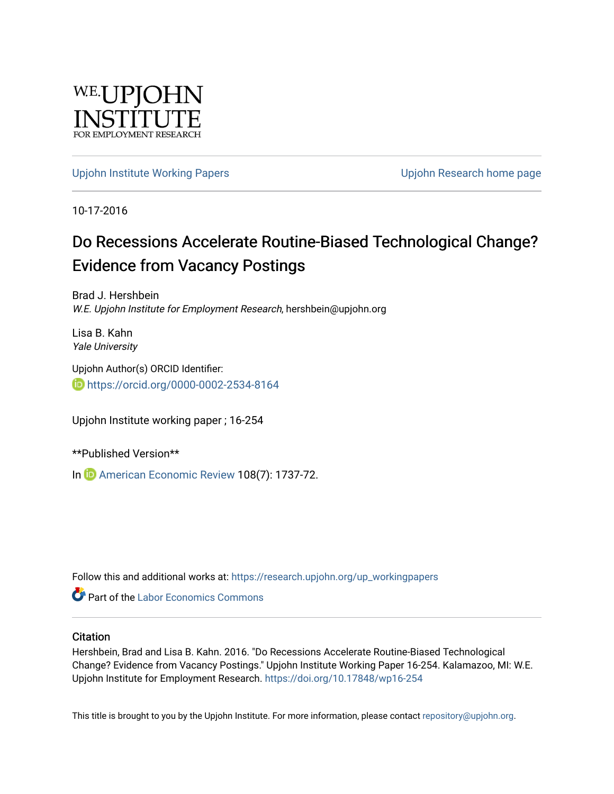

[Upjohn Institute Working Papers](https://research.upjohn.org/up_workingpapers) [Upjohn Research home page](https://research.upjohn.org/) 

10-17-2016

# Do Recessions Accelerate Routine-Biased Technological Change? Evidence from Vacancy Postings

Brad J. Hershbein W.E. Upjohn Institute for Employment Research, hershbein@upjohn.org

Lisa B. Kahn Yale University

Upjohn Author(s) ORCID Identifier: <https://orcid.org/0000-0002-2534-8164>

Upjohn Institute working paper ; 16-254

\*\*Published Version\*\*

In **i**D [American Economic Review](https://www.aeaweb.org/articles?id=10.1257/aer.20161570) 108(7): 1737-72.

Follow this and additional works at: [https://research.upjohn.org/up\\_workingpapers](https://research.upjohn.org/up_workingpapers?utm_source=research.upjohn.org%2Fup_workingpapers%2F254&utm_medium=PDF&utm_campaign=PDFCoverPages)

**C** Part of the [Labor Economics Commons](http://network.bepress.com/hgg/discipline/349?utm_source=research.upjohn.org%2Fup_workingpapers%2F254&utm_medium=PDF&utm_campaign=PDFCoverPages)

#### **Citation**

Hershbein, Brad and Lisa B. Kahn. 2016. "Do Recessions Accelerate Routine-Biased Technological Change? Evidence from Vacancy Postings." Upjohn Institute Working Paper 16-254. Kalamazoo, MI: W.E. Upjohn Institute for Employment Research.<https://doi.org/10.17848/wp16-254>

This title is brought to you by the Upjohn Institute. For more information, please contact [repository@upjohn.org](mailto:repository@upjohn.org).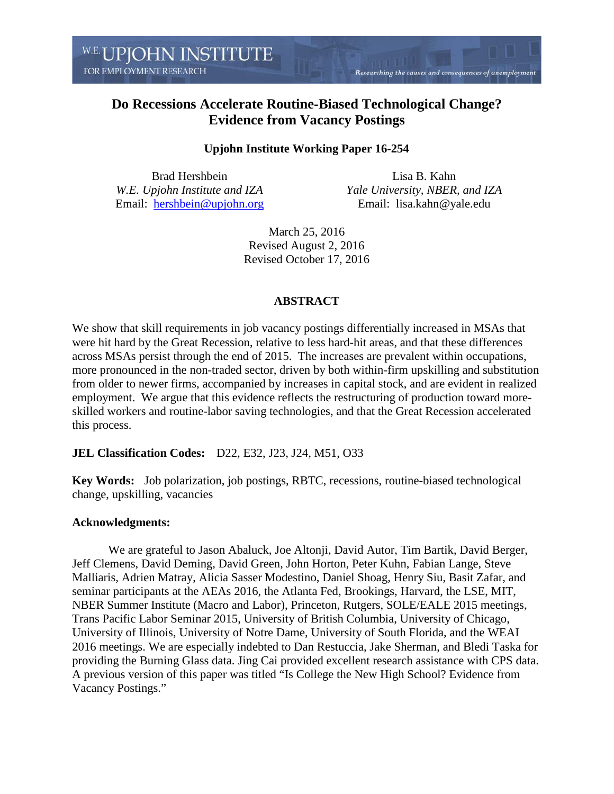Researching the causes and consequences of unemployment

### **Do Recessions Accelerate Routine-Biased Technological Change? Evidence from Vacancy Postings**

### **Upjohn Institute Working Paper 16-254**

Brad Hershbein *W.E. Upjohn Institute and IZA* Email: [hershbein@upjohn.org](mailto:hershbein@upjohn.org)

Lisa B. Kahn *Yale University, NBER, and IZA* Email: lisa.kahn@yale.edu

March 25, 2016 Revised August 2, 2016 Revised October 17, 2016

#### **ABSTRACT**

We show that skill requirements in job vacancy postings differentially increased in MSAs that were hit hard by the Great Recession, relative to less hard-hit areas, and that these differences across MSAs persist through the end of 2015. The increases are prevalent within occupations, more pronounced in the non-traded sector, driven by both within-firm upskilling and substitution from older to newer firms, accompanied by increases in capital stock, and are evident in realized employment. We argue that this evidence reflects the restructuring of production toward moreskilled workers and routine-labor saving technologies, and that the Great Recession accelerated this process.

#### **JEL Classification Codes:** D22, E32, J23, J24, M51, O33

**Key Words:** Job polarization, job postings, RBTC, recessions, routine-biased technological change, upskilling, vacancies

#### **Acknowledgments:**

We are grateful to Jason Abaluck, Joe Altonji, David Autor, Tim Bartik, David Berger, Jeff Clemens, David Deming, David Green, John Horton, Peter Kuhn, Fabian Lange, Steve Malliaris, Adrien Matray, Alicia Sasser Modestino, Daniel Shoag, Henry Siu, Basit Zafar, and seminar participants at the AEAs 2016, the Atlanta Fed, Brookings, Harvard, the LSE, MIT, NBER Summer Institute (Macro and Labor), Princeton, Rutgers, SOLE/EALE 2015 meetings, Trans Pacific Labor Seminar 2015, University of British Columbia, University of Chicago, University of Illinois, University of Notre Dame, University of South Florida, and the WEAI 2016 meetings. We are especially indebted to Dan Restuccia, Jake Sherman, and Bledi Taska for providing the Burning Glass data. Jing Cai provided excellent research assistance with CPS data. A previous version of this paper was titled "Is College the New High School? Evidence from Vacancy Postings."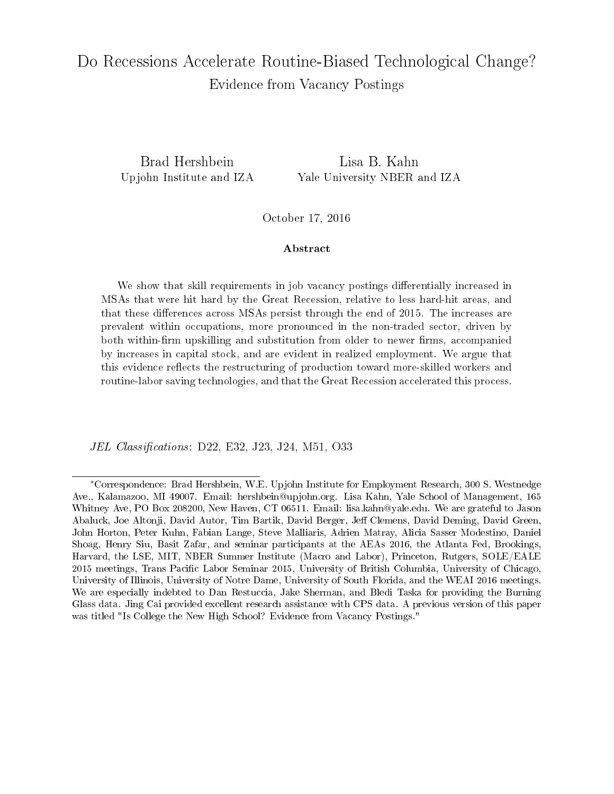# Do Recessions Accelerate Routine-Biased Technological Change? Evidence from Vacancy Postings

Brad Hershbein Lisa B. Kahn Upjohn Institute and IZA Yale University NBER and IZA

October 17, 2016

#### Abstract

We show that skill requirements in job vacancy postings differentially increased in MSAs that were hit hard by the Great Recession, relative to less hard-hit areas, and that these differences across MSAs persist through the end of 2015. The increases are prevalent within occupations, more pronounced in the non-traded sector, driven by both within-firm upskilling and substitution from older to newer firms, accompanied by increases in capital stock, and are evident in realized employment. We argue that this evidence reflects the restructuring of production toward more-skilled workers and routine-labor saving technologies, and that the Great Recession accelerated this process.

JEL Classifications: D22, E32, J23, J24, M51, O33

<sup>∗</sup>Correspondence: Brad Hershbein, W.E. Upjohn Institute for Employment Research, 300 S. Westnedge Ave., Kalamazoo, MI 49007. Email: hershbein@upjohn.org. Lisa Kahn, Yale School of Management, 165 Whitney Ave, PO Box 208200, New Haven, CT 06511. Email: lisa.kahn@yale.edu. We are grateful to Jason Abaluck, Joe Altonji, David Autor, Tim Bartik, David Berger, Jeff Clemens, David Deming, David Green. John Horton, Peter Kuhn, Fabian Lange, Steve Malliaris, Adrien Matray, Alicia Sasser Modestino, Daniel Shoag, Henry Siu, Basit Zafar, and seminar participants at the AEAs 2016, the Atlanta Fed, Brookings, Harvard, the LSE, MIT, NBER Summer Institute (Macro and Labor), Princeton, Rutgers, SOLE/EALE 2015 meetings, Trans Pacific Labor Seminar 2015, University of British Columbia, University of Chicago. University of Illinois, University of Notre Dame, University of South Florida, and the WEAI 2016 meetings. We are especially indebted to Dan Restuccia, Jake Sherman, and Bledi Taska for providing the Burning Glass data. Jing Cai provided excellent research assistance with CPS data. A previous version of this paper was titled "Is College the New High School? Evidence from Vacancy Postings."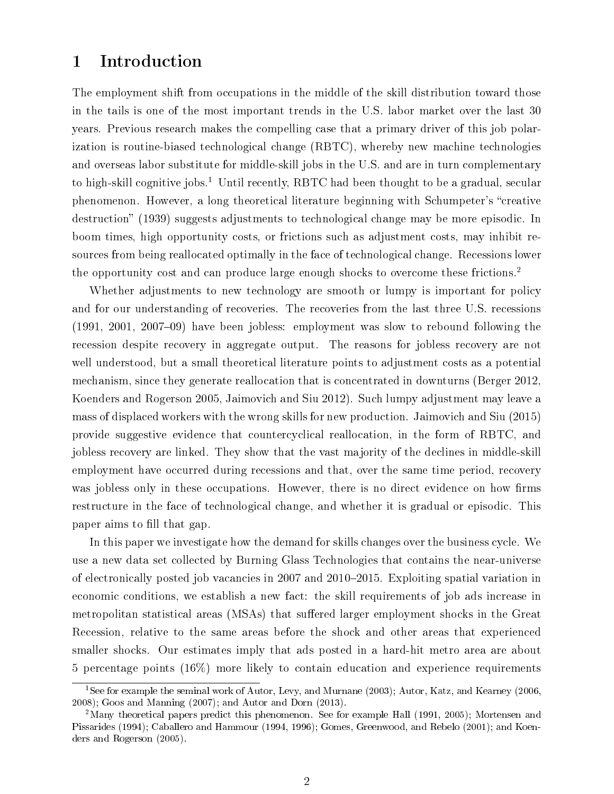### 1 Introduction

The employment shift from occupations in the middle of the skill distribution toward those in the tails is one of the most important trends in the U.S. labor market over the last 30 years. Previous research makes the compelling case that a primary driver of this job polarization is routine-biased technological change (RBTC), whereby new machine technologies and overseas labor substitute for middle-skill jobs in the U.S. and are in turn complementary to high-skill cognitive jobs.<sup>1</sup> Until recently, RBTC had been thought to be a gradual, secular phenomenon. However, a long theoretical literature beginning with Schumpeter's "creative destruction" (1939) suggests adjustments to technological change may be more episodic. In boom times, high opportunity costs, or frictions such as adjustment costs, may inhibit resources from being reallocated optimally in the face of technological change. Recessions lower the opportunity cost and can produce large enough shocks to overcome these frictions.<sup>2</sup>

Whether adjustments to new technology are smooth or lumpy is important for policy and for our understanding of recoveries. The recoveries from the last three U.S. recessions  $(1991, 2001, 2007-09)$  have been jobless: employment was slow to rebound following the recession despite recovery in aggregate output. The reasons for jobless recovery are not well understood, but a small theoretical literature points to adjustment costs as a potential mechanism, since they generate reallocation that is concentrated in downturns (Berger 2012, Koenders and Rogerson 2005, Jaimovich and Siu 2012). Such lumpy adjustment may leave a mass of displaced workers with the wrong skills for new production. Jaimovich and Siu (2015) provide suggestive evidence that countercyclical reallocation, in the form of RBTC, and jobless recovery are linked. They show that the vast majority of the declines in middle-skill employment have occurred during recessions and that, over the same time period, recovery was jobless only in these occupations. However, there is no direct evidence on how firms restructure in the face of technological change, and whether it is gradual or episodic. This paper aims to fill that gap.

In this paper we investigate how the demand for skills changes over the business cycle. We use a new data set collected by Burning Glass Technologies that contains the near-universe of electronically posted job vacancies in 2007 and 2010–2015. Exploiting spatial variation in economic conditions, we establish a new fact: the skill requirements of job ads increase in metropolitan statistical areas (MSAs) that suffered larger employment shocks in the Great Recession, relative to the same areas before the shock and other areas that experienced smaller shocks. Our estimates imply that ads posted in a hard-hit metro area are about 5 percentage points (16%) more likely to contain education and experience requirements

<sup>1</sup>See for example the seminal work of Autor, Levy, and Murnane (2003); Autor, Katz, and Kearney (2006, 2008); Goos and Manning (2007); and Autor and Dorn (2013).

<sup>&</sup>lt;sup>2</sup>Many theoretical papers predict this phenomenon. See for example Hall (1991, 2005); Mortensen and Pissarides (1994); Caballero and Hammour (1994, 1996); Gomes, Greenwood, and Rebelo (2001); and Koenders and Rogerson (2005).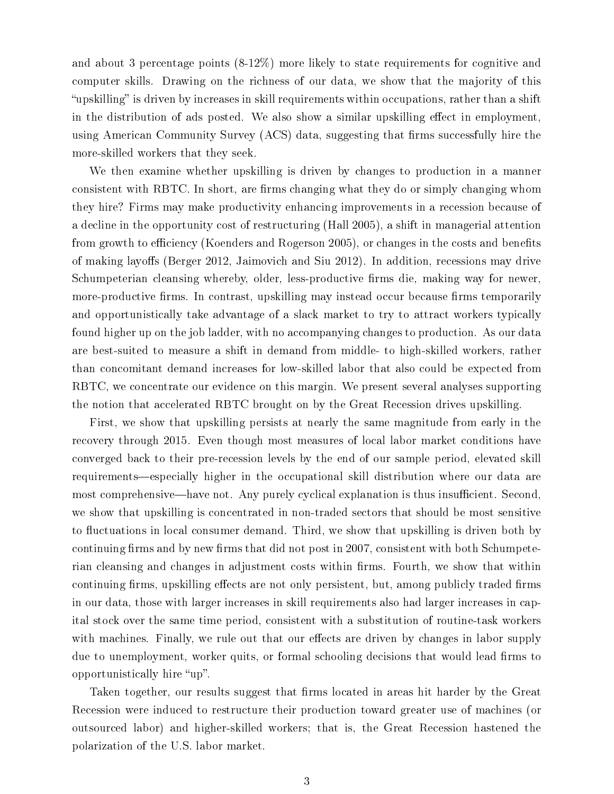and about 3 percentage points (8-12%) more likely to state requirements for cognitive and computer skills. Drawing on the richness of our data, we show that the majority of this "upskilling" is driven by increases in skill requirements within occupations, rather than a shift in the distribution of ads posted. We also show a similar upskilling effect in employment. using American Community Survey (ACS) data, suggesting that firms successfully hire the more-skilled workers that they seek.

We then examine whether upskilling is driven by changes to production in a manner consistent with RBTC. In short, are firms changing what they do or simply changing whom they hire? Firms may make productivity enhancing improvements in a recession because of a decline in the opportunity cost of restructuring (Hall 2005), a shift in managerial attention from growth to efficiency (Koenders and Rogerson 2005), or changes in the costs and benefits of making layoffs (Berger 2012, Jaimovich and Siu 2012). In addition, recessions may drive Schumpeterian cleansing whereby, older, less-productive firms die, making way for newer, more-productive firms. In contrast, upskilling may instead occur because firms temporarily and opportunistically take advantage of a slack market to try to attract workers typically found higher up on the job ladder, with no accompanying changes to production. As our data are best-suited to measure a shift in demand from middle- to high-skilled workers, rather than concomitant demand increases for low-skilled labor that also could be expected from RBTC, we concentrate our evidence on this margin. We present several analyses supporting the notion that accelerated RBTC brought on by the Great Recession drives upskilling.

First, we show that upskilling persists at nearly the same magnitude from early in the recovery through 2015. Even though most measures of local labor market conditions have converged back to their pre-recession levels by the end of our sample period, elevated skill requirements—especially higher in the occupational skill distribution where our data are most comprehensive—have not. Any purely cyclical explanation is thus insufficient. Second, we show that upskilling is concentrated in non-traded sectors that should be most sensitive to fluctuations in local consumer demand. Third, we show that upskilling is driven both by continuing firms and by new firms that did not post in 2007, consistent with both Schumpeterian cleansing and changes in adjustment costs within firms. Fourth, we show that within continuing firms, upskilling effects are not only persistent, but, among publicly traded firms in our data, those with larger increases in skill requirements also had larger increases in capital stock over the same time period, consistent with a substitution of routine-task workers with machines. Finally, we rule out that our effects are driven by changes in labor supply due to unemployment, worker quits, or formal schooling decisions that would lead firms to opportunistically hire "up".

Taken together, our results suggest that firms located in areas hit harder by the Great Recession were induced to restructure their production toward greater use of machines (or outsourced labor) and higher-skilled workers; that is, the Great Recession hastened the polarization of the U.S. labor market.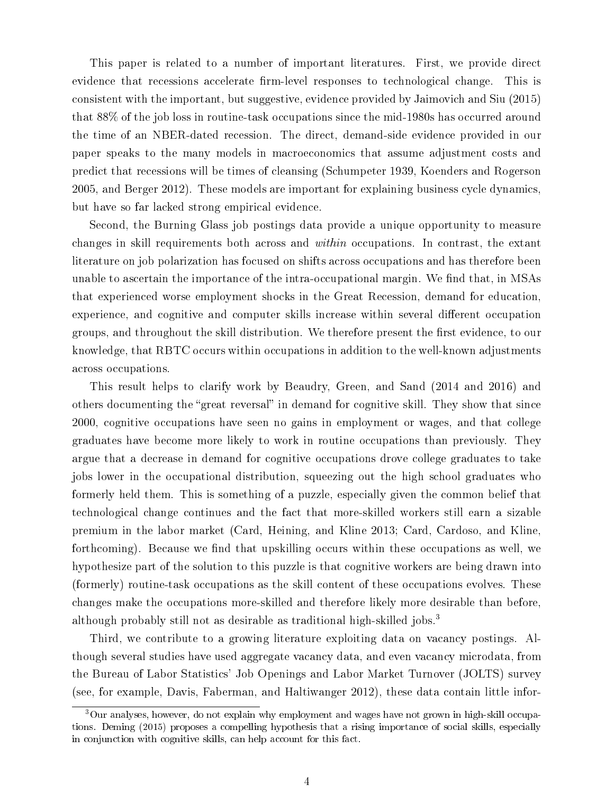This paper is related to a number of important literatures. First, we provide direct evidence that recessions accelerate firm-level responses to technological change. This is consistent with the important, but suggestive, evidence provided by Jaimovich and Siu (2015) that 88% of the job loss in routine-task occupations since the mid-1980s has occurred around the time of an NBER-dated recession. The direct, demand-side evidence provided in our paper speaks to the many models in macroeconomics that assume adjustment costs and predict that recessions will be times of cleansing (Schumpeter 1939, Koenders and Rogerson 2005, and Berger 2012). These models are important for explaining business cycle dynamics, but have so far lacked strong empirical evidence.

Second, the Burning Glass job postings data provide a unique opportunity to measure changes in skill requirements both across and within occupations. In contrast, the extant literature on job polarization has focused on shifts across occupations and has therefore been unable to ascertain the importance of the intra-occupational margin. We find that, in MSAs that experienced worse employment shocks in the Great Recession, demand for education, experience, and cognitive and computer skills increase within several different occupation groups, and throughout the skill distribution. We therefore present the first evidence, to our knowledge, that RBTC occurs within occupations in addition to the well-known adjustments across occupations.

This result helps to clarify work by Beaudry, Green, and Sand (2014 and 2016) and others documenting the "great reversal" in demand for cognitive skill. They show that since 2000, cognitive occupations have seen no gains in employment or wages, and that college graduates have become more likely to work in routine occupations than previously. They argue that a decrease in demand for cognitive occupations drove college graduates to take jobs lower in the occupational distribution, squeezing out the high school graduates who formerly held them. This is something of a puzzle, especially given the common belief that technological change continues and the fact that more-skilled workers still earn a sizable premium in the labor market (Card, Heining, and Kline 2013; Card, Cardoso, and Kline, forthcoming). Because we find that upskilling occurs within these occupations as well, we hypothesize part of the solution to this puzzle is that cognitive workers are being drawn into (formerly) routine-task occupations as the skill content of these occupations evolves. These changes make the occupations more-skilled and therefore likely more desirable than before, although probably still not as desirable as traditional high-skilled jobs.<sup>3</sup>

Third, we contribute to a growing literature exploiting data on vacancy postings. Although several studies have used aggregate vacancy data, and even vacancy microdata, from the Bureau of Labor Statistics' Job Openings and Labor Market Turnover (JOLTS) survey (see, for example, Davis, Faberman, and Haltiwanger 2012), these data contain little infor-

<sup>3</sup>Our analyses, however, do not explain why employment and wages have not grown in high-skill occupations. Deming (2015) proposes a compelling hypothesis that a rising importance of social skills, especially in conjunction with cognitive skills, can help account for this fact.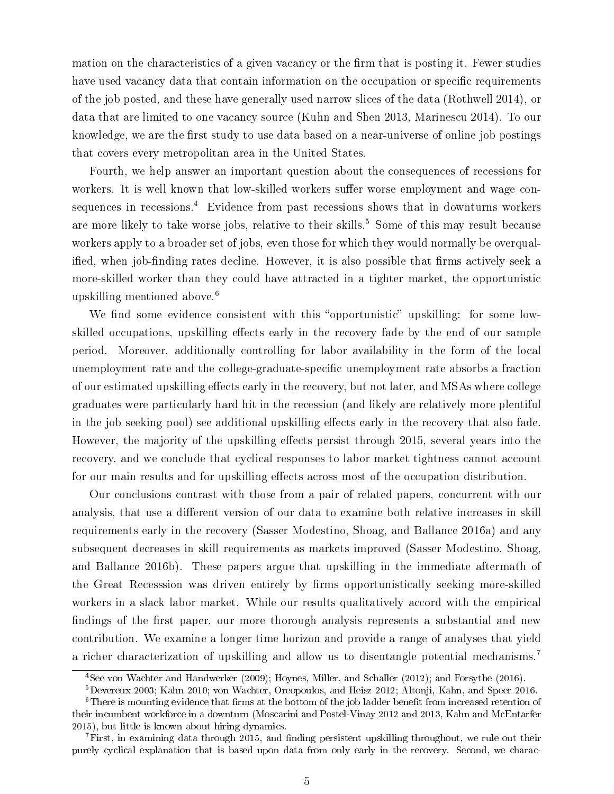mation on the characteristics of a given vacancy or the firm that is posting it. Fewer studies have used vacancy data that contain information on the occupation or specific requirements of the job posted, and these have generally used narrow slices of the data (Rothwell 2014), or data that are limited to one vacancy source (Kuhn and Shen 2013, Marinescu 2014). To our knowledge, we are the first study to use data based on a near-universe of online job postings that covers every metropolitan area in the United States.

Fourth, we help answer an important question about the consequences of recessions for workers. It is well known that low-skilled workers suffer worse employment and wage consequences in recessions.<sup>4</sup> Evidence from past recessions shows that in downturns workers are more likely to take worse jobs, relative to their skills.<sup>5</sup> Some of this may result because workers apply to a broader set of jobs, even those for which they would normally be overqualified, when job-finding rates decline. However, it is also possible that firms actively seek a more-skilled worker than they could have attracted in a tighter market, the opportunistic upskilling mentioned above.<sup>6</sup>

We find some evidence consistent with this "opportunistic" upskilling: for some lowskilled occupations, upskilling effects early in the recovery fade by the end of our sample period. Moreover, additionally controlling for labor availability in the form of the local unemployment rate and the college-graduate-specific unemployment rate absorbs a fraction of our estimated upskilling effects early in the recovery, but not later, and MSAs where college graduates were particularly hard hit in the recession (and likely are relatively more plentiful in the job seeking pool) see additional upskilling effects early in the recovery that also fade. However, the majority of the upskilling effects persist through 2015, several years into the recovery, and we conclude that cyclical responses to labor market tightness cannot account for our main results and for upskilling effects across most of the occupation distribution.

Our conclusions contrast with those from a pair of related papers, concurrent with our analysis, that use a different version of our data to examine both relative increases in skill requirements early in the recovery (Sasser Modestino, Shoag, and Ballance 2016a) and any subsequent decreases in skill requirements as markets improved (Sasser Modestino, Shoag, and Ballance 2016b). These papers argue that upskilling in the immediate aftermath of the Great Recesssion was driven entirely by firms opportunistically seeking more-skilled workers in a slack labor market. While our results qualitatively accord with the empirical findings of the first paper, our more thorough analysis represents a substantial and new contribution. We examine a longer time horizon and provide a range of analyses that yield a richer characterization of upskilling and allow us to disentangle potential mechanisms.<sup>7</sup>

<sup>4</sup>See von Wachter and Handwerker (2009); Hoynes, Miller, and Schaller (2012); and Forsythe (2016).

<sup>5</sup>Devereux 2003; Kahn 2010; von Wachter, Oreopoulos, and Heisz 2012; Altonji, Kahn, and Speer 2016.

 ${}^{6}$ There is mounting evidence that firms at the bottom of the job ladder benefit from increased retention of their incumbent workforce in a downturn (Moscarini and Postel-Vinay 2012 and 2013, Kahn and McEntarfer 2015), but little is known about hiring dynamics.

 $7$ First, in examining data through 2015, and finding persistent upskilling throughout, we rule out their purely cyclical explanation that is based upon data from only early in the recovery. Second, we charac-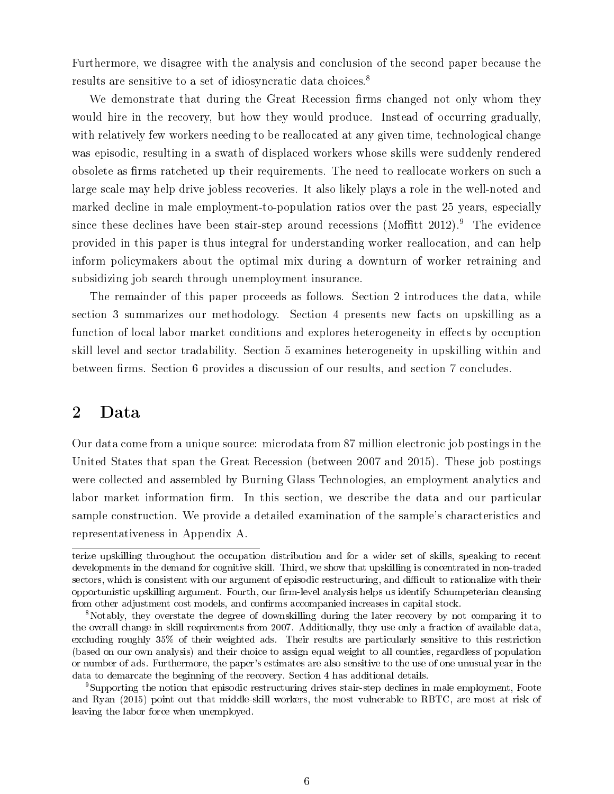Furthermore, we disagree with the analysis and conclusion of the second paper because the results are sensitive to a set of idiosyncratic data choices.<sup>8</sup>

We demonstrate that during the Great Recession firms changed not only whom they would hire in the recovery, but how they would produce. Instead of occurring gradually, with relatively few workers needing to be reallocated at any given time, technological change was episodic, resulting in a swath of displaced workers whose skills were suddenly rendered obsolete as firms ratcheted up their requirements. The need to reallocate workers on such a large scale may help drive jobless recoveries. It also likely plays a role in the well-noted and marked decline in male employment-to-population ratios over the past 25 years, especially since these declines have been stair-step around recessions (Moffitt  $2012$ ).<sup>9</sup> The evidence provided in this paper is thus integral for understanding worker reallocation, and can help inform policymakers about the optimal mix during a downturn of worker retraining and subsidizing job search through unemployment insurance.

The remainder of this paper proceeds as follows. Section 2 introduces the data, while section 3 summarizes our methodology. Section 4 presents new facts on upskilling as a function of local labor market conditions and explores heterogeneity in effects by occuption skill level and sector tradability. Section 5 examines heterogeneity in upskilling within and between firms. Section 6 provides a discussion of our results, and section 7 concludes.

# 2 Data

Our data come from a unique source: microdata from 87 million electronic job postings in the United States that span the Great Recession (between 2007 and 2015). These job postings were collected and assembled by Burning Glass Technologies, an employment analytics and labor market information firm. In this section, we describe the data and our particular sample construction. We provide a detailed examination of the sample's characteristics and representativeness in Appendix A.

terize upskilling throughout the occupation distribution and for a wider set of skills, speaking to recent developments in the demand for cognitive skill. Third, we show that upskilling is concentrated in non-traded sectors, which is consistent with our argument of episodic restructuring, and difficult to rationalize with their opportunistic upskilling argument. Fourth, our firm-level analysis helps us identify Schumpeterian cleansing from other adjustment cost models, and confirms accompanied increases in capital stock.

<sup>8</sup>Notably, they overstate the degree of downskilling during the later recovery by not comparing it to the overall change in skill requirements from 2007. Additionally, they use only a fraction of available data, excluding roughly 35% of their weighted ads. Their results are particularly sensitive to this restriction (based on our own analysis) and their choice to assign equal weight to all counties, regardless of population or number of ads. Furthermore, the paper's estimates are also sensitive to the use of one unusual year in the data to demarcate the beginning of the recovery. Section 4 has additional details.

<sup>9</sup>Supporting the notion that episodic restructuring drives stair-step declines in male employment, Foote and Ryan (2015) point out that middle-skill workers, the most vulnerable to RBTC, are most at risk of leaving the labor force when unemployed.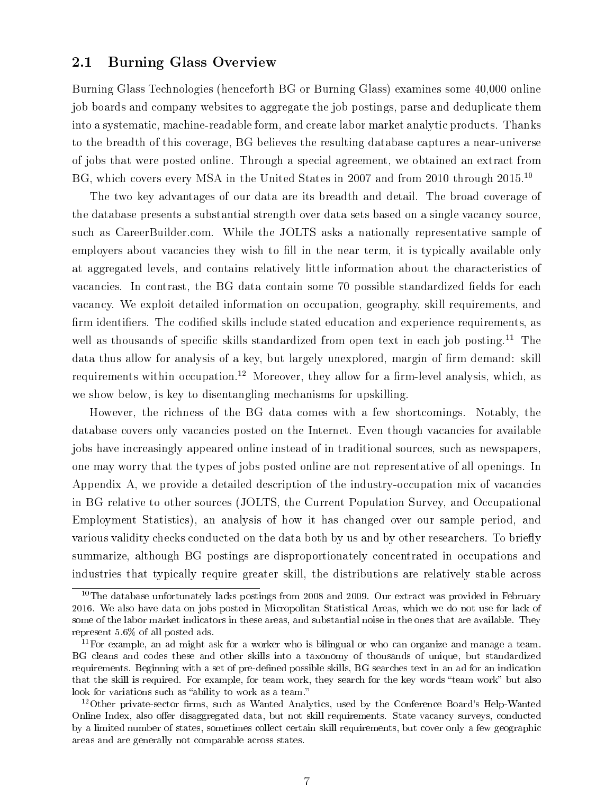### 2.1 Burning Glass Overview

Burning Glass Technologies (henceforth BG or Burning Glass) examines some 40,000 online job boards and company websites to aggregate the job postings, parse and deduplicate them into a systematic, machine-readable form, and create labor market analytic products. Thanks to the breadth of this coverage, BG believes the resulting database captures a near-universe of jobs that were posted online. Through a special agreement, we obtained an extract from BG, which covers every MSA in the United States in 2007 and from 2010 through 2015.<sup>10</sup>

The two key advantages of our data are its breadth and detail. The broad coverage of the database presents a substantial strength over data sets based on a single vacancy source, such as CareerBuilder.com. While the JOLTS asks a nationally representative sample of employers about vacancies they wish to fill in the near term, it is typically available only at aggregated levels, and contains relatively little information about the characteristics of vacancies. In contrast, the BG data contain some 70 possible standardized fields for each vacancy. We exploit detailed information on occupation, geography, skill requirements, and firm identifiers. The codified skills include stated education and experience requirements, as well as thousands of specific skills standardized from open text in each job posting.<sup>11</sup> The data thus allow for analysis of a key, but largely unexplored, margin of firm demand: skill requirements within occupation.<sup>12</sup> Moreover, they allow for a firm-level analysis, which, as we show below, is key to disentangling mechanisms for upskilling.

However, the richness of the BG data comes with a few shortcomings. Notably, the database covers only vacancies posted on the Internet. Even though vacancies for available jobs have increasingly appeared online instead of in traditional sources, such as newspapers, one may worry that the types of jobs posted online are not representative of all openings. In Appendix A, we provide a detailed description of the industry-occupation mix of vacancies in BG relative to other sources (JOLTS, the Current Population Survey, and Occupational Employment Statistics), an analysis of how it has changed over our sample period, and various validity checks conducted on the data both by us and by other researchers. To briefly summarize, although BG postings are disproportionately concentrated in occupations and industries that typically require greater skill, the distributions are relatively stable across

 $10$ The database unfortunately lacks postings from 2008 and 2009. Our extract was provided in February 2016. We also have data on jobs posted in Micropolitan Statistical Areas, which we do not use for lack of some of the labor market indicators in these areas, and substantial noise in the ones that are available. They represent 5.6% of all posted ads.

 $11$  For example, an ad might ask for a worker who is bilingual or who can organize and manage a team. BG cleans and codes these and other skills into a taxonomy of thousands of unique, but standardized requirements. Beginning with a set of pre-defined possible skills, BG searches text in an ad for an indication that the skill is required. For example, for team work, they search for the key words "team work" but also look for variations such as "ability to work as a team."

 $12$ Other private-sector firms, such as Wanted Analytics, used by the Conference Board's Help-Wanted Online Index, also offer disaggregated data, but not skill requirements. State vacancy surveys, conducted by a limited number of states, sometimes collect certain skill requirements, but cover only a few geographic areas and are generally not comparable across states.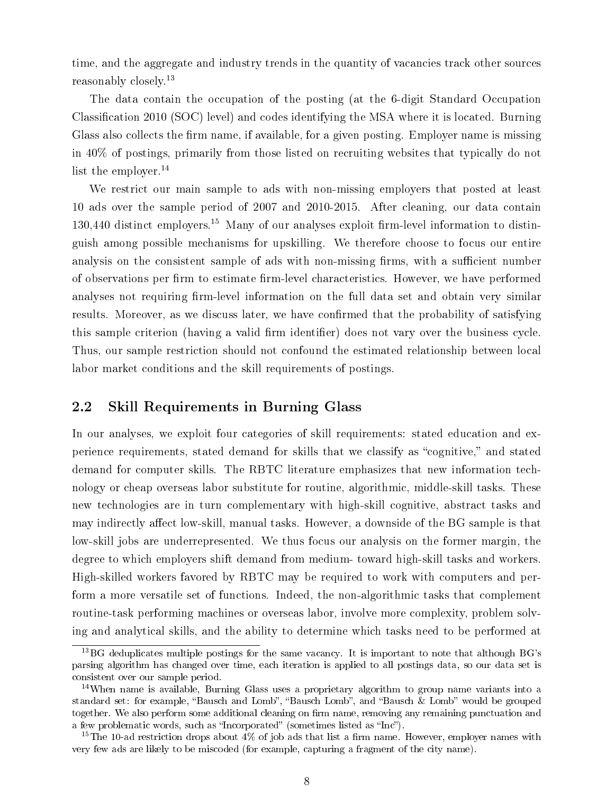time, and the aggregate and industry trends in the quantity of vacancies track other sources reasonably closely.<sup>13</sup>

The data contain the occupation of the posting (at the 6-digit Standard Occupation Classification 2010 (SOC) level) and codes identifying the MSA where it is located. Burning Glass also collects the firm name, if available, for a given posting. Employer name is missing in 40% of postings, primarily from those listed on recruiting websites that typically do not list the employer.<sup>14</sup>

We restrict our main sample to ads with non-missing employers that posted at least 10 ads over the sample period of 2007 and 2010-2015. After cleaning, our data contain  $130,440$  distinct employers.<sup>15</sup> Many of our analyses exploit firm-level information to distinguish among possible mechanisms for upskilling. We therefore choose to focus our entire analysis on the consistent sample of ads with non-missing firms, with a sufficient number of observations per firm to estimate firm-level characteristics. However, we have performed analyses not requiring firm-level information on the full data set and obtain very similar results. Moreover, as we discuss later, we have confirmed that the probability of satisfying this sample criterion (having a valid firm identifier) does not vary over the business cycle. Thus, our sample restriction should not confound the estimated relationship between local labor market conditions and the skill requirements of postings.

### 2.2 Skill Requirements in Burning Glass

In our analyses, we exploit four categories of skill requirements: stated education and experience requirements, stated demand for skills that we classify as "cognitive," and stated demand for computer skills. The RBTC literature emphasizes that new information technology or cheap overseas labor substitute for routine, algorithmic, middle-skill tasks. These new technologies are in turn complementary with high-skill cognitive, abstract tasks and may indirectly affect low-skill, manual tasks. However, a downside of the BG sample is that low-skill jobs are underrepresented. We thus focus our analysis on the former margin, the degree to which employers shift demand from medium- toward high-skill tasks and workers. High-skilled workers favored by RBTC may be required to work with computers and perform a more versatile set of functions. Indeed, the non-algorithmic tasks that complement routine-task performing machines or overseas labor, involve more complexity, problem solving and analytical skills, and the ability to determine which tasks need to be performed at

<sup>13</sup>BG deduplicates multiple postings for the same vacancy. It is important to note that although BG's parsing algorithm has changed over time, each iteration is applied to all postings data, so our data set is consistent over our sample period.

 $14$ When name is available, Burning Glass uses a proprietary algorithm to group name variants into a standard set: for example, "Bausch and Lomb", "Bausch Lomb", and "Bausch & Lomb" would be grouped together. We also perform some additional cleaning on firm name, removing any remaining punctuation and a few problematic words, such as "Incorporated" (sometimes listed as "Inc").

<sup>&</sup>lt;sup>15</sup>The 10-ad restriction drops about 4% of job ads that list a firm name. However, employer names with very few ads are likely to be miscoded (for example, capturing a fragment of the city name).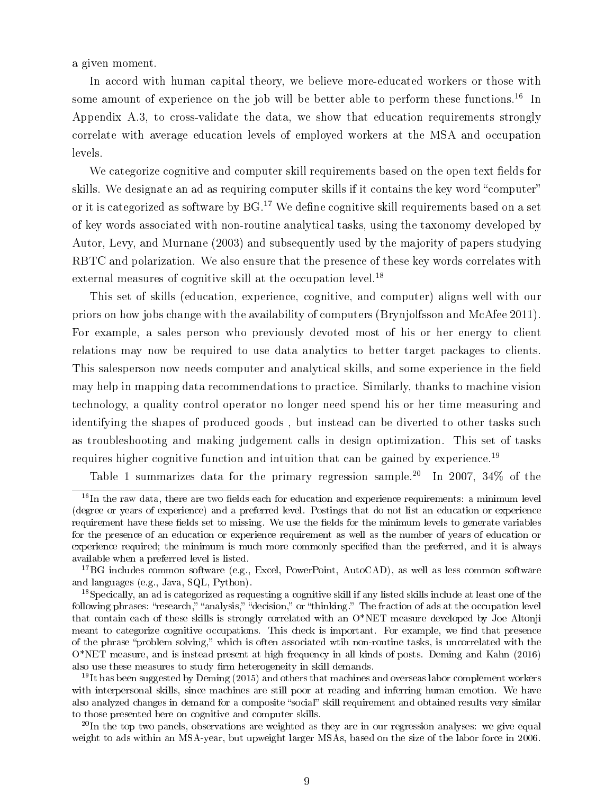a given moment.

In accord with human capital theory, we believe more-educated workers or those with some amount of experience on the job will be better able to perform these functions.<sup>16</sup> In Appendix A.3, to cross-validate the data, we show that education requirements strongly correlate with average education levels of employed workers at the MSA and occupation levels.

We categorize cognitive and computer skill requirements based on the open text fields for skills. We designate an ad as requiring computer skills if it contains the key word "computer" or it is categorized as software by  $BG<sup>17</sup>$ . We define cognitive skill requirements based on a set of key words associated with non-routine analytical tasks, using the taxonomy developed by Autor, Levy, and Murnane (2003) and subsequently used by the majority of papers studying RBTC and polarization. We also ensure that the presence of these key words correlates with external measures of cognitive skill at the occupation level.<sup>18</sup>

This set of skills (education, experience, cognitive, and computer) aligns well with our priors on how jobs change with the availability of computers (Brynjolfsson and McAfee 2011). For example, a sales person who previously devoted most of his or her energy to client relations may now be required to use data analytics to better target packages to clients. This salesperson now needs computer and analytical skills, and some experience in the field may help in mapping data recommendations to practice. Similarly, thanks to machine vision technology, a quality control operator no longer need spend his or her time measuring and identifying the shapes of produced goods , but instead can be diverted to other tasks such as troubleshooting and making judgement calls in design optimization. This set of tasks requires higher cognitive function and intuition that can be gained by experience.<sup>19</sup>

Table 1 summarizes data for the primary regression sample.<sup>20</sup> In 2007, 34\% of the

 $\frac{16}{16}$ In the raw data, there are two fields each for education and experience requirements: a minimum level (degree or years of experience) and a preferred level. Postings that do not list an education or experience requirement have these fields set to missing. We use the fields for the minimum levels to generate variables for the presence of an education or experience requirement as well as the number of years of education or experience required; the minimum is much more commonly specified than the preferred, and it is always available when a preferred level is listed.

<sup>17</sup>BG includes common software (e.g., Excel, PowerPoint, AutoCAD), as well as less common software and languages (e.g., Java, SQL, Python).

<sup>&</sup>lt;sup>18</sup>Specically, an ad is categorized as requesting a cognitive skill if any listed skills include at least one of the following phrases: "research," "analysis," "decision," or "thinking." The fraction of ads at the occupation level that contain each of these skills is strongly correlated with an O\*NET measure developed by Joe Altonji meant to categorize cognitive occupations. This check is important. For example, we find that presence of the phrase "problem solving," which is often associated wtih non-routine tasks, is uncorrelated with the O\*NET measure, and is instead present at high frequency in all kinds of posts. Deming and Kahn (2016) also use these measures to study firm heterogeneity in skill demands.

 $19$ It has been suggested by Deming (2015) and others that machines and overseas labor complement workers with interpersonal skills, since machines are still poor at reading and inferring human emotion. We have also analyzed changes in demand for a composite "social" skill requirement and obtained results very similar to those presented here on cognitive and computer skills.

 $^{20}$ In the top two panels, observations are weighted as they are in our regression analyses: we give equal weight to ads within an MSA-year, but upweight larger MSAs, based on the size of the labor force in 2006.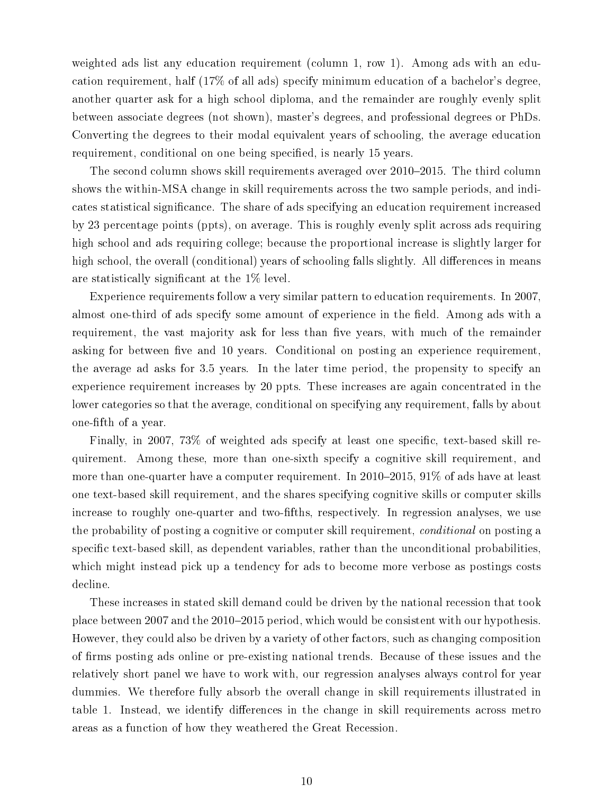weighted ads list any education requirement (column 1, row 1). Among ads with an education requirement, half (17% of all ads) specify minimum education of a bachelor's degree, another quarter ask for a high school diploma, and the remainder are roughly evenly split between associate degrees (not shown), master's degrees, and professional degrees or PhDs. Converting the degrees to their modal equivalent years of schooling, the average education requirement, conditional on one being specified, is nearly 15 years.

The second column shows skill requirements averaged over 2010-2015. The third column shows the within-MSA change in skill requirements across the two sample periods, and indicates statistical signicance. The share of ads specifying an education requirement increased by 23 percentage points (ppts), on average. This is roughly evenly split across ads requiring high school and ads requiring college; because the proportional increase is slightly larger for high school, the overall (conditional) years of schooling falls slightly. All differences in means are statistically significant at the  $1\%$  level.

Experience requirements follow a very similar pattern to education requirements. In 2007, almost one-third of ads specify some amount of experience in the field. Among ads with a requirement, the vast majority ask for less than five years, with much of the remainder asking for between five and 10 years. Conditional on posting an experience requirement, the average ad asks for 3.5 years. In the later time period, the propensity to specify an experience requirement increases by 20 ppts. These increases are again concentrated in the lower categories so that the average, conditional on specifying any requirement, falls by about one-fth of a year.

Finally, in 2007, 73% of weighted ads specify at least one specific, text-based skill requirement. Among these, more than one-sixth specify a cognitive skill requirement, and more than one-quarter have a computer requirement. In  $2010-2015$ ,  $91\%$  of ads have at least one text-based skill requirement, and the shares specifying cognitive skills or computer skills increase to roughly one-quarter and two-fifths, respectively. In regression analyses, we use the probability of posting a cognitive or computer skill requirement, conditional on posting a specific text-based skill, as dependent variables, rather than the unconditional probabilities, which might instead pick up a tendency for ads to become more verbose as postings costs decline.

These increases in stated skill demand could be driven by the national recession that took place between 2007 and the 2010–2015 period, which would be consistent with our hypothesis. However, they could also be driven by a variety of other factors, such as changing composition of firms posting ads online or pre-existing national trends. Because of these issues and the relatively short panel we have to work with, our regression analyses always control for year dummies. We therefore fully absorb the overall change in skill requirements illustrated in table 1. Instead, we identify differences in the change in skill requirements across metro areas as a function of how they weathered the Great Recession.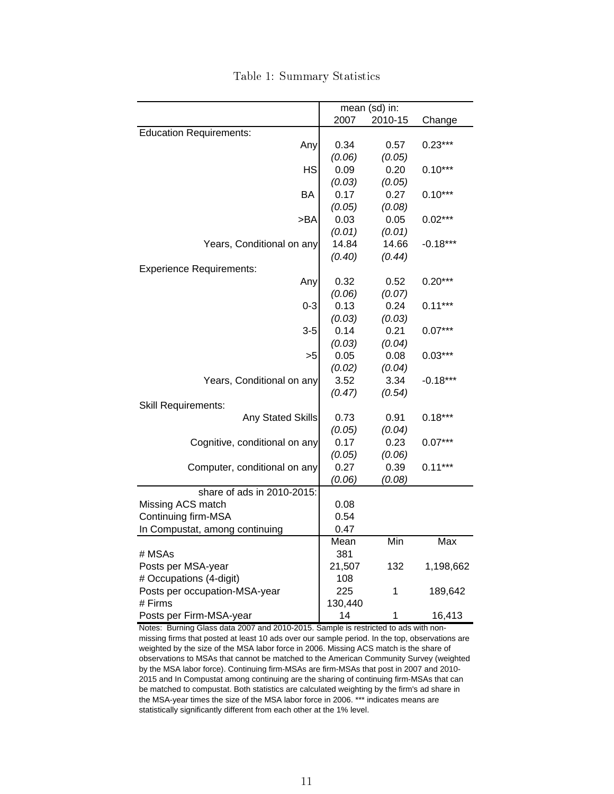|                                 |         | mean (sd) in: |            |
|---------------------------------|---------|---------------|------------|
|                                 | 2007    | 2010-15       | Change     |
| <b>Education Requirements:</b>  |         |               |            |
| Any                             | 0.34    | 0.57          | $0.23***$  |
|                                 | (0.06)  | (0.05)        |            |
| <b>HS</b>                       | 0.09    | 0.20          | $0.10***$  |
|                                 | (0.03)  | (0.05)        |            |
| BA                              | 0.17    | 0.27          | $0.10***$  |
|                                 | (0.05)  | (0.08)        |            |
| >BA                             | 0.03    | 0.05          | $0.02***$  |
|                                 | (0.01)  | (0.01)        |            |
| Years, Conditional on any       | 14.84   | 14.66         | $-0.18***$ |
|                                 | (0.40)  | (0.44)        |            |
| <b>Experience Requirements:</b> |         |               |            |
| Any                             | 0.32    | 0.52          | $0.20***$  |
|                                 | (0.06)  | (0.07)        |            |
| $0 - 3$                         | 0.13    | 0.24          | $0.11***$  |
|                                 | (0.03)  | (0.03)        |            |
| 3-5                             | 0.14    | 0.21          | $0.07***$  |
|                                 | (0.03)  | (0.04)        |            |
| >5                              | 0.05    | 0.08          | $0.03***$  |
|                                 | (0.02)  | (0.04)        |            |
| Years, Conditional on any       | 3.52    | 3.34          | $-0.18***$ |
|                                 | (0.47)  | (0.54)        |            |
| <b>Skill Requirements:</b>      |         |               |            |
| <b>Any Stated Skills</b>        | 0.73    | 0.91          | $0.18***$  |
|                                 | (0.05)  | (0.04)        |            |
| Cognitive, conditional on any   | 0.17    | 0.23          | $0.07***$  |
|                                 | (0.05)  | (0.06)        |            |
| Computer, conditional on any    | 0.27    | 0.39          | $0.11***$  |
|                                 | (0.06)  | (0.08)        |            |
| share of ads in 2010-2015:      |         |               |            |
| Missing ACS match               | 0.08    |               |            |
| Continuing firm-MSA             | 0.54    |               |            |
| In Compustat, among continuing  | 0.47    |               |            |
|                                 | Mean    | Min           | Max        |
| # MSAs                          | 381     |               |            |
| Posts per MSA-year              | 21,507  | 132           | 1,198,662  |
| # Occupations (4-digit)         | 108     |               |            |
| Posts per occupation-MSA-year   | 225     | 1             | 189,642    |
| # Firms                         | 130,440 |               |            |
| Posts per Firm-MSA-year         | 14      | 1             | 16,413     |

Table 1: Summary Statistics

Notes: Burning Glass data 2007 and 2010-2015. Sample is restricted to ads with nonmissing firms that posted at least 10 ads over our sample period. In the top, observations are weighted by the size of the MSA labor force in 2006. Missing ACS match is the share of observations to MSAs that cannot be matched to the American Community Survey (weighted by the MSA labor force). Continuing firm-MSAs are firm-MSAs that post in 2007 and 2010- 2015 and In Compustat among continuing are the sharing of continuing firm-MSAs that can be matched to compustat. Both statistics are calculated weighting by the firm's ad share in the MSA-year times the size of the MSA labor force in 2006. \*\*\* indicates means are statistically significantly different from each other at the 1% level.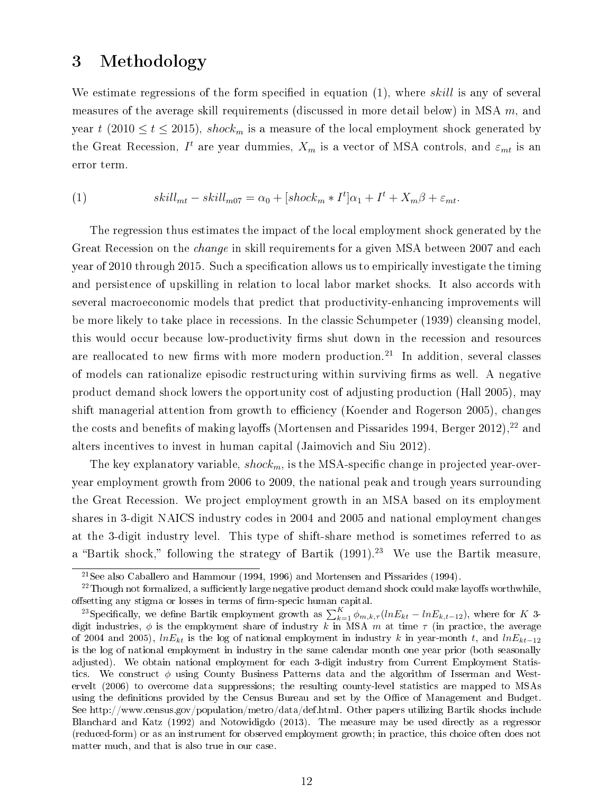### 3 Methodology

We estimate regressions of the form specified in equation  $(1)$ , where skill is any of several measures of the average skill requirements (discussed in more detail below) in MSA  $m$ , and year t (2010  $\leq t \leq 2015$ ), shock<sub>m</sub> is a measure of the local employment shock generated by the Great Recession,  $I^t$  are year dummies,  $X_m$  is a vector of MSA controls, and  $\varepsilon_{mt}$  is an error term.

(1) 
$$
skill_{mt} - skill_{m07} = \alpha_0 + [shock_m * I^t] \alpha_1 + I^t + X_m \beta + \varepsilon_{mt}.
$$

The regression thus estimates the impact of the local employment shock generated by the Great Recession on the *change* in skill requirements for a given MSA between 2007 and each year of 2010 through 2015. Such a specification allows us to empirically investigate the timing and persistence of upskilling in relation to local labor market shocks. It also accords with several macroeconomic models that predict that productivity-enhancing improvements will be more likely to take place in recessions. In the classic Schumpeter (1939) cleansing model, this would occur because low-productivity firms shut down in the recession and resources are reallocated to new firms with more modern production.<sup>21</sup> In addition, several classes of models can rationalize episodic restructuring within surviving firms as well. A negative product demand shock lowers the opportunity cost of adjusting production (Hall 2005), may shift managerial attention from growth to efficiency (Koender and Rogerson 2005), changes the costs and benefits of making layoffs (Mortensen and Pissarides 1994, Berger 2012),  $22$  and alters incentives to invest in human capital (Jaimovich and Siu 2012).

The key explanatory variable,  $shock_m$ , is the MSA-specific change in projected year-overyear employment growth from 2006 to 2009, the national peak and trough years surrounding the Great Recession. We project employment growth in an MSA based on its employment shares in 3-digit NAICS industry codes in 2004 and 2005 and national employment changes at the 3-digit industry level. This type of shift-share method is sometimes referred to as a "Bartik shock," following the strategy of Bartik  $(1991).^{23}$  We use the Bartik measure.

 $21$ See also Caballero and Hammour (1994, 1996) and Mortensen and Pissarides (1994).

 $^{22}$ Though not formalized, a sufficiently large negative product demand shock could make layoffs worthwhile. offsetting any stigma or losses in terms of firm-specic human capital.

<sup>&</sup>lt;sup>23</sup>Specifically, we define Bartik employment growth as  $\sum_{k=1}^{K} \phi_{m,k,\tau} (ln E_{kt} - ln E_{k,t-12})$ , where for K 3digit industries,  $\phi$  is the employment share of industry k in MSA m at time  $\tau$  (in practice, the average of 2004 and 2005),  $lnE_{kt}$  is the log of national employment in industry k in year-month t, and  $lnE_{kt-12}$ is the log of national employment in industry in the same calendar month one year prior (both seasonally adjusted). We obtain national employment for each 3-digit industry from Current Employment Statistics. We construct  $\phi$  using County Business Patterns data and the algorithm of Isserman and Westervelt (2006) to overcome data suppressions; the resulting county-level statistics are mapped to MSAs using the definitions provided by the Census Bureau and set by the Office of Management and Budget. See http://www.census.gov/population/metro/data/def.html. Other papers utilizing Bartik shocks include Blanchard and Katz (1992) and Notowidigdo (2013). The measure may be used directly as a regressor (reduced-form) or as an instrument for observed employment growth; in practice, this choice often does not matter much, and that is also true in our case.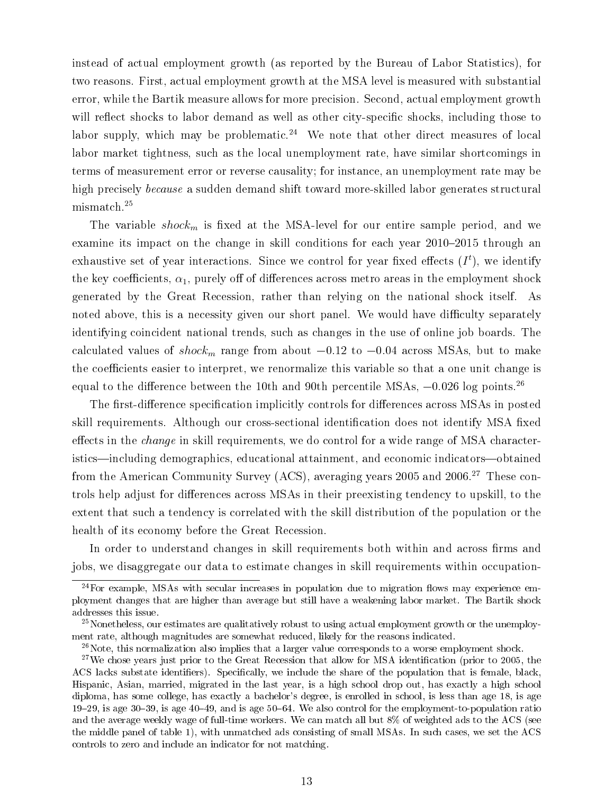instead of actual employment growth (as reported by the Bureau of Labor Statistics), for two reasons. First, actual employment growth at the MSA level is measured with substantial error, while the Bartik measure allows for more precision. Second, actual employment growth will reflect shocks to labor demand as well as other city-specific shocks, including those to labor supply, which may be problematic.<sup>24</sup> We note that other direct measures of local labor market tightness, such as the local unemployment rate, have similar shortcomings in terms of measurement error or reverse causality; for instance, an unemployment rate may be high precisely because a sudden demand shift toward more-skilled labor generates structural mismatch.<sup>25</sup>

The variable  $shock_m$  is fixed at the MSA-level for our entire sample period, and we examine its impact on the change in skill conditions for each year  $2010-2015$  through an exhaustive set of year interactions. Since we control for year fixed effects  $(I<sup>t</sup>)$ , we identify the key coefficients,  $\alpha_1$ , purely off of differences across metro areas in the employment shock generated by the Great Recession, rather than relying on the national shock itself. As noted above, this is a necessity given our short panel. We would have difficulty separately identifying coincident national trends, such as changes in the use of online job boards. The The variable *shock<sub>m</sub>* is fixed at the MSA-level for our entire sample period, and we<br>examine its impact on the change in skill conditions for each year 2010–2015 through an<br>exhaustive set of year interactions. Since we the coefficients easier to interpret, we renormalize this variable so that a one unit change is examine its impact on the change in skill conditions for each year 2010–2015 through<br>exhaustive set of year interactions. Since we control for year fixed effects  $(I<sup>t</sup>)$ , we iden<br>the key coefficients,  $\alpha_1$ , purely off

The first-difference specification implicitly controls for differences across MSAs in posted skill requirements. Although our cross-sectional identification does not identify MSA fixed effects in the *change* in skill requirements, we do control for a wide range of MSA characteristics—including demographics, educational attainment, and economic indicators—obtained from the American Community Survey (ACS), averaging years 2005 and 2006.<sup>27</sup> These controls help adjust for differences across MSAs in their preexisting tendency to upskill, to the extent that such a tendency is correlated with the skill distribution of the population or the health of its economy before the Great Recession.

In order to understand changes in skill requirements both within and across firms and jobs, we disaggregate our data to estimate changes in skill requirements within occupation-

 $^{24}$ For example, MSAs with secular increases in population due to migration flows may experience employment changes that are higher than average but still have a weakening labor market. The Bartik shock addresses this issue.

<sup>&</sup>lt;sup>25</sup>Nonetheless, our estimates are qualitatively robust to using actual employment growth or the unemployment rate, although magnitudes are somewhat reduced, likely for the reasons indicated.

 $^{26}$ Note, this normalization also implies that a larger value corresponds to a worse employment shock.

<sup>&</sup>lt;sup>27</sup>We chose years just prior to the Great Recession that allow for MSA identification (prior to 2005, the ACS lacks substate identifiers). Specifically, we include the share of the population that is female, black, Hispanic, Asian, married, migrated in the last year, is a high school drop out, has exactly a high school diploma, has some college, has exactly a bachelor's degree, is enrolled in school, is less than age 18, is age 19–29, is age 30–39, is age 40–49, and is age 50–64. We also control for the employment-to-population ratio and the average weekly wage of full-time workers. We can match all but 8% of weighted ads to the ACS (see the middle panel of table 1), with unmatched ads consisting of small MSAs. In such cases, we set the ACS controls to zero and include an indicator for not matching.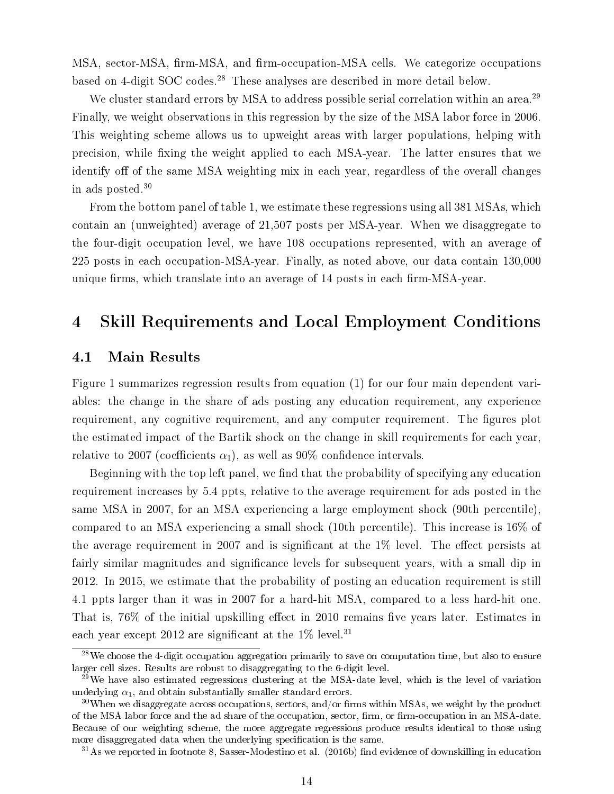MSA, sector-MSA, firm-MSA, and firm-occupation-MSA cells. We categorize occupations based on 4-digit SOC codes.<sup>28</sup> These analyses are described in more detail below.

We cluster standard errors by MSA to address possible serial correlation within an area.<sup>29</sup> Finally, we weight observations in this regression by the size of the MSA labor force in 2006. This weighting scheme allows us to upweight areas with larger populations, helping with precision, while fixing the weight applied to each MSA-year. The latter ensures that we identify off of the same MSA weighting mix in each year, regardless of the overall changes in ads posted.<sup>30</sup>

From the bottom panel of table 1, we estimate these regressions using all 381 MSAs, which contain an (unweighted) average of 21,507 posts per MSA-year. When we disaggregate to the four-digit occupation level, we have 108 occupations represented, with an average of 225 posts in each occupation-MSA-year. Finally, as noted above, our data contain 130,000 unique firms, which translate into an average of 14 posts in each firm-MSA-year.

## 4 Skill Requirements and Local Employment Conditions

#### 4.1 Main Results

Figure 1 summarizes regression results from equation (1) for our four main dependent variables: the change in the share of ads posting any education requirement, any experience requirement, any cognitive requirement, and any computer requirement. The figures plot the estimated impact of the Bartik shock on the change in skill requirements for each year, relative to 2007 (coefficients  $\alpha_1$ ), as well as 90% confidence intervals.

Beginning with the top left panel, we find that the probability of specifying any education requirement increases by 5.4 ppts, relative to the average requirement for ads posted in the same MSA in 2007, for an MSA experiencing a large employment shock (90th percentile), compared to an MSA experiencing a small shock (10th percentile). This increase is 16% of the average requirement in 2007 and is significant at the  $1\%$  level. The effect persists at fairly similar magnitudes and significance levels for subsequent years, with a small dip in 2012. In 2015, we estimate that the probability of posting an education requirement is still 4.1 ppts larger than it was in 2007 for a hard-hit MSA, compared to a less hard-hit one. That is,  $76\%$  of the initial upskilling effect in 2010 remains five years later. Estimates in each year except 2012 are significant at the  $1\%$  level.<sup>31</sup>

 $28$ We choose the 4-digit occupation aggregation primarily to save on computation time, but also to ensure larger cell sizes. Results are robust to disaggregating to the 6-digit level.

 $29$ We have also estimated regressions clustering at the MSA-date level, which is the level of variation underlying  $\alpha_1$ , and obtain substantially smaller standard errors.

 $30$ When we disaggregate across occupations, sectors, and/or firms within MSAs, we weight by the product of the MSA labor force and the ad share of the occupation, sector, firm, or firm-occupation in an MSA-date. Because of our weighting scheme, the more aggregate regressions produce results identical to those using more disaggregated data when the underlying specification is the same.

 $31\text{As}$  we reported in footnote 8. Sasser-Modestino et al. (2016b) find evidence of downskilling in education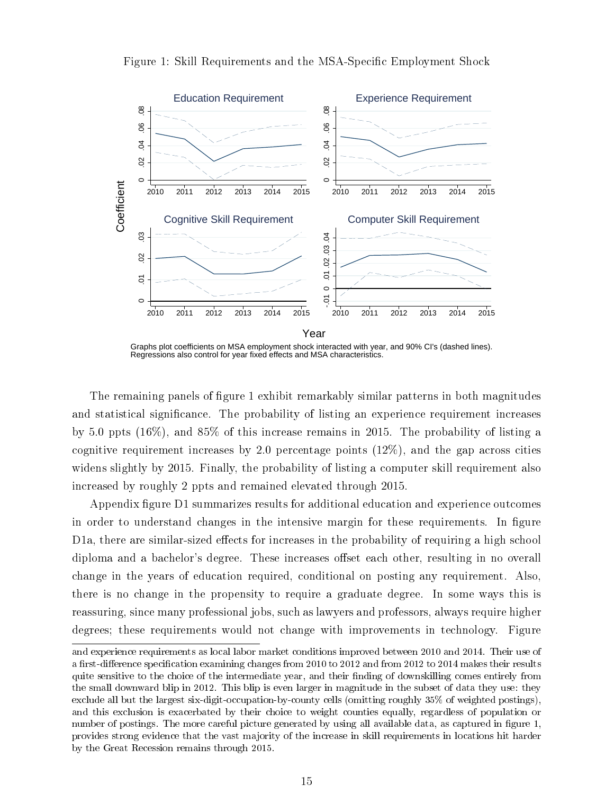

Figure 1: Skill Requirements and the MSA-Specific Employment Shock

Graphs plot coefficients on MSA employment shock interacted with year, and 90% CI's (dashed lines). Regressions also control for year fixed effects and MSA characteristics.

The remaining panels of figure 1 exhibit remarkably similar patterns in both magnitudes and statistical significance. The probability of listing an experience requirement increases by 5.0 ppts (16%), and 85% of this increase remains in 2015. The probability of listing a cognitive requirement increases by 2.0 percentage points  $(12\%)$ , and the gap across cities widens slightly by 2015. Finally, the probability of listing a computer skill requirement also increased by roughly 2 ppts and remained elevated through 2015.

Appendix figure D1 summarizes results for additional education and experience outcomes in order to understand changes in the intensive margin for these requirements. In figure D1a, there are similar-sized effects for increases in the probability of requiring a high school diploma and a bachelor's degree. These increases offset each other, resulting in no overall change in the years of education required, conditional on posting any requirement. Also, there is no change in the propensity to require a graduate degree. In some ways this is reassuring, since many professional jobs, such as lawyers and professors, always require higher degrees; these requirements would not change with improvements in technology. Figure

and experience requirements as local labor market conditions improved between 2010 and 2014. Their use of a first-difference specification examining changes from 2010 to 2012 and from 2012 to 2014 makes their results quite sensitive to the choice of the intermediate year, and their finding of downskilling comes entirely from the small downward blip in 2012. This blip is even larger in magnitude in the subset of data they use: they exclude all but the largest six-digit-occupation-by-county cells (omitting roughly 35% of weighted postings), and this exclusion is exacerbated by their choice to weight counties equally, regardless of population or number of postings. The more careful picture generated by using all available data, as captured in figure 1, provides strong evidence that the vast majority of the increase in skill requirements in locations hit harder by the Great Recession remains through 2015.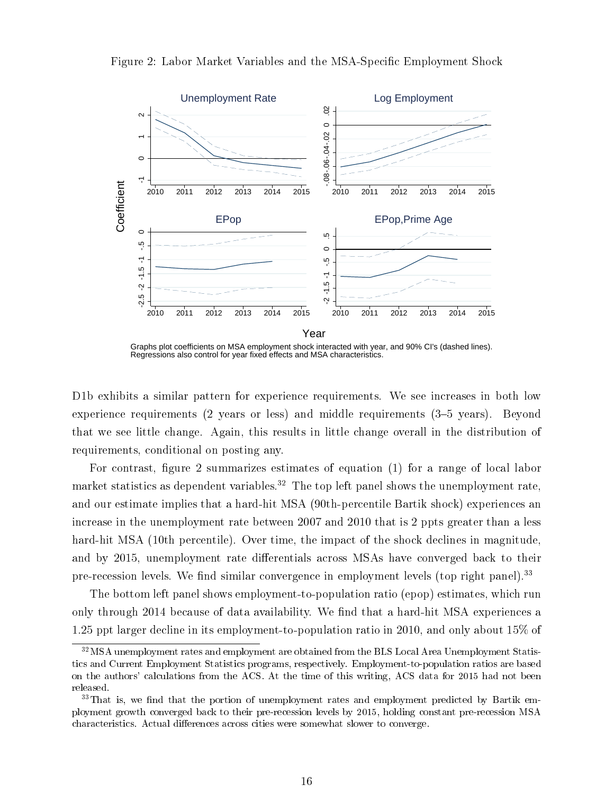

Figure 2: Labor Market Variables and the MSA-Specific Employment Shock

Graphs plot coefficients on MSA employment shock interacted with year, and 90% CI's (dashed lines). Regressions also control for year fixed effects and MSA characteristics.

D1b exhibits a similar pattern for experience requirements. We see increases in both low experience requirements  $(2 \text{ years or less})$  and middle requirements  $(3-5 \text{ years})$ . Beyond that we see little change. Again, this results in little change overall in the distribution of requirements, conditional on posting any.

For contrast, figure 2 summarizes estimates of equation  $(1)$  for a range of local labor market statistics as dependent variables.<sup>32</sup> The top left panel shows the unemployment rate, and our estimate implies that a hard-hit MSA (90th-percentile Bartik shock) experiences an increase in the unemployment rate between 2007 and 2010 that is 2 ppts greater than a less hard-hit MSA (10th percentile). Over time, the impact of the shock declines in magnitude, and by 2015, unemployment rate differentials across MSAs have converged back to their pre-recession levels. We find similar convergence in employment levels (top right panel).<sup>33</sup>

The bottom left panel shows employment-to-population ratio (epop) estimates, which run only through 2014 because of data availability. We find that a hard-hit MSA experiences a 1.25 ppt larger decline in its employment-to-population ratio in 2010, and only about 15% of

<sup>&</sup>lt;sup>32</sup>MSA unemployment rates and employment are obtained from the BLS Local Area Unemployment Statistics and Current Employment Statistics programs, respectively. Employment-to-population ratios are based on the authors' calculations from the ACS. At the time of this writing, ACS data for 2015 had not been released.

 $33$ That is, we find that the portion of unemployment rates and employment predicted by Bartik employment growth converged back to their pre-recession levels by 2015, holding constant pre-recession MSA characteristics. Actual differences across cities were somewhat slower to converge.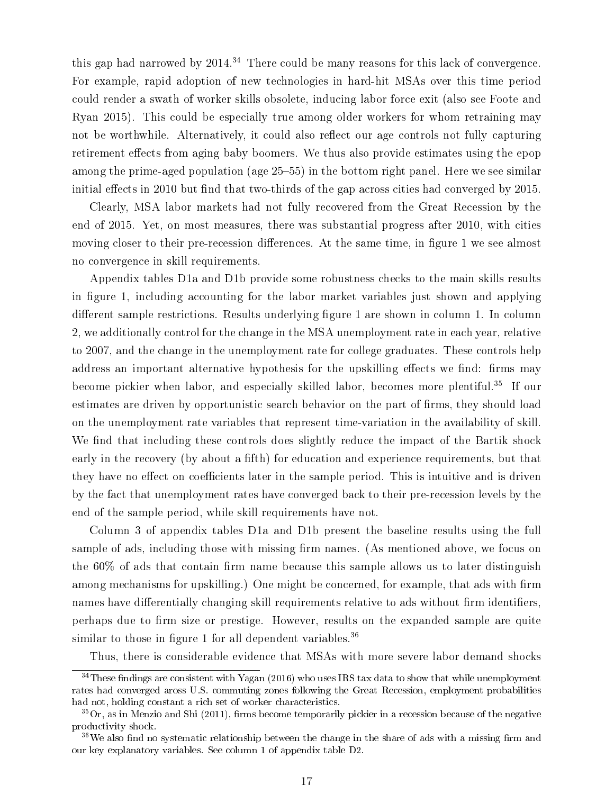this gap had narrowed by  $2014<sup>34</sup>$  There could be many reasons for this lack of convergence. For example, rapid adoption of new technologies in hard-hit MSAs over this time period could render a swath of worker skills obsolete, inducing labor force exit (also see Foote and Ryan 2015). This could be especially true among older workers for whom retraining may not be worthwhile. Alternatively, it could also reflect our age controls not fully capturing retirement effects from aging baby boomers. We thus also provide estimates using the epop among the prime-aged population (age 25–55) in the bottom right panel. Here we see similar initial effects in 2010 but find that two-thirds of the gap across cities had converged by 2015.

Clearly, MSA labor markets had not fully recovered from the Great Recession by the end of 2015. Yet, on most measures, there was substantial progress after 2010, with cities moving closer to their pre-recession differences. At the same time, in figure 1 we see almost no convergence in skill requirements.

Appendix tables D1a and D1b provide some robustness checks to the main skills results in figure 1, including accounting for the labor market variables just shown and applying different sample restrictions. Results underlying figure 1 are shown in column 1. In column 2, we additionally control for the change in the MSA unemployment rate in each year, relative to 2007, and the change in the unemployment rate for college graduates. These controls help address an important alternative hypothesis for the upskilling effects we find: firms may become pickier when labor, and especially skilled labor, becomes more plentiful.<sup>35</sup> If our estimates are driven by opportunistic search behavior on the part of firms, they should load on the unemployment rate variables that represent time-variation in the availability of skill. We find that including these controls does slightly reduce the impact of the Bartik shock early in the recovery (by about a fifth) for education and experience requirements, but that they have no effect on coefficients later in the sample period. This is intuitive and is driven by the fact that unemployment rates have converged back to their pre-recession levels by the end of the sample period, while skill requirements have not.

Column 3 of appendix tables D1a and D1b present the baseline results using the full sample of ads, including those with missing firm names. (As mentioned above, we focus on the  $60\%$  of ads that contain firm name because this sample allows us to later distinguish among mechanisms for upskilling.) One might be concerned, for example, that ads with firm names have differentially changing skill requirements relative to ads without firm identifiers, perhaps due to firm size or prestige. However, results on the expanded sample are quite similar to those in figure 1 for all dependent variables.<sup>36</sup>

Thus, there is considerable evidence that MSAs with more severe labor demand shocks

 $34$ These findings are consistent with Yagan (2016) who uses IRS tax data to show that while unemployment rates had converged aross U.S. commuting zones following the Great Recession, employment probabilities had not, holding constant a rich set of worker characteristics.

 ${}^{35}$  Or, as in Menzio and Shi (2011), firms become temporarily pickier in a recession because of the negative productivity shock.

 $36\,\text{We also find no systematic relationship between the change in the share of ads with a missing firm and$ our key explanatory variables. See column 1 of appendix table D2.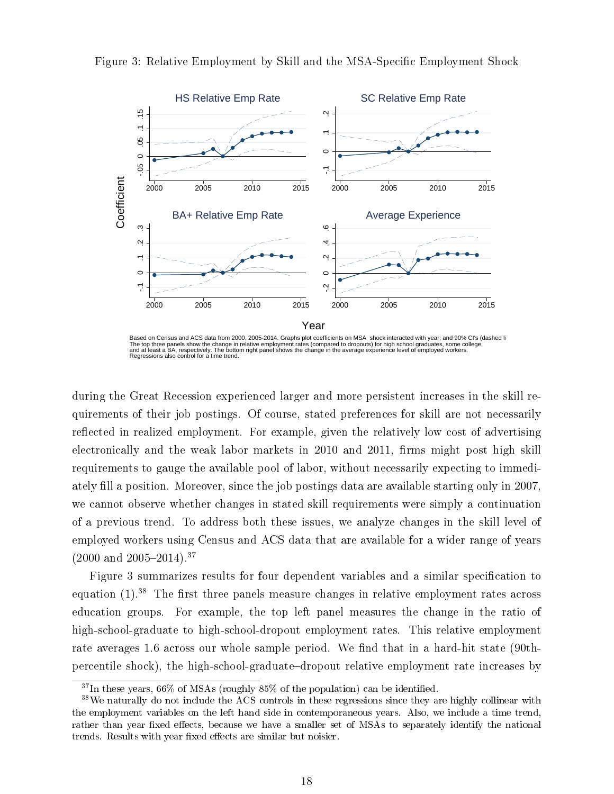

Figure 3: Relative Employment by Skill and the MSA-Specific Employment Shock

during the Great Recession experienced larger and more persistent increases in the skill requirements of their job postings. Of course, stated preferences for skill are not necessarily reflected in realized employment. For example, given the relatively low cost of advertising electronically and the weak labor markets in 2010 and 2011, firms might post high skill requirements to gauge the available pool of labor, without necessarily expecting to immediately fill a position. Moreover, since the job postings data are available starting only in 2007, we cannot observe whether changes in stated skill requirements were simply a continuation of a previous trend. To address both these issues, we analyze changes in the skill level of employed workers using Census and ACS data that are available for a wider range of years  $(2000 \text{ and } 2005-2014).$ <sup>37</sup>

Figure 3 summarizes results for four dependent variables and a similar specification to equation  $(1).^{38}$  The first three panels measure changes in relative employment rates across education groups. For example, the top left panel measures the change in the ratio of high-school-graduate to high-school-dropout employment rates. This relative employment rate averages 1.6 across our whole sample period. We find that in a hard-hit state (90thpercentile shock), the high-school-graduatedropout relative employment rate increases by

Based on Census and ACS data from 2000, 2005-2014. Graphs plot coefficients on MSA shock interacted with year, and 90% CI's (dashed li<br>The top three panels show the change in relative employment rates (compared to dropouts

 $37$ In these years, 66% of MSAs (roughly  $85\%$  of the population) can be identified.

<sup>38</sup>We naturally do not include the ACS controls in these regressions since they are highly collinear with the employment variables on the left hand side in contemporaneous years. Also, we include a time trend, rather than year fixed effects, because we have a smaller set of MSAs to separately identify the national trends. Results with year fixed effects are similar but noisier.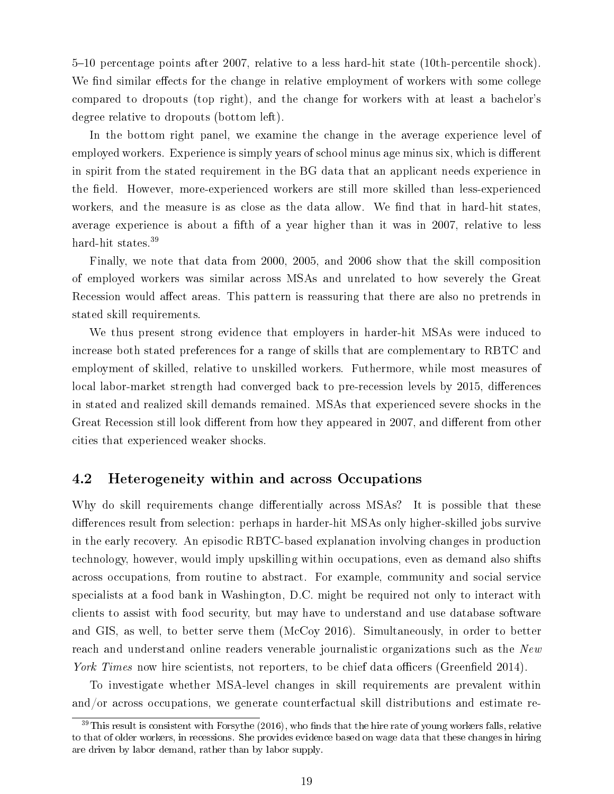510 percentage points after 2007, relative to a less hard-hit state (10th-percentile shock). We find similar effects for the change in relative employment of workers with some college compared to dropouts (top right), and the change for workers with at least a bachelor's degree relative to dropouts (bottom left).

In the bottom right panel, we examine the change in the average experience level of employed workers. Experience is simply years of school minus age minus six, which is different in spirit from the stated requirement in the BG data that an applicant needs experience in the field. However, more-experienced workers are still more skilled than less-experienced workers, and the measure is as close as the data allow. We find that in hard-hit states, average experience is about a fifth of a year higher than it was in 2007, relative to less hard-hit states.<sup>39</sup>

Finally, we note that data from 2000, 2005, and 2006 show that the skill composition of employed workers was similar across MSAs and unrelated to how severely the Great Recession would affect areas. This pattern is reassuring that there are also no pretrends in stated skill requirements.

We thus present strong evidence that employers in harder-hit MSAs were induced to increase both stated preferences for a range of skills that are complementary to RBTC and employment of skilled, relative to unskilled workers. Futhermore, while most measures of local labor-market strength had converged back to pre-recession levels by 2015, differences in stated and realized skill demands remained. MSAs that experienced severe shocks in the Great Recession still look different from how they appeared in 2007, and different from other cities that experienced weaker shocks.

### 4.2 Heterogeneity within and across Occupations

Why do skill requirements change differentially across MSAs? It is possible that these differences result from selection: perhaps in harder-hit MSAs only higher-skilled jobs survive in the early recovery. An episodic RBTC-based explanation involving changes in production technology, however, would imply upskilling within occupations, even as demand also shifts across occupations, from routine to abstract. For example, community and social service specialists at a food bank in Washington, D.C. might be required not only to interact with clients to assist with food security, but may have to understand and use database software and GIS, as well, to better serve them (McCoy 2016). Simultaneously, in order to better reach and understand online readers venerable journalistic organizations such as the New York Times now hire scientists, not reporters, to be chief data officers (Greenfield 2014).

To investigate whether MSA-level changes in skill requirements are prevalent within and/or across occupations, we generate counterfactual skill distributions and estimate re-

 $39$ This result is consistent with Forsythe (2016), who finds that the hire rate of young workers falls, relative to that of older workers, in recessions. She provides evidence based on wage data that these changes in hiring are driven by labor demand, rather than by labor supply.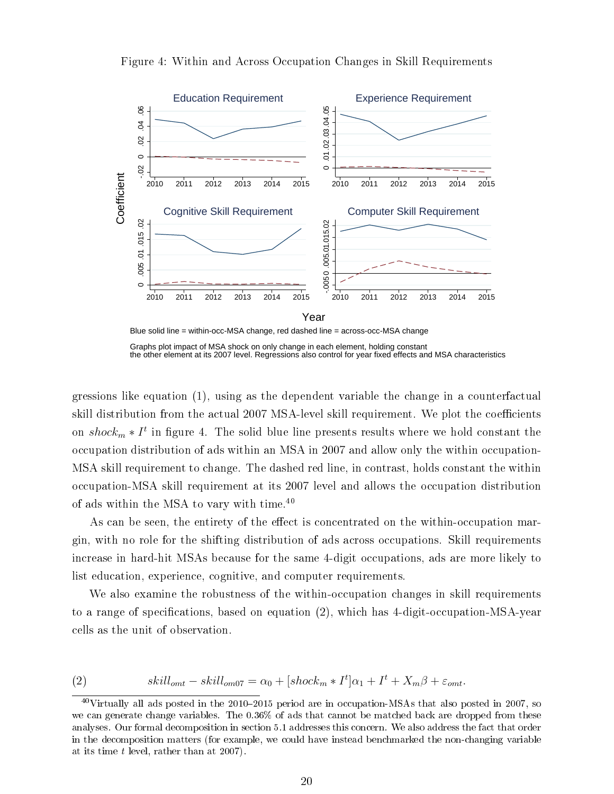

Figure 4: Within and Across Occupation Changes in Skill Requirements

gressions like equation (1), using as the dependent variable the change in a counterfactual skill distribution from the actual 2007 MSA-level skill requirement. We plot the coefficients on  $shock_m * I^t$  in figure 4. The solid blue line presents results where we hold constant the occupation distribution of ads within an MSA in 2007 and allow only the within occupation-MSA skill requirement to change. The dashed red line, in contrast, holds constant the within occupation-MSA skill requirement at its 2007 level and allows the occupation distribution of ads within the MSA to vary with time.<sup>40</sup>

As can be seen, the entirety of the effect is concentrated on the within-occupation margin, with no role for the shifting distribution of ads across occupations. Skill requirements increase in hard-hit MSAs because for the same 4-digit occupations, ads are more likely to list education, experience, cognitive, and computer requirements.

We also examine the robustness of the within-occupation changes in skill requirements to a range of specifications, based on equation  $(2)$ , which has 4-digit-occupation-MSA-year cells as the unit of observation.

(2) 
$$
skill_{omt} - skill_{om07} = \alpha_0 + [shock_m * I^t] \alpha_1 + I^t + X_m \beta + \varepsilon_{omt}.
$$

Graphs plot impact of MSA shock on only change in each element, holding constant the other element at its 2007 level. Regressions also control for year fixed effects and MSA characteristics.

 $^{40}$ Virtually all ads posted in the 2010–2015 period are in occupation-MSAs that also posted in 2007, so we can generate change variables. The 0.36% of ads that cannot be matched back are dropped from these analyses. Our formal decomposition in section 5.1 addresses this concern. We also address the fact that order in the decomposition matters (for example, we could have instead benchmarked the non-changing variable at its time t level, rather than at 2007).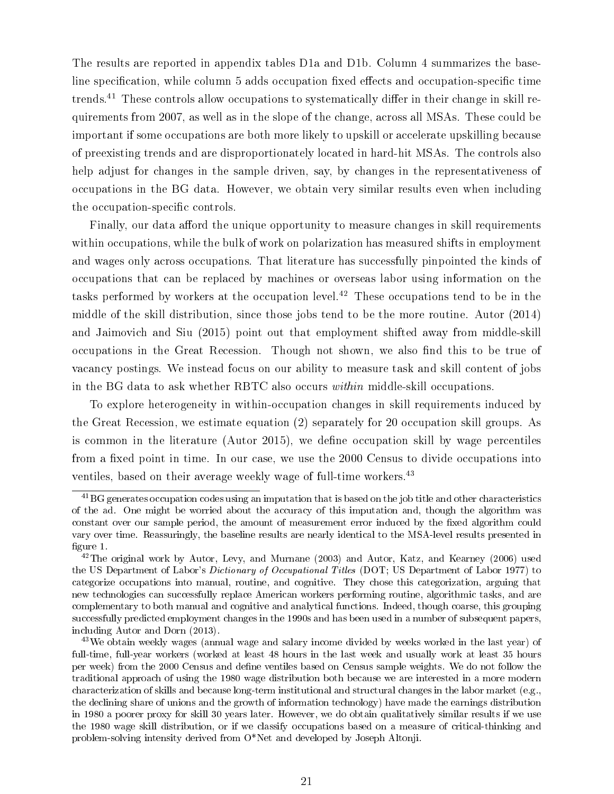The results are reported in appendix tables D1a and D1b. Column 4 summarizes the baseline specification, while column 5 adds occupation fixed effects and occupation-specific time trends.<sup>41</sup> These controls allow occupations to systematically differ in their change in skill requirements from 2007, as well as in the slope of the change, across all MSAs. These could be important if some occupations are both more likely to upskill or accelerate upskilling because of preexisting trends and are disproportionately located in hard-hit MSAs. The controls also help adjust for changes in the sample driven, say, by changes in the representativeness of occupations in the BG data. However, we obtain very similar results even when including the occupation-specific controls.

Finally, our data afford the unique opportunity to measure changes in skill requirements within occupations, while the bulk of work on polarization has measured shifts in employment and wages only across occupations. That literature has successfully pinpointed the kinds of occupations that can be replaced by machines or overseas labor using information on the tasks performed by workers at the occupation level.<sup>42</sup> These occupations tend to be in the middle of the skill distribution, since those jobs tend to be the more routine. Autor (2014) and Jaimovich and Siu (2015) point out that employment shifted away from middle-skill occupations in the Great Recession. Though not shown, we also find this to be true of vacancy postings. We instead focus on our ability to measure task and skill content of jobs in the BG data to ask whether RBTC also occurs within middle-skill occupations.

To explore heterogeneity in within-occupation changes in skill requirements induced by the Great Recession, we estimate equation (2) separately for 20 occupation skill groups. As is common in the literature (Autor 2015), we define occupation skill by wage percentiles from a fixed point in time. In our case, we use the 2000 Census to divide occupations into ventiles, based on their average weekly wage of full-time workers.<sup>43</sup>

 $^{41}$ BG generates occupation codes using an imputation that is based on the job title and other characteristics of the ad. One might be worried about the accuracy of this imputation and, though the algorithm was constant over our sample period, the amount of measurement error induced by the fixed algorithm could vary over time. Reassuringly, the baseline results are nearly identical to the MSA-level results presented in figure 1.

 $^{42}$ The original work by Autor, Levy, and Murnane (2003) and Autor, Katz, and Kearney (2006) used the US Department of Labor's Dictionary of Occupational Titles (DOT; US Department of Labor 1977) to categorize occupations into manual, routine, and cognitive. They chose this categorization, arguing that new technologies can successfully replace American workers performing routine, algorithmic tasks, and are complementary to both manual and cognitive and analytical functions. Indeed, though coarse, this grouping successfully predicted employment changes in the 1990s and has been used in a number of subsequent papers, including Autor and Dorn (2013).

<sup>&</sup>lt;sup>43</sup>We obtain weekly wages (annual wage and salary income divided by weeks worked in the last year) of full-time, full-year workers (worked at least 48 hours in the last week and usually work at least 35 hours per week) from the 2000 Census and dene ventiles based on Census sample weights. We do not follow the traditional approach of using the 1980 wage distribution both because we are interested in a more modern characterization of skills and because long-term institutional and structural changes in the labor market (e.g., the declining share of unions and the growth of information technology) have made the earnings distribution in 1980 a poorer proxy for skill 30 years later. However, we do obtain qualitatively similar results if we use the 1980 wage skill distribution, or if we classify occupations based on a measure of critical-thinking and problem-solving intensity derived from O\*Net and developed by Joseph Altonji.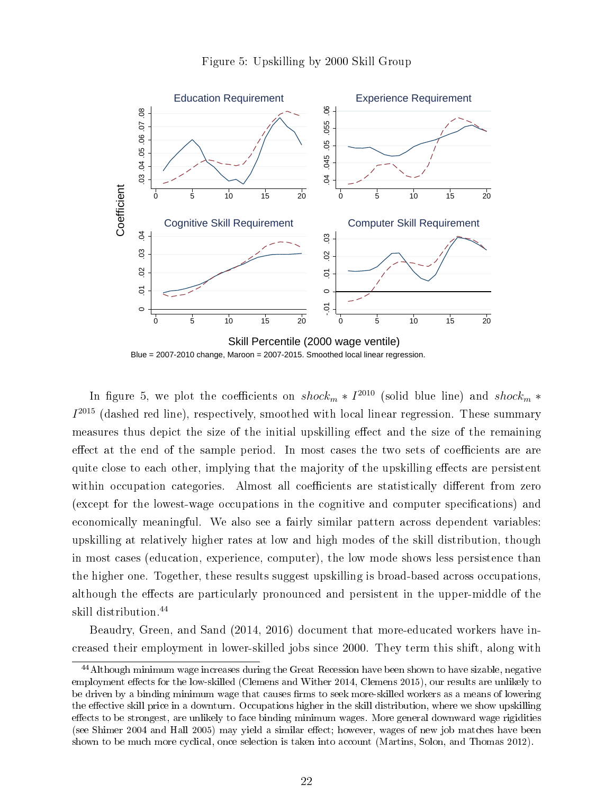



In figure 5, we plot the coefficients on  $shock_m * I^{2010}$  (solid blue line) and  $shock_m *$  $I<sup>2015</sup>$  (dashed red line), respectively, smoothed with local linear regression. These summary measures thus depict the size of the initial upskilling effect and the size of the remaining effect at the end of the sample period. In most cases the two sets of coefficients are are quite close to each other, implying that the majority of the upskilling effects are persistent within occupation categories. Almost all coefficients are statistically different from zero (except for the lowest-wage occupations in the cognitive and computer specifications) and economically meaningful. We also see a fairly similar pattern across dependent variables: upskilling at relatively higher rates at low and high modes of the skill distribution, though in most cases (education, experience, computer), the low mode shows less persistence than the higher one. Together, these results suggest upskilling is broad-based across occupations, although the effects are particularly pronounced and persistent in the upper-middle of the skill distribution.<sup>44</sup>

Beaudry, Green, and Sand (2014, 2016) document that more-educated workers have increased their employment in lower-skilled jobs since 2000. They term this shift, along with

<sup>44</sup>Although minimum wage increases during the Great Recession have been shown to have sizable, negative employment effects for the low-skilled (Clemens and Wither 2014, Clemens 2015), our results are unlikely to be driven by a binding minimum wage that causes firms to seek more-skilled workers as a means of lowering the effective skill price in a downturn. Occupations higher in the skill distribution, where we show upskilling effects to be strongest, are unlikely to face binding minimum wages. More general downward wage rigidities (see Shimer 2004 and Hall 2005) may yield a similar effect; however, wages of new job matches have been shown to be much more cyclical, once selection is taken into account (Martins, Solon, and Thomas 2012).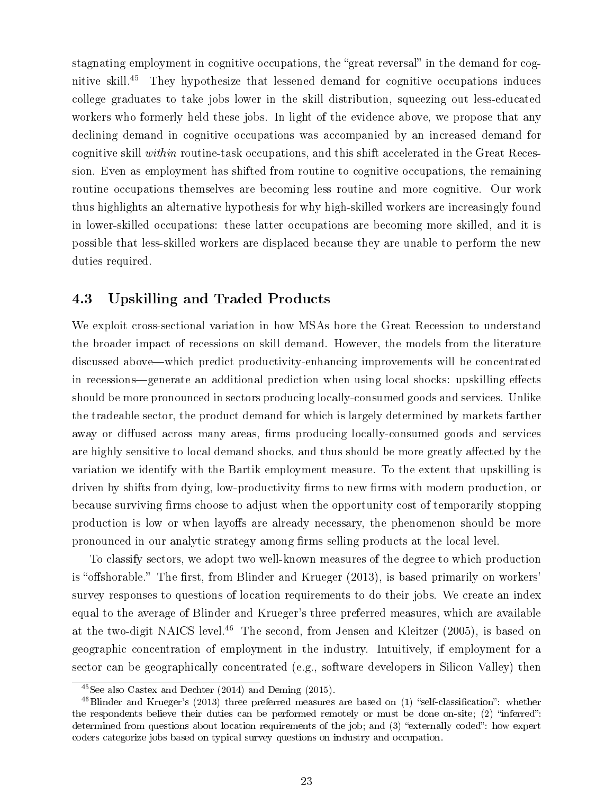stagnating employment in cognitive occupations, the "great reversal" in the demand for cognitive skill.<sup>45</sup> They hypothesize that lessened demand for cognitive occupations induces college graduates to take jobs lower in the skill distribution, squeezing out less-educated workers who formerly held these jobs. In light of the evidence above, we propose that any declining demand in cognitive occupations was accompanied by an increased demand for cognitive skill within routine-task occupations, and this shift accelerated in the Great Recession. Even as employment has shifted from routine to cognitive occupations, the remaining routine occupations themselves are becoming less routine and more cognitive. Our work thus highlights an alternative hypothesis for why high-skilled workers are increasingly found in lower-skilled occupations: these latter occupations are becoming more skilled, and it is possible that less-skilled workers are displaced because they are unable to perform the new duties required.

### 4.3 Upskilling and Traded Products

We exploit cross-sectional variation in how MSAs bore the Great Recession to understand the broader impact of recessions on skill demand. However, the models from the literature discussed above—which predict productivity-enhancing improvements will be concentrated in recessions—generate an additional prediction when using local shocks: upskilling effects should be more pronounced in sectors producing locally-consumed goods and services. Unlike the tradeable sector, the product demand for which is largely determined by markets farther away or diffused across many areas, firms producing locally-consumed goods and services are highly sensitive to local demand shocks, and thus should be more greatly affected by the variation we identify with the Bartik employment measure. To the extent that upskilling is driven by shifts from dying, low-productivity firms to new firms with modern production, or because surviving firms choose to adjust when the opportunity cost of temporarily stopping production is low or when layoffs are already necessary, the phenomenon should be more pronounced in our analytic strategy among firms selling products at the local level.

To classify sectors, we adopt two well-known measures of the degree to which production is "offshorable." The first, from Blinder and Krueger  $(2013)$ , is based primarily on workers' survey responses to questions of location requirements to do their jobs. We create an index equal to the average of Blinder and Krueger's three preferred measures, which are available at the two-digit NAICS level.<sup>46</sup> The second, from Jensen and Kleitzer (2005), is based on geographic concentration of employment in the industry. Intuitively, if employment for a sector can be geographically concentrated (e.g., software developers in Silicon Valley) then

<sup>45</sup>See also Castex and Dechter (2014) and Deming (2015).

 $^{46}$ Blinder and Krueger's (2013) three preferred measures are based on (1) "self-classification": whether the respondents believe their duties can be performed remotely or must be done on-site; (2) "inferred": determined from questions about location requirements of the job; and (3) "externally coded": how expert coders categorize jobs based on typical survey questions on industry and occupation.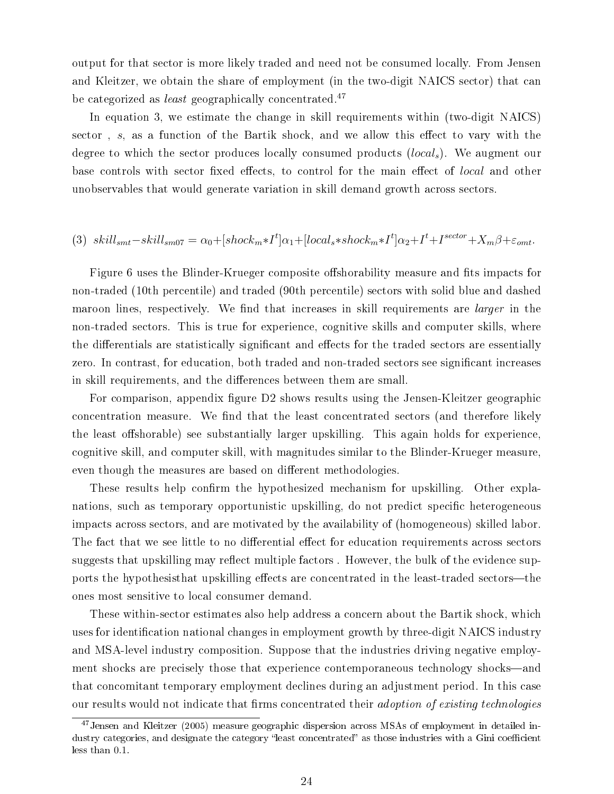output for that sector is more likely traded and need not be consumed locally. From Jensen and Kleitzer, we obtain the share of employment (in the two-digit NAICS sector) that can be categorized as *least* geographically concentrated.<sup>47</sup>

In equation 3, we estimate the change in skill requirements within (two-digit NAICS) sector,  $s$ , as a function of the Bartik shock, and we allow this effect to vary with the degree to which the sector produces locally consumed products (local<sub>s</sub>). We augment our base controls with sector fixed effects, to control for the main effect of *local* and other unobservables that would generate variation in skill demand growth across sectors.

### (3)  $skill_{smt} - skill_{sm07} = \alpha_0 + [shock_m * I^t] \alpha_1 + [local_s * shock_m * I^t] \alpha_2 + I^t + I^{sector} + X_m \beta + \varepsilon_{omt}$

Figure 6 uses the Blinder-Krueger composite offshorability measure and fits impacts for non-traded (10th percentile) and traded (90th percentile) sectors with solid blue and dashed maroon lines, respectively. We find that increases in skill requirements are *larger* in the non-traded sectors. This is true for experience, cognitive skills and computer skills, where the differentials are statistically significant and effects for the traded sectors are essentially zero. In contrast, for education, both traded and non-traded sectors see significant increases in skill requirements, and the differences between them are small.

For comparison, appendix figure D2 shows results using the Jensen-Kleitzer geographic concentration measure. We find that the least concentrated sectors (and therefore likely the least offshorable) see substantially larger upskilling. This again holds for experience, cognitive skill, and computer skill, with magnitudes similar to the Blinder-Krueger measure, even though the measures are based on different methodologies.

These results help confirm the hypothesized mechanism for upskilling. Other explanations, such as temporary opportunistic upskilling, do not predict specific heterogeneous impacts across sectors, and are motivated by the availability of (homogeneous) skilled labor. The fact that we see little to no differential effect for education requirements across sectors suggests that upskilling may reflect multiple factors. However, the bulk of the evidence supports the hypothesisthat upskilling effects are concentrated in the least-traded sectors—the ones most sensitive to local consumer demand.

These within-sector estimates also help address a concern about the Bartik shock, which uses for identification national changes in employment growth by three-digit NAICS industry and MSA-level industry composition. Suppose that the industries driving negative employment shocks are precisely those that experience contemporaneous technology shocks—and that concomitant temporary employment declines during an adjustment period. In this case our results would not indicate that firms concentrated their *adoption of existing technologies* 

<sup>&</sup>lt;sup>47</sup>Jensen and Kleitzer (2005) measure geographic dispersion across MSAs of employment in detailed industry categories, and designate the category "least concentrated" as those industries with a Gini coefficient less than 0.1.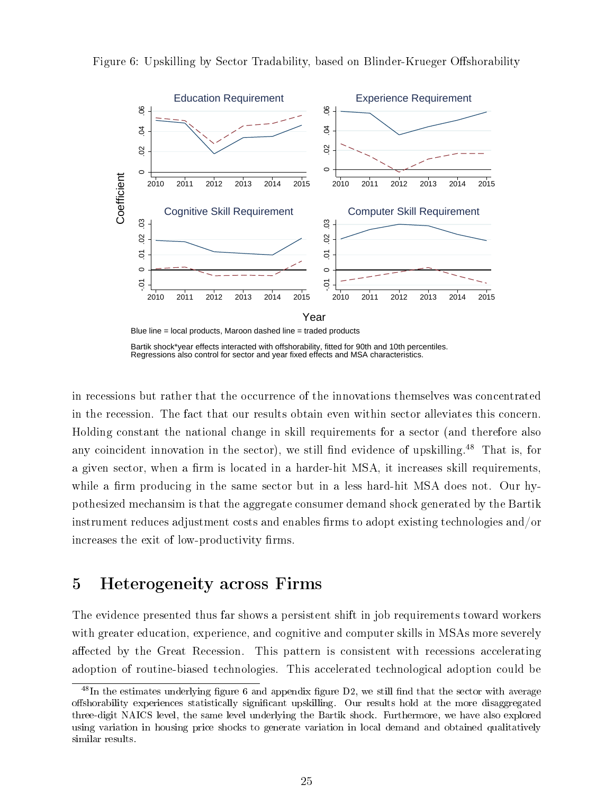

Figure 6: Upskilling by Sector Tradability, based on Blinder-Krueger Offshorability

Bartik shock\*year effects interacted with offshorability, fitted for 90th and 10th percentiles. Regressions also control for sector and year fixed effects and MSA characteristics.

in recessions but rather that the occurrence of the innovations themselves was concentrated in the recession. The fact that our results obtain even within sector alleviates this concern. Holding constant the national change in skill requirements for a sector (and therefore also any coincident innovation in the sector), we still find evidence of upskilling.<sup>48</sup> That is, for a given sector, when a firm is located in a harder-hit MSA, it increases skill requirements, while a firm producing in the same sector but in a less hard-hit MSA does not. Our hypothesized mechansim is that the aggregate consumer demand shock generated by the Bartik instrument reduces adjustment costs and enables firms to adopt existing technologies and/or increases the exit of low-productivity firms.

# 5 Heterogeneity across Firms

The evidence presented thus far shows a persistent shift in job requirements toward workers with greater education, experience, and cognitive and computer skills in MSAs more severely affected by the Great Recession. This pattern is consistent with recessions accelerating adoption of routine-biased technologies. This accelerated technological adoption could be

 $48$ In the estimates underlying figure 6 and appendix figure D2, we still find that the sector with average offshorability experiences statistically significant upskilling. Our results hold at the more disaggregated three-digit NAICS level, the same level underlying the Bartik shock. Furthermore, we have also explored using variation in housing price shocks to generate variation in local demand and obtained qualitatively similar results.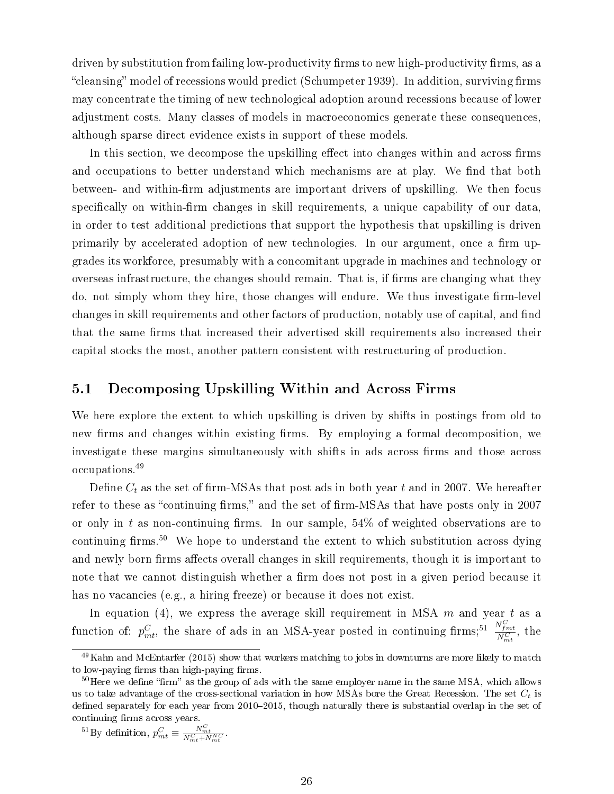driven by substitution from failing low-productivity firms to new high-productivity firms, as a "cleansing" model of recessions would predict (Schumpeter 1939). In addition, surviving firms may concentrate the timing of new technological adoption around recessions because of lower adjustment costs. Many classes of models in macroeconomics generate these consequences, although sparse direct evidence exists in support of these models.

In this section, we decompose the upskilling effect into changes within and across firms and occupations to better understand which mechanisms are at play. We find that both between- and within-firm adjustments are important drivers of upskilling. We then focus specifically on within-firm changes in skill requirements, a unique capability of our data, in order to test additional predictions that support the hypothesis that upskilling is driven primarily by accelerated adoption of new technologies. In our argument, once a firm upgrades its workforce, presumably with a concomitant upgrade in machines and technology or overseas infrastructure, the changes should remain. That is, if firms are changing what they do, not simply whom they hire, those changes will endure. We thus investigate firm-level changes in skill requirements and other factors of production, notably use of capital, and find that the same firms that increased their advertised skill requirements also increased their capital stocks the most, another pattern consistent with restructuring of production.

### 5.1 Decomposing Upskilling Within and Across Firms

We here explore the extent to which upskilling is driven by shifts in postings from old to new firms and changes within existing firms. By employing a formal decomposition, we investigate these margins simultaneously with shifts in ads across firms and those across occupations.<sup>49</sup>

Define  $C_t$  as the set of firm-MSAs that post ads in both year t and in 2007. We hereafter refer to these as "continuing firms," and the set of firm-MSAs that have posts only in 2007 or only in t as non-continuing firms. In our sample,  $54\%$  of weighted observations are to continuing firms.<sup>50</sup> We hope to understand the extent to which substitution across dying and newly born firms affects overall changes in skill requirements, though it is important to note that we cannot distinguish whether a firm does not post in a given period because it has no vacancies (e.g., a hiring freeze) or because it does not exist.

In equation (4), we express the average skill requirement in MSA  $m$  and year  $t$  as a function of:  $p_{mt}^C$ , the share of ads in an MSA-year posted in continuing firms;<sup>51</sup>  $\frac{N_{fmt}^C}{N_{mt}^C}$ , the

 $^{49}$ Kahn and McEntarfer (2015) show that workers matching to jobs in downturns are more likely to match to low-paying firms than high-paying firms.

 $50$ Here we define "firm" as the group of ads with the same employer name in the same MSA, which allows us to take advantage of the cross-sectional variation in how MSAs bore the Great Recession. The set  $C_t$  is defined separately for each year from 2010-2015, though naturally there is substantial overlap in the set of continuing firms across years.

<sup>&</sup>lt;sup>51</sup>By definition,  $p_{mt}^C \equiv \frac{N_{mt}^C}{N_{mt}^C + N_{mt}^{NC}}$ .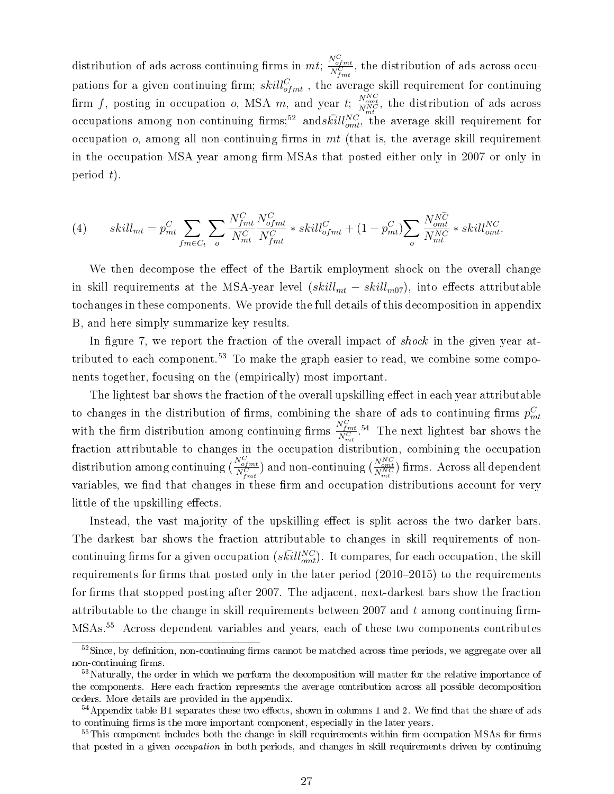distribution of ads across continuing firms in  $mt$ ;  $\frac{N_{ofmt}^C}{N_{fmt}^C}$ , the distribution of ads across occupations for a given continuing firm;  $skill_{ofmt}^C$ , the average skill requirement for continuing firm f, posting in occupation o, MSA m, and year t;  $\frac{N_{omt}^{NC}}{N_{mt}^{NC}}$ , the distribution of ads across occupations among non-continuing firms;<sup>52</sup> and  $s\bar{kill}^{NC}_{omt}$ , the average skill requirement for occupation  $o$ , among all non-continuing firms in mt (that is, the average skill requirement in the occupation-MSA-year among firm-MSAs that posted either only in 2007 or only in period  $t$ ).

(4) 
$$
skill_{mt} = p_{mt}^C \sum_{fm \in C_t} \sum_{o} \frac{N_{fmt}^C}{N_{mt}^C} \frac{N_{ofmt}^C}{N_{fmt}^C} * skill_{ofmt}^C + (1 - p_{mt}^C) \sum_{o} \frac{N_{omt}^{N\overline{C}}}{N_{mt}^{N\overline{C}}} * skill_{omt}^{NC}.
$$

We then decompose the effect of the Bartik employment shock on the overall change in skill requirements at the MSA-year level  $(skill_{mt} - skill_{m07})$ , into effects attributable tochanges in these components. We provide the full details of this decomposition in appendix B, and here simply summarize key results.

In figure 7, we report the fraction of the overall impact of shock in the given year attributed to each component.<sup>53</sup> To make the graph easier to read, we combine some components together, focusing on the (empirically) most important.

The lightest bar shows the fraction of the overall upskilling effect in each year attributable to changes in the distribution of firms, combining the share of ads to continuing firms  $p_{mt}^C$ with the firm distribution among continuing firms  $\frac{N_{fmt}^C}{N_{mt}^C}$ .<sup>54</sup> The next lightest bar shows the fraction attributable to changes in the occupation distribution, combining the occupation distribution among continuing  $\left(\frac{N_{opt}^C}{N_{fmt}^C}\right)$  and non-continuing  $\left(\frac{N_{opt}^{NC}}{N_{mt}^{NC}}\right)$  firms. Across all dependent variables, we find that changes in these firm and occupation distributions account for very little of the upskilling effects.

Instead, the vast majority of the upskilling effect is split across the two darker bars. The darkest bar shows the fraction attributable to changes in skill requirements of noncontinuing firms for a given occupation  $(s\bar{kill}^{NC}_{omt}).$  It compares, for each occupation, the skill requirements for firms that posted only in the later period  $(2010-2015)$  to the requirements for firms that stopped posting after 2007. The adjacent, next-darkest bars show the fraction attributable to the change in skill requirements between 2007 and  $t$  among continuing firm-MSAs.<sup>55</sup> Across dependent variables and years, each of these two components contributes

 $52$ Since, by definition, non-continuing firms cannot be matched across time periods, we aggregate over all non-continuing firms.

<sup>&</sup>lt;sup>53</sup>Naturally, the order in which we perform the decomposition will matter for the relative importance of the components. Here each fraction represents the average contribution across all possible decomposition orders. More details are provided in the appendix.

 $54$ Appendix table B1 separates these two effects, shown in columns 1 and 2. We find that the share of ads to continuing firms is the more important component, especially in the later years.

 $55$ This component includes both the change in skill requirements within firm-occupation-MSAs for firms that posted in a given occupation in both periods, and changes in skill requirements driven by continuing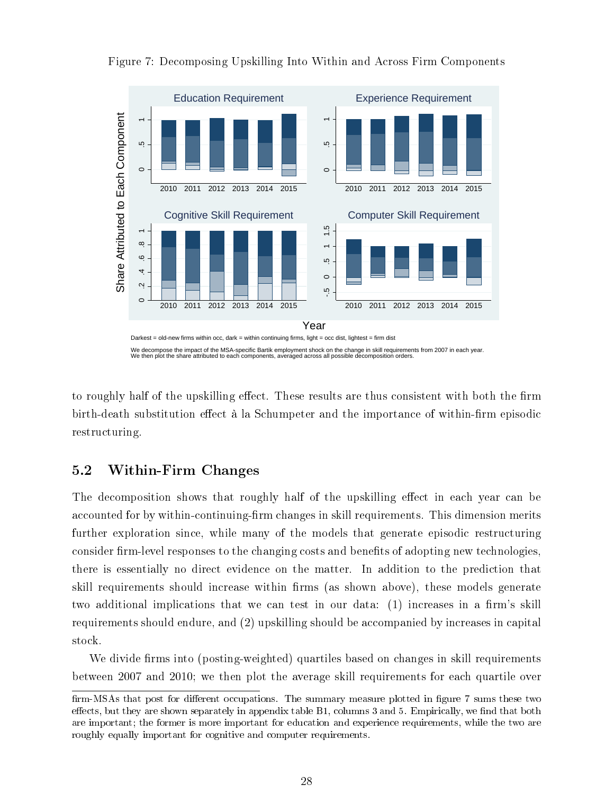

Figure 7: Decomposing Upskilling Into Within and Across Firm Components

We decompose the impact of the MSA-specific Bartik employment shock on the change in skill requirements from 2007 in each year We then plot the share attributed to each components, averaged across all possible decomposition orders.

to roughly half of the upskilling effect. These results are thus consistent with both the firm birth-death substitution effect à la Schumpeter and the importance of within-firm episodic restructuring.

### 5.2 Within-Firm Changes

The decomposition shows that roughly half of the upskilling effect in each year can be accounted for by within-continuing-firm changes in skill requirements. This dimension merits further exploration since, while many of the models that generate episodic restructuring consider firm-level responses to the changing costs and benefits of adopting new technologies, there is essentially no direct evidence on the matter. In addition to the prediction that skill requirements should increase within firms (as shown above), these models generate two additional implications that we can test in our data: (1) increases in a firm's skill requirements should endure, and (2) upskilling should be accompanied by increases in capital stock.

We divide firms into (posting-weighted) quartiles based on changes in skill requirements between 2007 and 2010; we then plot the average skill requirements for each quartile over

firm-MSAs that post for different occupations. The summary measure plotted in figure 7 sums these two effects, but they are shown separately in appendix table B1, columns 3 and 5. Empirically, we find that both are important; the former is more important for education and experience requirements, while the two are roughly equally important for cognitive and computer requirements.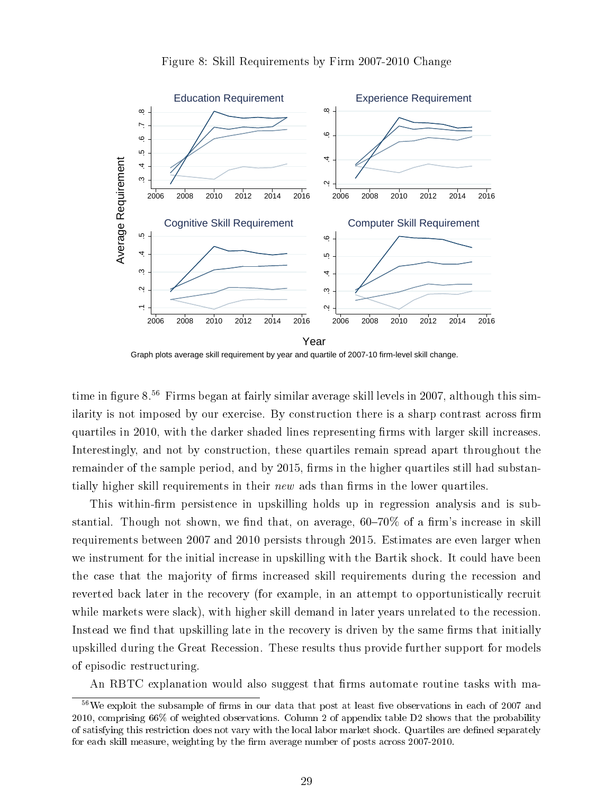

#### Figure 8: Skill Requirements by Firm 2007-2010 Change

Graph plots average skill requirement by year and quartile of 2007-10 firm-level skill change.

time in figure 8.<sup>56</sup> Firms began at fairly similar average skill levels in 2007, although this similarity is not imposed by our exercise. By construction there is a sharp contrast across firm quartiles in 2010, with the darker shaded lines representing firms with larger skill increases. Interestingly, and not by construction, these quartiles remain spread apart throughout the remainder of the sample period, and by 2015, firms in the higher quartiles still had substantially higher skill requirements in their *new* ads than firms in the lower quartiles.

This within-firm persistence in upskilling holds up in regression analysis and is substantial. Though not shown, we find that, on average,  $60-70\%$  of a firm's increase in skill requirements between 2007 and 2010 persists through 2015. Estimates are even larger when we instrument for the initial increase in upskilling with the Bartik shock. It could have been the case that the majority of firms increased skill requirements during the recession and reverted back later in the recovery (for example, in an attempt to opportunistically recruit while markets were slack), with higher skill demand in later years unrelated to the recession. Instead we find that upskilling late in the recovery is driven by the same firms that initially upskilled during the Great Recession. These results thus provide further support for models of episodic restructuring.

An RBTC explanation would also suggest that firms automate routine tasks with ma-

 $56\text{We exploit the subsample of firms in our data that post at least five observations in each of } 2007 \text{ and } 10007 \text{ and } 10007 \text{ and } 10007 \text{ and } 10007 \text{ and } 10007 \text{ and } 10007 \text{ and } 10007 \text{ and } 10007 \text{ and } 10007 \text{ and } 10007 \text{ and } 10007 \text{ and } 10007 \text{ and } 10007 \text{ and } 10007 \text{ and } 10007 \text{ and } 10007 \text{ and } 10007 \text{$ 2010, comprising 66% of weighted observations. Column 2 of appendix table D2 shows that the probability of satisfying this restriction does not vary with the local labor market shock. Quartiles are dened separately for each skill measure, weighting by the firm average number of posts across 2007-2010.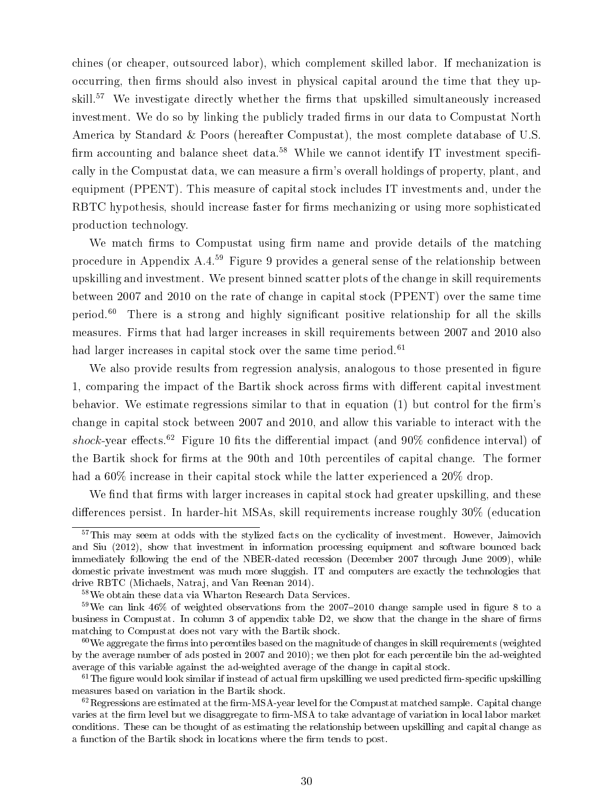chines (or cheaper, outsourced labor), which complement skilled labor. If mechanization is occurring, then firms should also invest in physical capital around the time that they upskill.<sup>57</sup> We investigate directly whether the firms that upskilled simultaneously increased investment. We do so by linking the publicly traded firms in our data to Compustat North America by Standard & Poors (hereafter Compustat), the most complete database of U.S. firm accounting and balance sheet data.<sup>58</sup> While we cannot identify IT investment specifically in the Compustat data, we can measure a firm's overall holdings of property, plant, and equipment (PPENT). This measure of capital stock includes IT investments and, under the RBTC hypothesis, should increase faster for firms mechanizing or using more sophisticated production technology.

We match firms to Compustat using firm name and provide details of the matching procedure in Appendix A.4.<sup>59</sup> Figure 9 provides a general sense of the relationship between upskilling and investment. We present binned scatter plots of the change in skill requirements between 2007 and 2010 on the rate of change in capital stock (PPENT) over the same time period.<sup>60</sup> There is a strong and highly significant positive relationship for all the skills measures. Firms that had larger increases in skill requirements between 2007 and 2010 also had larger increases in capital stock over the same time period.<sup>61</sup>

We also provide results from regression analysis, analogous to those presented in figure 1, comparing the impact of the Bartik shock across firms with different capital investment behavior. We estimate regressions similar to that in equation  $(1)$  but control for the firm's change in capital stock between 2007 and 2010, and allow this variable to interact with the shock-year effects.<sup>62</sup> Figure 10 fits the differential impact (and  $90\%$  confidence interval) of the Bartik shock for firms at the 90th and 10th percentiles of capital change. The former had a 60% increase in their capital stock while the latter experienced a 20% drop.

We find that firms with larger increases in capital stock had greater upskilling, and these differences persist. In harder-hit MSAs, skill requirements increase roughly 30% (education

 $57$ This may seem at odds with the stylized facts on the cyclicality of investment. However, Jaimovich and Siu (2012), show that investment in information processing equipment and software bounced back immediately following the end of the NBER-dated recession (December 2007 through June 2009), while domestic private investment was much more sluggish. IT and computers are exactly the technologies that drive RBTC (Michaels, Natraj, and Van Reenan 2014).

<sup>58</sup>We obtain these data via Wharton Research Data Services.

 $59\,\text{We can link }46\%$  of weighted observations from the 2007-2010 change sample used in figure 8 to a business in Compustat. In column 3 of appendix table D2, we show that the change in the share of firms matching to Compustat does not vary with the Bartik shock.

 $60$ We aggregate the firms into percentiles based on the magnitude of changes in skill requirements (weighted by the average number of ads posted in 2007 and 2010); we then plot for each percentile bin the ad-weighted average of this variable against the ad-weighted average of the change in capital stock.

 $61$ The figure would look similar if instead of actual firm upskilling we used predicted firm-specific upskilling measures based on variation in the Bartik shock.

 $62$ Regressions are estimated at the firm-MSA-year level for the Compustat matched sample. Capital change varies at the firm level but we disaggregate to firm-MSA to take advantage of variation in local labor market conditions. These can be thought of as estimating the relationship between upskilling and capital change as a function of the Bartik shock in locations where the firm tends to post.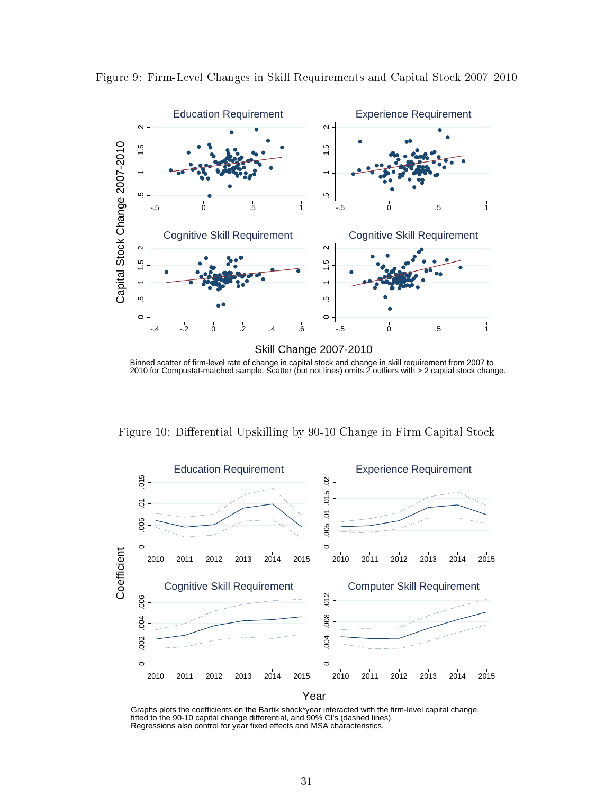

Figure 9: Firm-Level Changes in Skill Requirements and Capital Stock 2007-2010

Binned scatter of firm-level rate of change in capital stock and change in skill requirement from 2007 to 2010 for Compustat-matched sample. Scatter (but not lines) omits 2 outliers with > 2 captial stock change.

Figure 10: Differential Upskilling by 90-10 Change in Firm Capital Stock



Graphs plots the coefficients on the Bartik shock\*year interacted with the firm-level capital change,<br>fitted to the 90-10 capital change differential, and 90% CI's (dashed lines).<br>Regressions also control for year fixed ef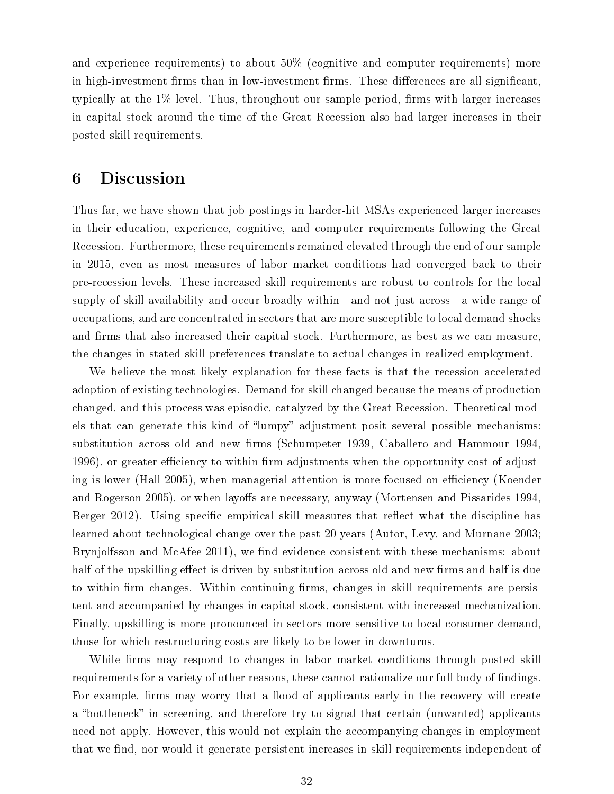and experience requirements) to about 50% (cognitive and computer requirements) more in high-investment firms than in low-investment firms. These differences are all significant, typically at the  $1\%$  level. Thus, throughout our sample period, firms with larger increases in capital stock around the time of the Great Recession also had larger increases in their posted skill requirements.

## 6 Discussion

Thus far, we have shown that job postings in harder-hit MSAs experienced larger increases in their education, experience, cognitive, and computer requirements following the Great Recession. Furthermore, these requirements remained elevated through the end of our sample in 2015, even as most measures of labor market conditions had converged back to their pre-recession levels. These increased skill requirements are robust to controls for the local supply of skill availability and occur broadly within—and not just across—a wide range of occupations, and are concentrated in sectors that are more susceptible to local demand shocks and firms that also increased their capital stock. Furthermore, as best as we can measure, the changes in stated skill preferences translate to actual changes in realized employment.

We believe the most likely explanation for these facts is that the recession accelerated adoption of existing technologies. Demand for skill changed because the means of production changed, and this process was episodic, catalyzed by the Great Recession. Theoretical models that can generate this kind of "lumpy" adjustment posit several possible mechanisms: substitution across old and new firms (Schumpeter 1939, Caballero and Hammour 1994, 1996), or greater efficiency to within-firm adjustments when the opportunity cost of adjusting is lower (Hall 2005), when managerial attention is more focused on efficiency (Koender and Rogerson 2005), or when layoffs are necessary, anyway (Mortensen and Pissarides 1994, Berger 2012). Using specific empirical skill measures that reflect what the discipline has learned about technological change over the past 20 years (Autor, Levy, and Murnane 2003; Brynjolfsson and McAfee 2011), we find evidence consistent with these mechanisms: about half of the upskilling effect is driven by substitution across old and new firms and half is due to within-firm changes. Within continuing firms, changes in skill requirements are persistent and accompanied by changes in capital stock, consistent with increased mechanization. Finally, upskilling is more pronounced in sectors more sensitive to local consumer demand, those for which restructuring costs are likely to be lower in downturns.

While firms may respond to changes in labor market conditions through posted skill requirements for a variety of other reasons, these cannot rationalize our full body of findings. For example, firms may worry that a flood of applicants early in the recovery will create a "bottleneck" in screening, and therefore try to signal that certain (unwanted) applicants need not apply. However, this would not explain the accompanying changes in employment that we find, nor would it generate persistent increases in skill requirements independent of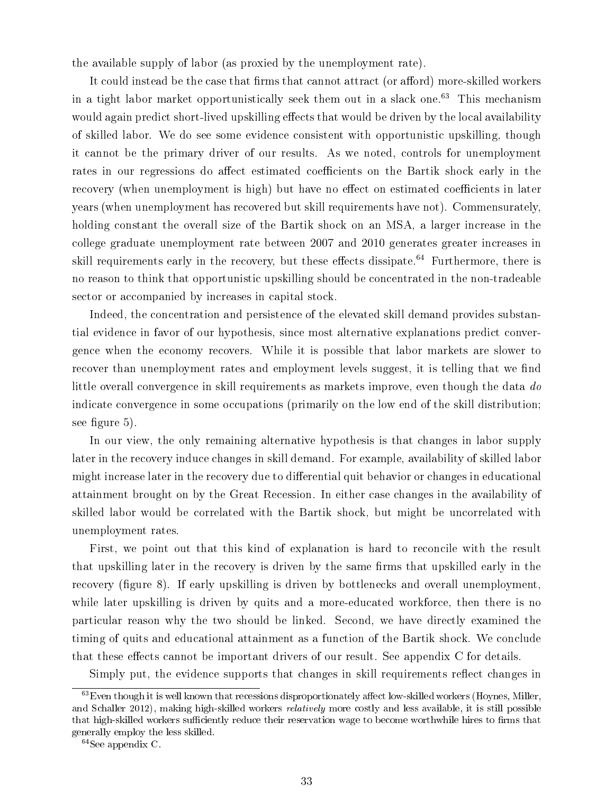the available supply of labor (as proxied by the unemployment rate).

It could instead be the case that firms that cannot attract (or afford) more-skilled workers in a tight labor market opportunistically seek them out in a slack one. $63$  This mechanism would again predict short-lived upskilling effects that would be driven by the local availability of skilled labor. We do see some evidence consistent with opportunistic upskilling, though it cannot be the primary driver of our results. As we noted, controls for unemployment rates in our regressions do affect estimated coefficients on the Bartik shock early in the recovery (when unemployment is high) but have no effect on estimated coefficients in later years (when unemployment has recovered but skill requirements have not). Commensurately, holding constant the overall size of the Bartik shock on an MSA, a larger increase in the college graduate unemployment rate between 2007 and 2010 generates greater increases in skill requirements early in the recovery, but these effects dissipate.<sup>64</sup> Furthermore, there is no reason to think that opportunistic upskilling should be concentrated in the non-tradeable sector or accompanied by increases in capital stock.

Indeed, the concentration and persistence of the elevated skill demand provides substantial evidence in favor of our hypothesis, since most alternative explanations predict convergence when the economy recovers. While it is possible that labor markets are slower to recover than unemployment rates and employment levels suggest, it is telling that we find little overall convergence in skill requirements as markets improve, even though the data do indicate convergence in some occupations (primarily on the low end of the skill distribution; see figure 5).

In our view, the only remaining alternative hypothesis is that changes in labor supply later in the recovery induce changes in skill demand. For example, availability of skilled labor might increase later in the recovery due to differential quit behavior or changes in educational attainment brought on by the Great Recession. In either case changes in the availability of skilled labor would be correlated with the Bartik shock, but might be uncorrelated with unemployment rates.

First, we point out that this kind of explanation is hard to reconcile with the result that upskilling later in the recovery is driven by the same firms that upskilled early in the recovery (figure 8). If early upskilling is driven by bottlenecks and overall unemployment, while later upskilling is driven by quits and a more-educated workforce, then there is no particular reason why the two should be linked. Second, we have directly examined the timing of quits and educational attainment as a function of the Bartik shock. We conclude that these effects cannot be important drivers of our result. See appendix C for details.

Simply put, the evidence supports that changes in skill requirements reflect changes in

 $63$  Even though it is well known that recessions disproportionately affect low-skilled workers (Hoynes, Miller, and Schaller 2012), making high-skilled workers relatively more costly and less available, it is still possible that high-skilled workers sufficiently reduce their reservation wage to become worthwhile hires to firms that generally employ the less skilled.

<sup>64</sup>See appendix C.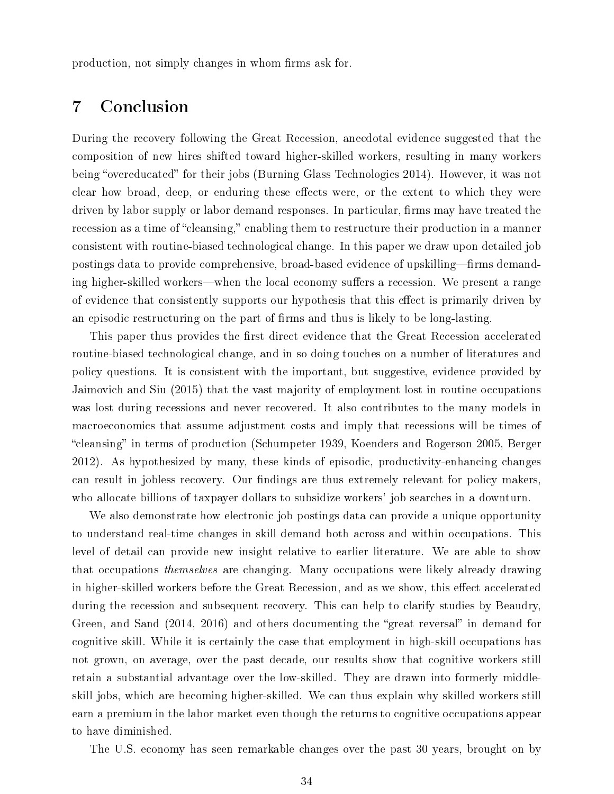production, not simply changes in whom firms ask for.

# 7 Conclusion

During the recovery following the Great Recession, anecdotal evidence suggested that the composition of new hires shifted toward higher-skilled workers, resulting in many workers being "overeducated" for their jobs (Burning Glass Technologies 2014). However, it was not clear how broad, deep, or enduring these effects were, or the extent to which they were driven by labor supply or labor demand responses. In particular, firms may have treated the recession as a time of "cleansing," enabling them to restructure their production in a manner consistent with routine-biased technological change. In this paper we draw upon detailed job postings data to provide comprehensive, broad-based evidence of upskilling—firms demanding higher-skilled workers—when the local economy suffers a recession. We present a range of evidence that consistently supports our hypothesis that this effect is primarily driven by an episodic restructuring on the part of firms and thus is likely to be long-lasting.

This paper thus provides the first direct evidence that the Great Recession accelerated routine-biased technological change, and in so doing touches on a number of literatures and policy questions. It is consistent with the important, but suggestive, evidence provided by Jaimovich and Siu (2015) that the vast majority of employment lost in routine occupations was lost during recessions and never recovered. It also contributes to the many models in macroeconomics that assume adjustment costs and imply that recessions will be times of "cleansing" in terms of production (Schumpeter 1939, Koenders and Rogerson 2005, Berger 2012). As hypothesized by many, these kinds of episodic, productivity-enhancing changes can result in jobless recovery. Our findings are thus extremely relevant for policy makers, who allocate billions of taxpayer dollars to subsidize workers' job searches in a downturn.

We also demonstrate how electronic job postings data can provide a unique opportunity to understand real-time changes in skill demand both across and within occupations. This level of detail can provide new insight relative to earlier literature. We are able to show that occupations themselves are changing. Many occupations were likely already drawing in higher-skilled workers before the Great Recession, and as we show, this effect accelerated during the recession and subsequent recovery. This can help to clarify studies by Beaudry, Green, and Sand  $(2014, 2016)$  and others documenting the "great reversal" in demand for cognitive skill. While it is certainly the case that employment in high-skill occupations has not grown, on average, over the past decade, our results show that cognitive workers still retain a substantial advantage over the low-skilled. They are drawn into formerly middleskill jobs, which are becoming higher-skilled. We can thus explain why skilled workers still earn a premium in the labor market even though the returns to cognitive occupations appear to have diminished.

The U.S. economy has seen remarkable changes over the past 30 years, brought on by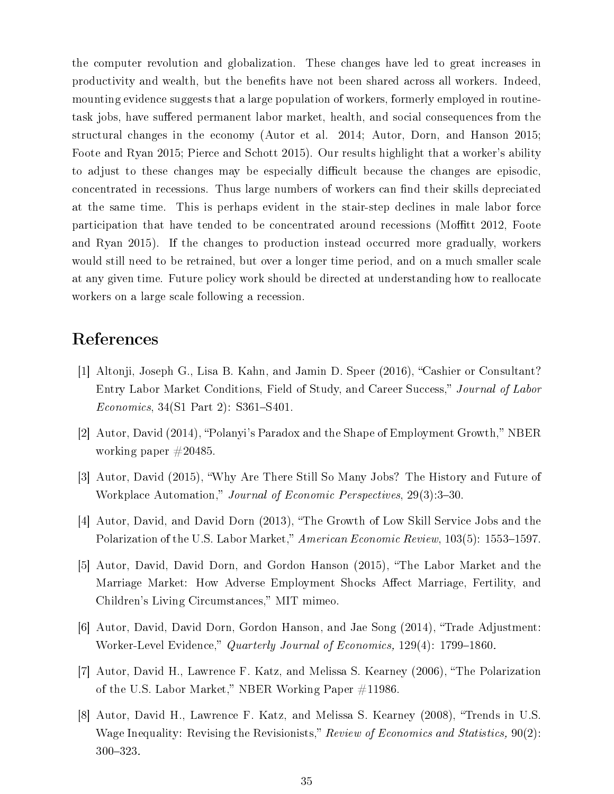the computer revolution and globalization. These changes have led to great increases in productivity and wealth, but the benefits have not been shared across all workers. Indeed, mounting evidence suggests that a large population of workers, formerly employed in routinetask jobs, have suffered permanent labor market, health, and social consequences from the structural changes in the economy (Autor et al. 2014; Autor, Dorn, and Hanson 2015; Foote and Ryan 2015; Pierce and Schott 2015). Our results highlight that a worker's ability to adjust to these changes may be especially difficult because the changes are episodic. concentrated in recessions. Thus large numbers of workers can find their skills depreciated at the same time. This is perhaps evident in the stair-step declines in male labor force participation that have tended to be concentrated around recessions (Moffitt 2012, Foote and Ryan 2015). If the changes to production instead occurred more gradually, workers would still need to be retrained, but over a longer time period, and on a much smaller scale at any given time. Future policy work should be directed at understanding how to reallocate workers on a large scale following a recession.

# References

- [1] Altonji, Joseph G., Lisa B. Kahn, and Jamin D. Speer (2016), "Cashier or Consultant? Entry Labor Market Conditions, Field of Study, and Career Success," Journal of Labor  $Economics, 34(S1 Part 2): S361-S401.$
- [2] Autor, David (2014), "Polanyi's Paradox and the Shape of Employment Growth," NBER working paper #20485.
- [3] Autor, David (2015), Why Are There Still So Many Jobs? The History and Future of Workplace Automation," Journal of Economic Perspectives, 29(3):3-30.
- [4] Autor, David, and David Dorn (2013), "The Growth of Low Skill Service Jobs and the Polarization of the U.S. Labor Market," American Economic Review, 103(5): 1553–1597.
- [5] Autor, David, David Dorn, and Gordon Hanson (2015), The Labor Market and the Marriage Market: How Adverse Employment Shocks Affect Marriage, Fertility, and Children's Living Circumstances," MIT mimeo.
- [6] Autor, David, David Dorn, Gordon Hanson, and Jae Song (2014), "Trade Adjustment: Worker-Level Evidence," Quarterly Journal of Economics, 129(4): 1799-1860.
- [7] Autor, David H., Lawrence F. Katz, and Melissa S. Kearney (2006), The Polarization of the U.S. Labor Market," NBER Working Paper  $\#11986$ .
- [8] Autor, David H., Lawrence F. Katz, and Melissa S. Kearney (2008), Trends in U.S. Wage Inequality: Revising the Revisionists," Review of Economics and Statistics,  $90(2)$ : 300-323.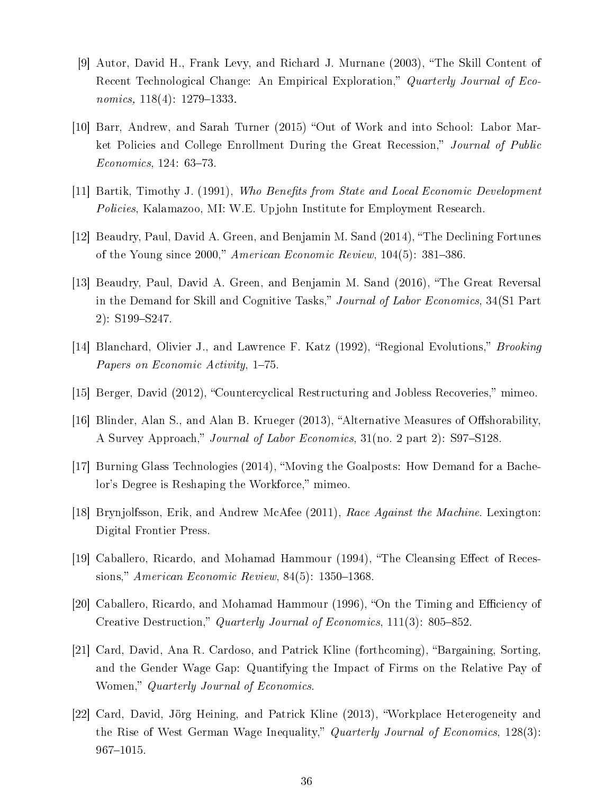- [9] Autor, David H., Frank Levy, and Richard J. Murnane (2003), The Skill Content of Recent Technological Change: An Empirical Exploration," Quarterly Journal of Economics,  $118(4)$ :  $1279-1333$ .
- [10] Barr, Andrew, and Sarah Turner (2015) "Out of Work and into School: Labor Market Policies and College Enrollment During the Great Recession," Journal of Public  $Economics, 124: 63-73.$
- [11] Bartik, Timothy J. (1991), Who Benefits from State and Local Economic Development Policies, Kalamazoo, MI: W.E. Upjohn Institute for Employment Research.
- [12] Beaudry, Paul, David A. Green, and Benjamin M. Sand (2014), "The Declining Fortunes of the Young since 2000," American Economic Review,  $104(5)$ : 381–386.
- [13] Beaudry, Paul, David A. Green, and Benjamin M. Sand (2016), "The Great Reversal in the Demand for Skill and Cognitive Tasks," Journal of Labor Economics, 34(S1 Part  $2)$ : S199-S247.
- [14] Blanchard, Olivier J., and Lawrence F. Katz (1992), "Regional Evolutions," *Brooking* Papers on Economic Activity, 1-75.
- [15] Berger, David (2012), "Countercyclical Restructuring and Jobless Recoveries," mimeo.
- [16] Blinder, Alan S., and Alan B. Krueger  $(2013)$ , "Alternative Measures of Offshorability. A Survey Approach," Journal of Labor Economics, 31(no. 2 part 2): S97-S128.
- [17] Burning Glass Technologies (2014), Moving the Goalposts: How Demand for a Bachelor's Degree is Reshaping the Workforce," mimeo.
- [18] Brynjolfsson, Erik, and Andrew McAfee (2011), Race Against the Machine. Lexington: Digital Frontier Press.
- [19] Caballero, Ricardo, and Mohamad Hammour (1994), "The Cleansing Effect of Recessions," American Economic Review,  $84(5)$ : 1350–1368.
- [20] Caballero, Ricardo, and Mohamad Hammour (1996), "On the Timing and Efficiency of Creative Destruction," Quarterly Journal of Economics, 111(3): 805-852.
- [21] Card, David, Ana R. Cardoso, and Patrick Kline (forthcoming), "Bargaining, Sorting, and the Gender Wage Gap: Quantifying the Impact of Firms on the Relative Pay of Women," Quarterly Journal of Economics.
- [22] Card, David, Jörg Heining, and Patrick Kline (2013), Workplace Heterogeneity and the Rise of West German Wage Inequality," Quarterly Journal of Economics, 128(3):  $967 - 1015.$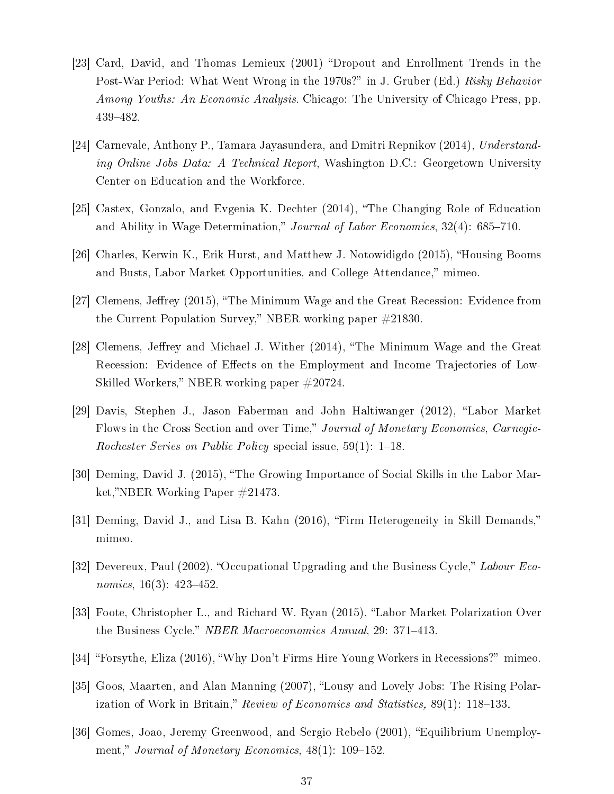- [23] Card, David, and Thomas Lemieux (2001) "Dropout and Enrollment Trends in the Post-War Period: What Went Wrong in the 1970s?" in J. Gruber (Ed.) Risky Behavior Among Youths: An Economic Analysis. Chicago: The University of Chicago Press, pp. 439482.
- [24] Carnevale, Anthony P., Tamara Jayasundera, and Dmitri Repnikov (2014), Understanding Online Jobs Data: A Technical Report, Washington D.C.: Georgetown University Center on Education and the Workforce.
- [25] Castex, Gonzalo, and Evgenia K. Dechter (2014), The Changing Role of Education and Ability in Wage Determination," Journal of Labor Economics,  $32(4)$ : 685–710.
- [26] Charles, Kerwin K., Erik Hurst, and Matthew J. Notowidigdo (2015), "Housing Booms and Busts, Labor Market Opportunities, and College Attendance," mimeo.
- [27] Clemens, Jeffrey (2015), "The Minimum Wage and the Great Recession: Evidence from the Current Population Survey," NBER working paper  $\#21830$ .
- [28] Clemens, Jeffrey and Michael J. Wither (2014), "The Minimum Wage and the Great Recession: Evidence of Effects on the Employment and Income Trajectories of Low-Skilled Workers," NBER working paper  $\#20724$ .
- [29] Davis, Stephen J., Jason Faberman and John Haltiwanger (2012), "Labor Market Flows in the Cross Section and over Time," Journal of Monetary Economics, Carnegie-Rochester Series on Public Policy special issue,  $59(1)$ : 1–18.
- [30] Deming, David J. (2015), The Growing Importance of Social Skills in the Labor Market,"NBER Working Paper  $\#21473$ .
- [31] Deming, David J., and Lisa B. Kahn (2016), "Firm Heterogeneity in Skill Demands," mimeo.
- [32] Devereux, Paul (2002), "Occupational Upgrading and the Business Cycle," Labour Economics,  $16(3)$ :  $423-452$ .
- [33] Foote, Christopher L., and Richard W. Ryan (2015), "Labor Market Polarization Over the Business Cycle," NBER Macroeconomics Annual, 29: 371–413.
- [34] "Forsythe, Eliza (2016), "Why Don't Firms Hire Young Workers in Recessions?" mimeo.
- [35] Goos, Maarten, and Alan Manning (2007), "Lousy and Lovely Jobs: The Rising Polarization of Work in Britain," Review of Economics and Statistics,  $89(1)$ : 118–133.
- [36] Gomes, Joao, Jeremy Greenwood, and Sergio Rebelo (2001), "Equilibrium Unemployment," Journal of Monetary Economics,  $48(1)$ : 109-152.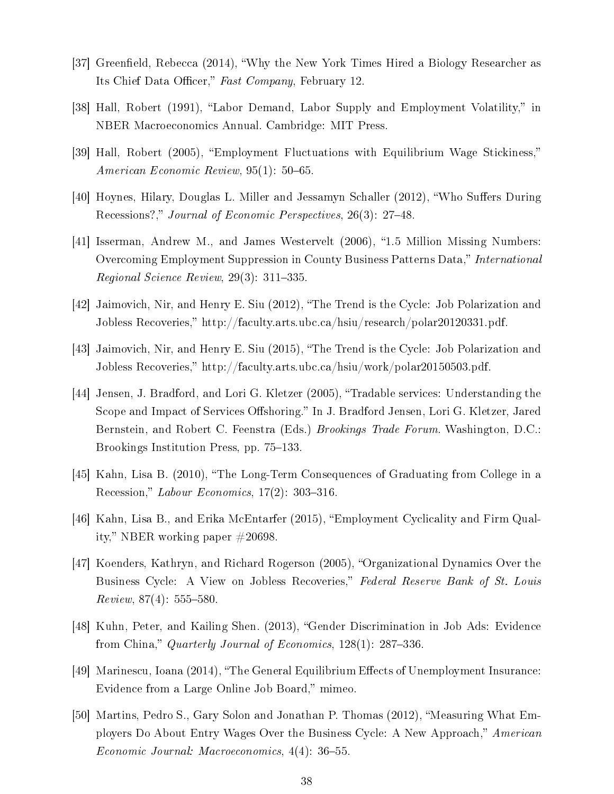- [37] Greenfield, Rebecca (2014), "Why the New York Times Hired a Biology Researcher as Its Chief Data Officer," Fast Company, February 12.
- [38] Hall, Robert (1991), "Labor Demand, Labor Supply and Employment Volatility," in NBER Macroeconomics Annual. Cambridge: MIT Press.
- [39] Hall, Robert (2005), "Employment Fluctuations with Equilibrium Wage Stickiness," American Economic Review,  $95(1)$ : 50-65.
- [40] Hoynes, Hilary, Douglas L. Miller and Jessamyn Schaller (2012), "Who Suffers During Recessions?," Journal of Economic Perspectives, 26(3): 27–48.
- [41] Isserman, Andrew M., and James Westervelt (2006), "1.5 Million Missing Numbers: Overcoming Employment Suppression in County Business Patterns Data," International Regional Science Review,  $29(3)$ : 311-335.
- [42] Jaimovich, Nir, and Henry E. Siu (2012), The Trend is the Cycle: Job Polarization and Jobless Recoveries," http://faculty.arts.ubc.ca/hsiu/research/polar20120331.pdf.
- [43] Jaimovich, Nir, and Henry E. Siu (2015), The Trend is the Cycle: Job Polarization and Jobless Recoveries," http://faculty.arts.ubc.ca/hsiu/work/polar20150503.pdf.
- [44] Jensen, J. Bradford, and Lori G. Kletzer (2005), Tradable services: Understanding the Scope and Impact of Services Offshoring." In J. Bradford Jensen, Lori G. Kletzer, Jared Bernstein, and Robert C. Feenstra (Eds.) Brookings Trade Forum. Washington, D.C.: Brookings Institution Press, pp. 75–133.
- [45] Kahn, Lisa B. (2010), "The Long-Term Consequences of Graduating from College in a Recession," Labour Economics,  $17(2)$ : 303-316.
- [46] Kahn, Lisa B., and Erika McEntarfer (2015), Employment Cyclicality and Firm Quality," NBER working paper  $\#20698$ .
- [47] Koenders, Kathryn, and Richard Rogerson (2005), "Organizational Dynamics Over the Business Cycle: A View on Jobless Recoveries," Federal Reserve Bank of St. Louis  $Review, 87(4): 555-580.$
- [48] Kuhn, Peter, and Kailing Shen. (2013), "Gender Discrimination in Job Ads: Evidence from China," Quarterly Journal of Economics,  $128(1)$ :  $287-336$ .
- [49] Marinescu, Ioana (2014), "The General Equilibrium Effects of Unemployment Insurance: Evidence from a Large Online Job Board," mimeo.
- [50] Martins, Pedro S., Gary Solon and Jonathan P. Thomas (2012), "Measuring What Employers Do About Entry Wages Over the Business Cycle: A New Approach," American  $Economic\; Journal: \; Macroeconomics, \; 4(4): \; 36-55.$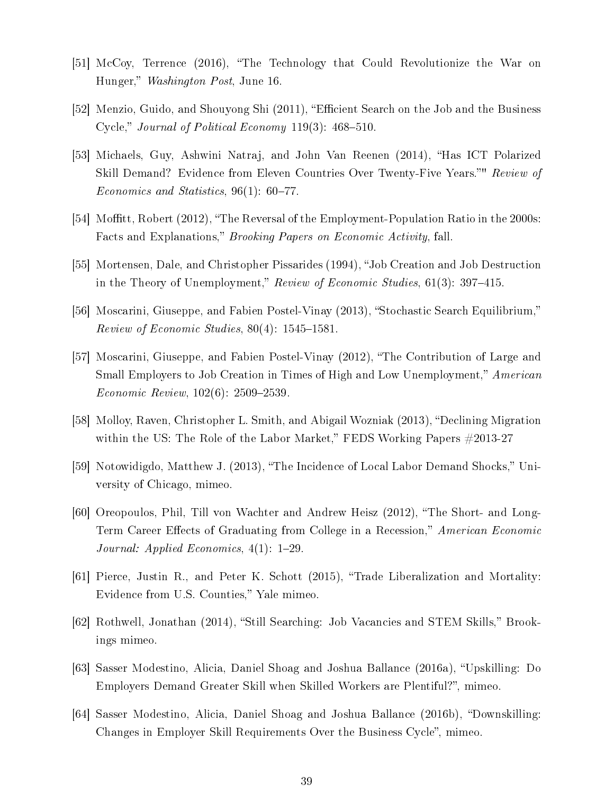- [51] McCoy, Terrence (2016), "The Technology that Could Revolutionize the War on Hunger," Washington Post, June 16.
- [52] Menzio, Guido, and Shouyong Shi (2011), "Efficient Search on the Job and the Business Cycle," Journal of Political Economy  $119(3)$ : 468-510.
- [53] Michaels, Guy, Ashwini Natraj, and John Van Reenen (2014), "Has ICT Polarized Skill Demand? Evidence from Eleven Countries Over Twenty-Five Years." Review of Economics and Statistics,  $96(1)$ : 60-77.
- [54] Moffitt, Robert (2012), "The Reversal of the Employment-Population Ratio in the 2000s: Facts and Explanations," Brooking Papers on Economic Activity, fall.
- [55] Mortensen, Dale, and Christopher Pissarides (1994), "Job Creation and Job Destruction in the Theory of Unemployment," Review of Economic Studies,  $61(3)$ : 397–415.
- [56] Moscarini, Giuseppe, and Fabien Postel-Vinay (2013), "Stochastic Search Equilibrium," Review of Economic Studies,  $80(4)$ : 1545–1581.
- [57] Moscarini, Giuseppe, and Fabien Postel-Vinay (2012), "The Contribution of Large and Small Employers to Job Creation in Times of High and Low Unemployment," American  $Economic$   $Review$ ,  $102(6)$ :  $2509-2539$ .
- [58] Molloy, Raven, Christopher L. Smith, and Abigail Wozniak (2013), "Declining Migration within the US: The Role of the Labor Market," FEDS Working Papers  $\#2013-27$
- [59] Notowidigdo, Matthew J. (2013), "The Incidence of Local Labor Demand Shocks," University of Chicago, mimeo.
- [60] Oreopoulos, Phil, Till von Wachter and Andrew Heisz (2012), The Short- and Long-Term Career Effects of Graduating from College in a Recession," *American Economic* Journal: Applied Economics,  $4(1)$ : 1-29.
- [61] Pierce, Justin R., and Peter K. Schott (2015), Trade Liberalization and Mortality: Evidence from U.S. Counties," Yale mimeo.
- [62] Rothwell, Jonathan (2014), "Still Searching: Job Vacancies and STEM Skills," Brookings mimeo.
- [63] Sasser Modestino, Alicia, Daniel Shoag and Joshua Ballance (2016a), "Upskilling: Do Employers Demand Greater Skill when Skilled Workers are Plentiful?", mimeo.
- [64] Sasser Modestino, Alicia, Daniel Shoag and Joshua Ballance (2016b), "Downskilling: Changes in Employer Skill Requirements Over the Business Cycle", mimeo.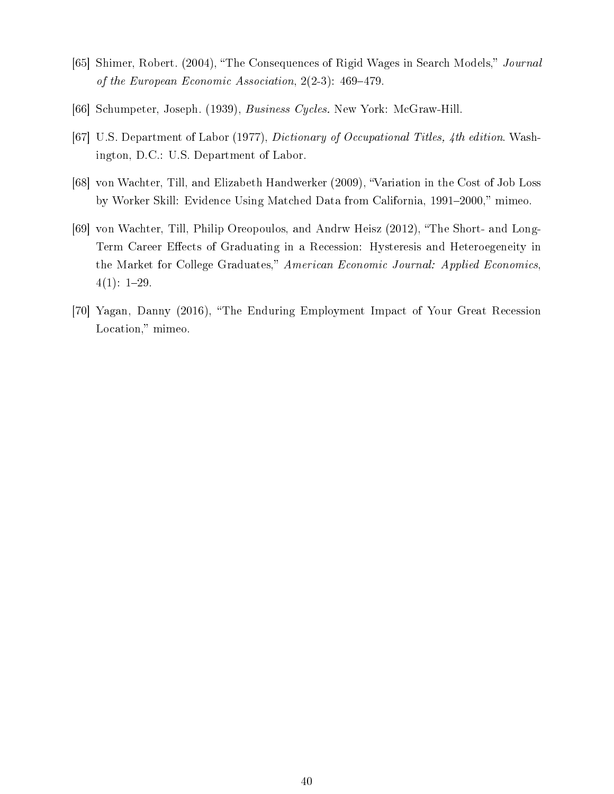- [65] Shimer, Robert. (2004), "The Consequences of Rigid Wages in Search Models," Journal of the European Economic Association,  $2(2-3)$ : 469-479.
- [66] Schumpeter, Joseph. (1939), Business Cycles. New York: McGraw-Hill.
- [67] U.S. Department of Labor (1977), Dictionary of Occupational Titles, 4th edition. Washington, D.C.: U.S. Department of Labor.
- [68] von Wachter, Till, and Elizabeth Handwerker (2009), Variation in the Cost of Job Loss by Worker Skill: Evidence Using Matched Data from California, 1991-2000," mimeo.
- [69] von Wachter, Till, Philip Oreopoulos, and Andrw Heisz (2012), "The Short- and Long-Term Career Effects of Graduating in a Recession: Hysteresis and Heteroegeneity in the Market for College Graduates," American Economic Journal: Applied Economics,  $4(1): 1-29.$
- [70] Yagan, Danny (2016), "The Enduring Employment Impact of Your Great Recession Location," mimeo.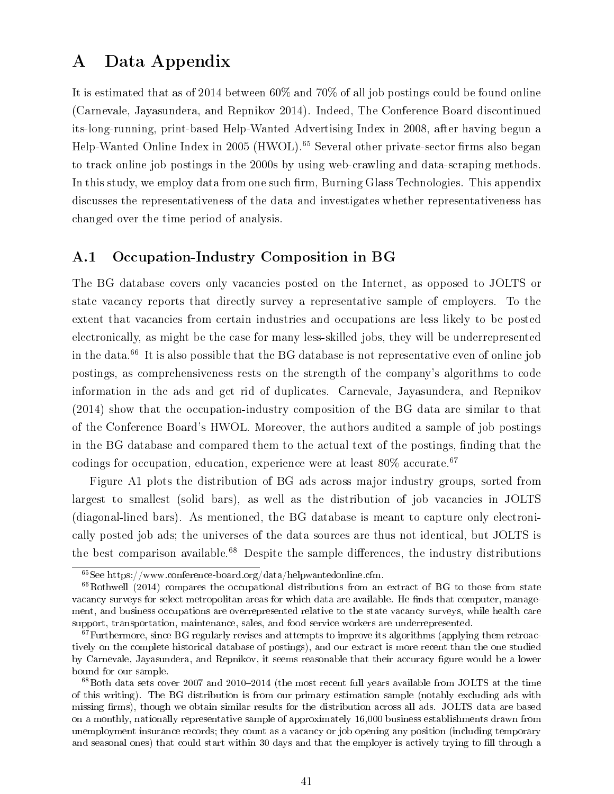# A Data Appendix

It is estimated that as of 2014 between 60% and 70% of all job postings could be found online (Carnevale, Jayasundera, and Repnikov 2014). Indeed, The Conference Board discontinued its-long-running, print-based Help-Wanted Advertising Index in 2008, after having begun a Help-Wanted Online Index in 2005 (HWOL).<sup>65</sup> Several other private-sector firms also began to track online job postings in the 2000s by using web-crawling and data-scraping methods. In this study, we employ data from one such firm, Burning Glass Technologies. This appendix discusses the representativeness of the data and investigates whether representativeness has changed over the time period of analysis.

### A.1 Occupation-Industry Composition in BG

The BG database covers only vacancies posted on the Internet, as opposed to JOLTS or state vacancy reports that directly survey a representative sample of employers. To the extent that vacancies from certain industries and occupations are less likely to be posted electronically, as might be the case for many less-skilled jobs, they will be underrepresented in the data.<sup>66</sup> It is also possible that the BG database is not representative even of online job postings, as comprehensiveness rests on the strength of the company's algorithms to code information in the ads and get rid of duplicates. Carnevale, Jayasundera, and Repnikov (2014) show that the occupation-industry composition of the BG data are similar to that of the Conference Board's HWOL. Moreover, the authors audited a sample of job postings in the BG database and compared them to the actual text of the postings, finding that the codings for occupation, education, experience were at least  $80\%$  accurate.<sup>67</sup>

Figure A1 plots the distribution of BG ads across major industry groups, sorted from largest to smallest (solid bars), as well as the distribution of job vacancies in JOLTS (diagonal-lined bars). As mentioned, the BG database is meant to capture only electronically posted job ads; the universes of the data sources are thus not identical, but JOLTS is the best comparison available.<sup>68</sup> Despite the sample differences, the industry distributions

 $65$ See https://www.conference-board.org/data/helpwantedonline.cfm.

 $^{66}$ Rothwell (2014) compares the occupational distributions from an extract of BG to those from state vacancy surveys for select metropolitan areas for which data are available. He finds that computer, management, and business occupations are overrepresented relative to the state vacancy surveys, while health care support, transportation, maintenance, sales, and food service workers are underrepresented.

 $67$  Furthermore, since BG regularly revises and attempts to improve its algorithms (applying them retroactively on the complete historical database of postings), and our extract is more recent than the one studied by Carnevale, Jayasundera, and Repnikov, it seems reasonable that their accuracy figure would be a lower bound for our sample.

 ${}^{68}$ Both data sets cover 2007 and 2010–2014 (the most recent full years available from JOLTS at the time of this writing). The BG distribution is from our primary estimation sample (notably excluding ads with missing firms), though we obtain similar results for the distribution across all ads. JOLTS data are based on a monthly, nationally representative sample of approximately 16,000 business establishments drawn from unemployment insurance records; they count as a vacancy or job opening any position (including temporary and seasonal ones) that could start within 30 days and that the employer is actively trying to fill through a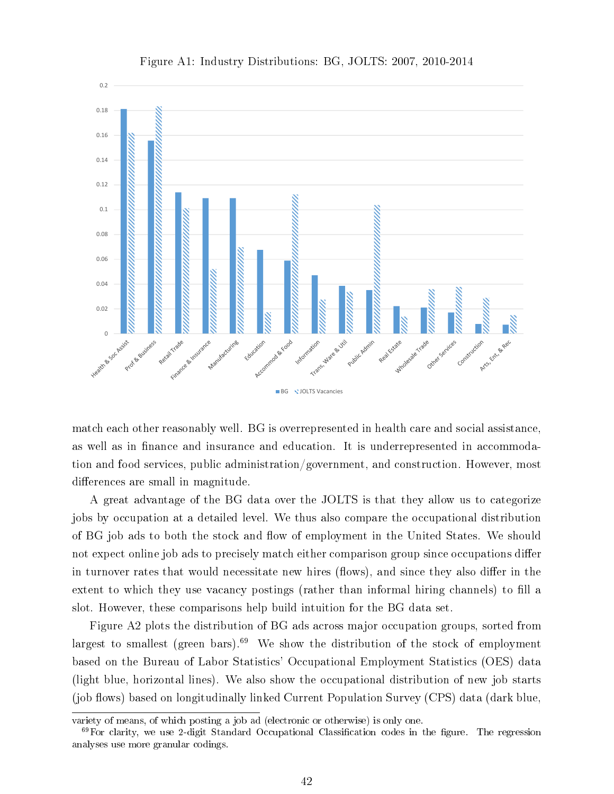

Figure A1: Industry Distributions: BG, JOLTS: 2007, 2010-2014

match each other reasonably well. BG is overrepresented in health care and social assistance, as well as in finance and insurance and education. It is underrepresented in accommodation and food services, public administration/government, and construction. However, most differences are small in magnitude.

A great advantage of the BG data over the JOLTS is that they allow us to categorize jobs by occupation at a detailed level. We thus also compare the occupational distribution of BG job ads to both the stock and flow of employment in the United States. We should not expect online job ads to precisely match either comparison group since occupations differ in turnover rates that would necessitate new hires (flows), and since they also differ in the extent to which they use vacancy postings (rather than informal hiring channels) to fill a slot. However, these comparisons help build intuition for the BG data set.

Figure A2 plots the distribution of BG ads across major occupation groups, sorted from largest to smallest (green bars).<sup>69</sup> We show the distribution of the stock of employment based on the Bureau of Labor Statistics' Occupational Employment Statistics (OES) data (light blue, horizontal lines). We also show the occupational distribution of new job starts (job flows) based on longitudinally linked Current Population Survey (CPS) data (dark blue,

variety of means, of which posting a job ad (electronic or otherwise) is only one.

 $69$ For clarity, we use 2-digit Standard Occupational Classification codes in the figure. The regression analyses use more granular codings.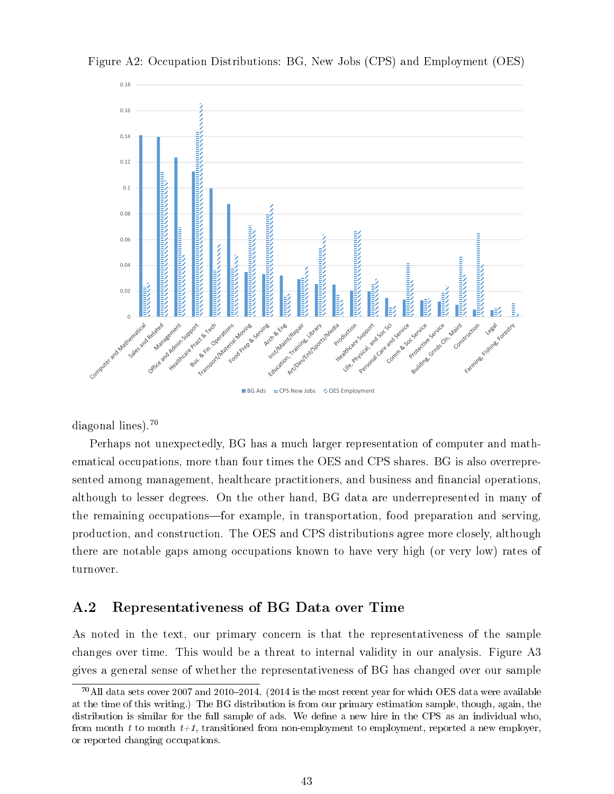

Figure A2: Occupation Distributions: BG, New Jobs (CPS) and Employment (OES)

BG Ads = CPS New Jobs <a>

diagonal lines).<sup>70</sup>

Perhaps not unexpectedly, BG has a much larger representation of computer and mathematical occupations, more than four times the OES and CPS shares. BG is also overrepresented among management, healthcare practitioners, and business and financial operations, although to lesser degrees. On the other hand, BG data are underrepresented in many of the remaining occupations-for example, in transportation, food preparation and serving, production, and construction. The OES and CPS distributions agree more closely, although there are notable gaps among occupations known to have very high (or very low) rates of turnover.

### A.2 Representativeness of BG Data over Time

As noted in the text, our primary concern is that the representativeness of the sample changes over time. This would be a threat to internal validity in our analysis. Figure A3 gives a general sense of whether the representativeness of BG has changed over our sample

 $^{70}$ All data sets cover 2007 and 2010-2014. (2014 is the most recent year for which OES data were available at the time of this writing.) The BG distribution is from our primary estimation sample, though, again, the distribution is similar for the full sample of ads. We define a new hire in the CPS as an individual who, from month t to month  $t+1$ , transitioned from non-employment to employment, reported a new employer, or reported changing occupations.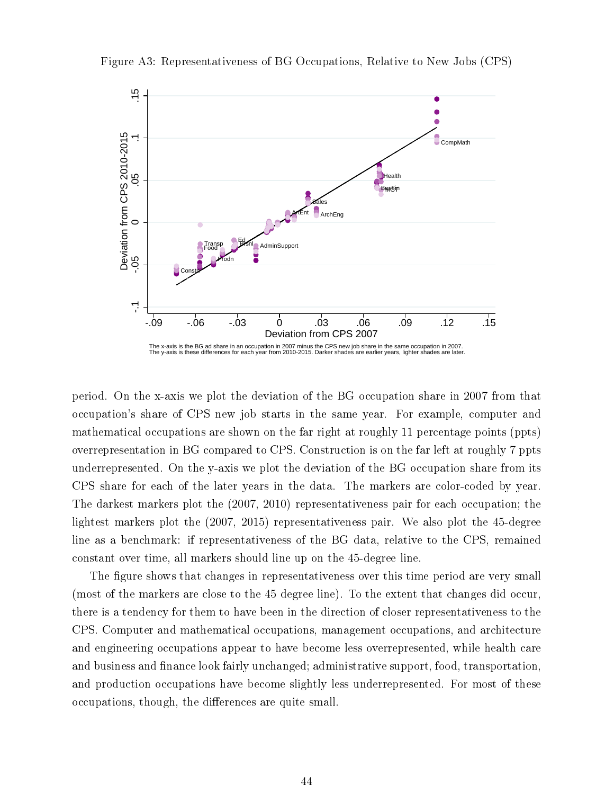

Figure A3: Representativeness of BG Occupations, Relative to New Jobs (CPS)

period. On the x-axis we plot the deviation of the BG occupation share in 2007 from that occupation's share of CPS new job starts in the same year. For example, computer and mathematical occupations are shown on the far right at roughly 11 percentage points (ppts) overrepresentation in BG compared to CPS. Construction is on the far left at roughly 7 ppts underrepresented. On the y-axis we plot the deviation of the BG occupation share from its CPS share for each of the later years in the data. The markers are color-coded by year. The darkest markers plot the (2007, 2010) representativeness pair for each occupation; the lightest markers plot the (2007, 2015) representativeness pair. We also plot the 45-degree line as a benchmark: if representativeness of the BG data, relative to the CPS, remained constant over time, all markers should line up on the 45-degree line.

The figure shows that changes in representativeness over this time period are very small (most of the markers are close to the 45 degree line). To the extent that changes did occur, there is a tendency for them to have been in the direction of closer representativeness to the CPS. Computer and mathematical occupations, management occupations, and architecture and engineering occupations appear to have become less overrepresented, while health care and business and finance look fairly unchanged; administrative support, food, transportation, and production occupations have become slightly less underrepresented. For most of these occupations, though, the differences are quite small.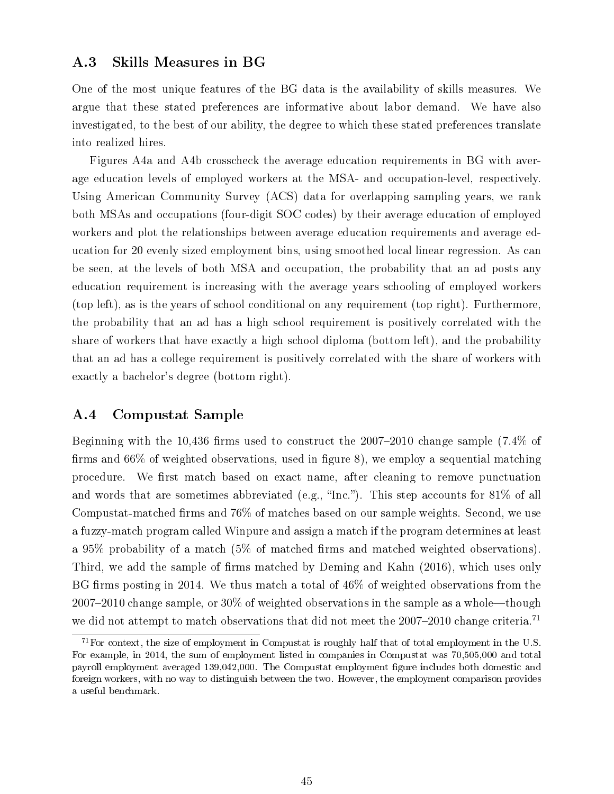### A.3 Skills Measures in BG

One of the most unique features of the BG data is the availability of skills measures. We argue that these stated preferences are informative about labor demand. We have also investigated, to the best of our ability, the degree to which these stated preferences translate into realized hires.

Figures A4a and A4b crosscheck the average education requirements in BG with average education levels of employed workers at the MSA- and occupation-level, respectively. Using American Community Survey (ACS) data for overlapping sampling years, we rank both MSAs and occupations (four-digit SOC codes) by their average education of employed workers and plot the relationships between average education requirements and average education for 20 evenly sized employment bins, using smoothed local linear regression. As can be seen, at the levels of both MSA and occupation, the probability that an ad posts any education requirement is increasing with the average years schooling of employed workers (top left), as is the years of school conditional on any requirement (top right). Furthermore, the probability that an ad has a high school requirement is positively correlated with the share of workers that have exactly a high school diploma (bottom left), and the probability that an ad has a college requirement is positively correlated with the share of workers with exactly a bachelor's degree (bottom right).

### A.4 Compustat Sample

Beginning with the 10,436 firms used to construct the  $2007-2010$  change sample (7.4% of firms and  $66\%$  of weighted observations, used in figure 8), we employ a sequential matching procedure. We first match based on exact name, after cleaning to remove punctuation and words that are sometimes abbreviated (e.g., "Inc."). This step accounts for  $81\%$  of all Compustat-matched firms and  $76\%$  of matches based on our sample weights. Second, we use a fuzzy-match program called Winpure and assign a match if the program determines at least a 95% probability of a match (5% of matched firms and matched weighted observations). Third, we add the sample of firms matched by Deming and Kahn (2016), which uses only BG firms posting in 2014. We thus match a total of  $46\%$  of weighted observations from the  $2007-2010$  change sample, or  $30\%$  of weighted observations in the sample as a whole-though we did not attempt to match observations that did not meet the 2007-2010 change criteria.<sup>71</sup>

 $71$  For context, the size of employment in Compustat is roughly half that of total employment in the U.S. For example, in 2014, the sum of employment listed in companies in Compustat was 70,505,000 and total payroll employment averaged 139,042,000. The Compustat employment gure includes both domestic and foreign workers, with no way to distinguish between the two. However, the employment comparison provides a useful benchmark.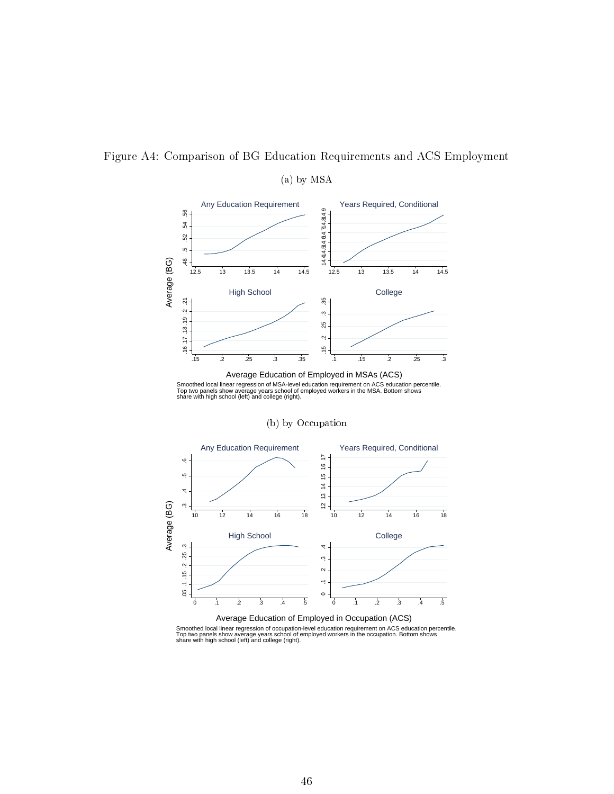

### Figure A4: Comparison of BG Education Requirements and ACS Employment

(a) by MSA

Smoothed local linear regression of MSA-level education requirement on ACS education percentile.<br>Top two panels show average years school of employed workers in the MSA. Bottom shows<br>share with high school (left) and colle

(b) by Occupation



Average Education of Employed in Occupation (ACS)

Smoothed local linear regression of occupation-level education requirement on ACS education percentile.<br>Top two panels show average years school of employed workers in the occupation. Bottom shows<br>share with high school (l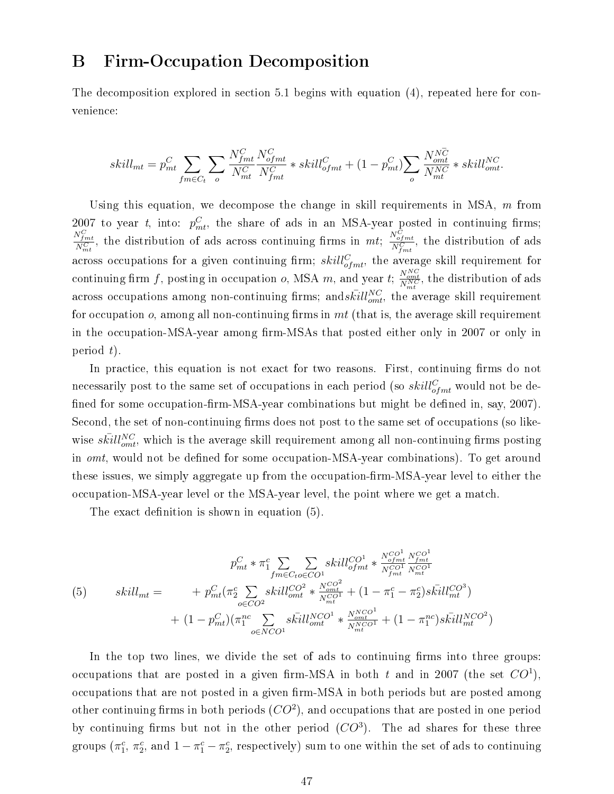# B Firm-Occupation Decomposition

The decomposition explored in section 5.1 begins with equation (4), repeated here for convenience:

$$
skill_{mt} = p_{mt}^C \sum_{fm \in C_t} \sum_{o} \frac{N_{fmt}^C}{N_{mt}^C} \frac{N_{ofmt}^C}{N_{fmt}^C} * skill_{ofmt}^C + (1 - p_{mt}^C) \sum_{o} \frac{N_{omt}^{N\overline{C}}}{N_{mt}^{N\overline{C}}} * skill_{omt}^{NC}.
$$

Using this equation, we decompose the change in skill requirements in MSA,  $m$  from 2007 to year t, into:  $p_{mt}^C$ , the share of ads in an MSA-year posted in continuing firms;  $\frac{N_{fmt}^C}{N_{mt}^C}$ , the distribution of ads across continuing firms in mt;  $\frac{N_{fmt}^C}{N_{fmt}^C}$ , the distribution of ads across occupations for a given continuing firm;  $skill_{ofmt}^C$ , the average skill requirement for continuing firm f, posting in occupation o, MSA m, and year t;  $\frac{N_{omt}^{NC}}{N_{mt}^{NC}}$ , the distribution of ads across occupations among non-continuing firms; and  $\bar{kill}_{omt}^{NC}$ , the average skill requirement for occupation o, among all non-continuing firms in  $mt$  (that is, the average skill requirement in the occupation-MSA-year among firm-MSAs that posted either only in 2007 or only in period  $t$ ).

In practice, this equation is not exact for two reasons. First, continuing firms do not necessarily post to the same set of occupations in each period (so  $skill_{ofmt}^{C}$  would not be defined for some occupation-firm-MSA-year combinations but might be defined in, say, 2007). Second, the set of non-continuing firms does not post to the same set of occupations (so likewise  $s\bar{kill}^{NC}_{omt},$  which is the average skill requirement among all non-continuing firms posting in *omt*, would not be defined for some occupation-MSA-year combinations). To get around these issues, we simply aggregate up from the occupation-firm-MSA-year level to either the occupation-MSA-year level or the MSA-year level, the point where we get a match.

The exact definition is shown in equation  $(5)$ .

$$
p_{mt}^{C} * \pi_{1}^{c} \sum_{fm \in C_{to} \in CO^{1}} skill_{ofmt}^{CO^{1}} * \frac{N_{ofmt}^{CO^{1}} N_{fm}^{CO^{1}}}{N_{gt}^{CO^{1}}} \frac{N_{off}^{CO^{1}}}{N_{mt}^{CO^{1}}} (5) \qquad skill_{mt} = + p_{mt}^{C} (\pi_{2}^{c} \sum_{o \in CO^{2}} skill_{omt}^{CO^{2}} * \frac{N_{on}^{CO^{2}}}{N_{mt}^{CO^{1}}} + (1 - \pi_{1}^{c} - \pi_{2}^{c}) skill_{mt}^{CO^{3}}) + (1 - p_{mt}^{C}) (\pi_{1}^{nc} \sum_{o \in NCO^{1}} skill_{omt}^{NCO^{1}} * \frac{N_{mCO^{1}}^{NCO^{1}}}{N_{mt}^{NCO^{1}}} + (1 - \pi_{1}^{nc}) skill_{mt}^{NCO^{2}})
$$

In the top two lines, we divide the set of ads to continuing firms into three groups: occupations that are posted in a given firm-MSA in both t and in 2007 (the set  $CO<sup>1</sup>$ ), occupations that are not posted in a given firm-MSA in both periods but are posted among other continuing firms in both periods  $(CO^2)$ , and occupations that are posted in one period by continuing firms but not in the other period  $(CO<sup>3</sup>)$ . The ad shares for these three groups  $(\pi_1^c, \pi_2^c, \text{ and } 1 - \pi_1^c - \pi_2^c,$  respectively) sum to one within the set of ads to continuing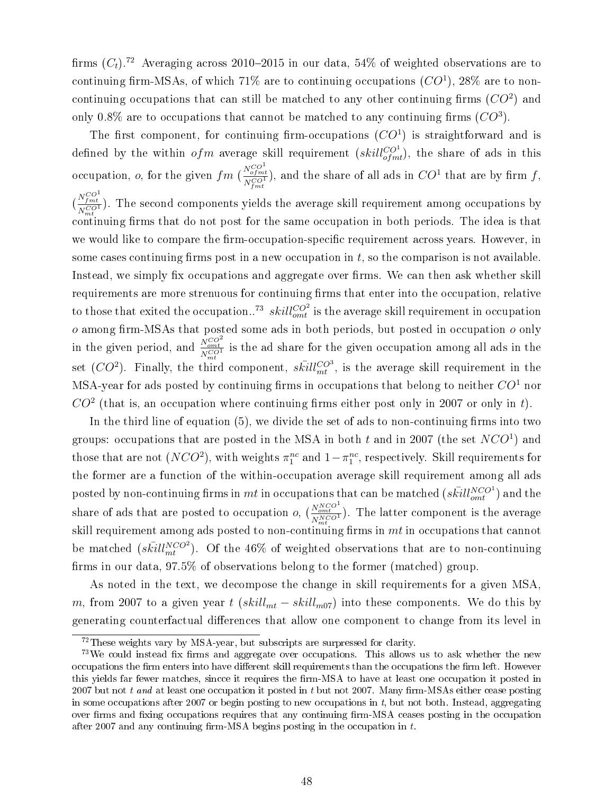firms  $(C_t)$ .<sup>72</sup> Averaging across 2010-2015 in our data, 54% of weighted observations are to continuing firm-MSAs, of which 71% are to continuing occupations  $(CO<sup>1</sup>)$ , 28% are to noncontinuing occupations that can still be matched to any other continuing firms  $(CO^2)$  and only 0.8% are to occupations that cannot be matched to any continuing firms  $(CO<sup>3</sup>)$ .

The first component, for continuing firm-occupations  $(CO<sup>1</sup>)$  is straightforward and is defined by the within  $ofm$  average skill requirement  $(skill_{ofmt}^{CO^1}),$  the share of ads in this occupation,  $o$ , for the given  $fm$  (  $\frac{N_{of}^{CO^1}}{N_{fmt}^{CO^1}}$ ), and the share of all ads in  $CO^1$  that are by firm f, (  $\frac{N_{fmt}^{CO^{1}}}{N_{mt}^{CO^{1}}}$ ). The second components yields the average skill requirement among occupations by  $\frac{N_{mt}}{\text{continuing}}$  firms that do not post for the same occupation in both periods. The idea is that we would like to compare the firm-occupation-specific requirement across years. However, in some cases continuing firms post in a new occupation in  $t$ , so the comparison is not available. Instead, we simply fix occupations and aggregate over firms. We can then ask whether skill requirements are more strenuous for continuing firms that enter into the occupation, relative to those that exited the occupation..<sup>73</sup>  $skill_{omt}^{CO^2}$  is the average skill requirement in occupation  $o$  among firm-MSAs that posted some ads in both periods, but posted in occupation  $o$  only in the given period, and  $\frac{N_{omt}^{CO^2}}{N_{m t}^{CO^1}}$  is the ad share for the given occupation among all ads in the set  $(CO^2)$ . Finally, the third component,  $s\bar{k}ill_{mt}^{CO^3}$ , is the average skill requirement in the MSA-year for ads posted by continuing firms in occupations that belong to neither  $CO<sup>1</sup>$  nor  $CO<sup>2</sup>$  (that is, an occupation where continuing firms either post only in 2007 or only in t).

In the third line of equation  $(5)$ , we divide the set of ads to non-continuing firms into two groups: occupations that are posted in the MSA in both  $t$  and in 2007 (the set  $NCO^1$ ) and those that are not  $(NCO^2)$ , with weights  $\pi_1^{nc}$  and  $1-\pi_1^{nc}$ , respectively. Skill requirements for the former are a function of the within-occupation average skill requirement among all ads posted by non-continuing firms in  $mt$  in occupations that can be matched  $(s\bar{kill}_{out}^{NCO^1})$  and the share of ads that are posted to occupation  $o$ ,  $\left(\frac{N_{omet}^{NCC}}{N_{mt}^{NCC}}\right)$ . The latter component is the average skill requirement among ads posted to non-continuing firms in  $mt$  in occupations that cannot be matched  $(s\bar{kill}_{mt}^{NCO2})$ . Of the 46% of weighted observations that are to non-continuing firms in our data,  $97.5\%$  of observations belong to the former (matched) group.

As noted in the text, we decompose the change in skill requirements for a given MSA, m, from 2007 to a given year t  $(skill_{mt} - skill_{m07})$  into these components. We do this by generating counterfactual differences that allow one component to change from its level in

<sup>72</sup>These weights vary by MSA-year, but subscripts are surpressed for clarity.

 $73$ We could instead fix firms and aggregate over occupations. This allows us to ask whether the new occupations the firm enters into have different skill requirements than the occupations the firm left. However this yields far fewer matches, sincce it requires the firm-MSA to have at least one occupation it posted in 2007 but not t and at least one occupation it posted in t but not 2007. Many firm-MSAs either cease posting in some occupations after 2007 or begin posting to new occupations in  $t$ , but not both. Instead, aggregating over firms and fixing occupations requires that any continuing firm-MSA ceases posting in the occupation after 2007 and any continuing firm-MSA begins posting in the occupation in  $t$ .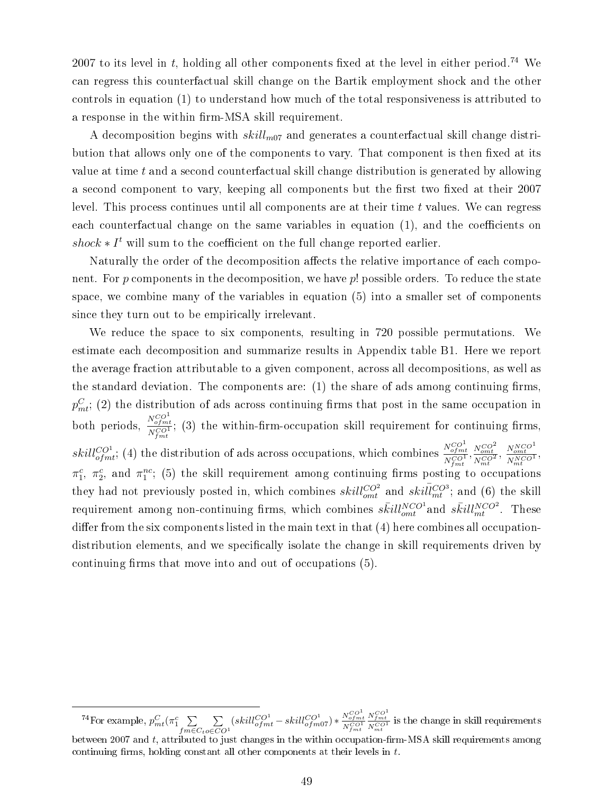2007 to its level in t, holding all other components fixed at the level in either period.<sup>74</sup> We can regress this counterfactual skill change on the Bartik employment shock and the other controls in equation (1) to understand how much of the total responsiveness is attributed to a response in the within firm-MSA skill requirement.

A decomposition begins with  $skill_{m07}$  and generates a counterfactual skill change distribution that allows only one of the components to vary. That component is then fixed at its value at time t and a second counterfactual skill change distribution is generated by allowing a second component to vary, keeping all components but the first two fixed at their 2007 level. This process continues until all components are at their time  $t$  values. We can regress each counterfactual change on the same variables in equation  $(1)$ , and the coefficients on  $shock * I<sup>t</sup>$  will sum to the coefficient on the full change reported earlier.

Naturally the order of the decomposition affects the relative importance of each component. For  $p$  components in the decomposition, we have  $p!$  possible orders. To reduce the state space, we combine many of the variables in equation (5) into a smaller set of components since they turn out to be empirically irrelevant.

We reduce the space to six components, resulting in 720 possible permutations. We estimate each decomposition and summarize results in Appendix table B1. Here we report the average fraction attributable to a given component, across all decompositions, as well as the standard deviation. The components are:  $(1)$  the share of ads among continuing firms.  $p_{mt}^C$ ; (2) the distribution of ads across continuing firms that post in the same occupation in both periods,  $\frac{N_{ofmt}^{CO^1}}{N_{fmt}^{CO^1}}$ ; (3) the within-firm-occupation skill requirement for continuing firms,  $skill_{ofmt}^{CO1}$ ; (4) the distribution of ads across occupations, which combines  $\frac{N_{ofmt}^{CO1}}{N^{CO1}}$  $\frac{N_{of\,mt}^{CO^1}}{N_{f\,mt}^{CO^1}}, \frac{N_{ont}^{CO^2}}{N_{mt}^{CO^1}}, \frac{N_{ont}^{NCO^1}}{N_{mt}^{NCO^1}},$  $\pi_1^c$ ,  $\pi_2^c$ , and  $\pi_1^{nc}$ ; (5) the skill requirement among continuing firms posting to occupations they had not previously posted in, which combines  $skill_{omt}^{CO^2}$  and  $skill_{mt}^{CO^3}$ ; and (6) the skill requirement among non-continuing firms, which combines  $s\bar{kill}^{NCO^1}_{ont}$  and  $s\bar{kill}^{NCO^2}_{mt}$ . These differ from the six components listed in the main text in that  $(4)$  here combines all occupationdistribution elements, and we specifically isolate the change in skill requirements driven by continuing firms that move into and out of occupations  $(5)$ .

<sup>&</sup>lt;sup>74</sup>For example,  $p_{mt}^C(\pi_1^c \sum)$  $f m \in C_t$ P  $o \in CO<sup>1</sup>$  $\left( skill_{ofmt}^{CO^{1}} - skill_{ofm07}^{CO^{1}} \right) * \frac{N_{ofmt}^{CO^{1}}}{N_{fmt}^{CO^{1}}}$  $\frac{N_{fmt}^{CO^1}}{N_{mt}^{CO^1}}$  is the change in skill requirements

between 2007 and  $t$ , attributed to just changes in the within occupation-firm-MSA skill requirements among continuing firms, holding constant all other components at their levels in  $t$ .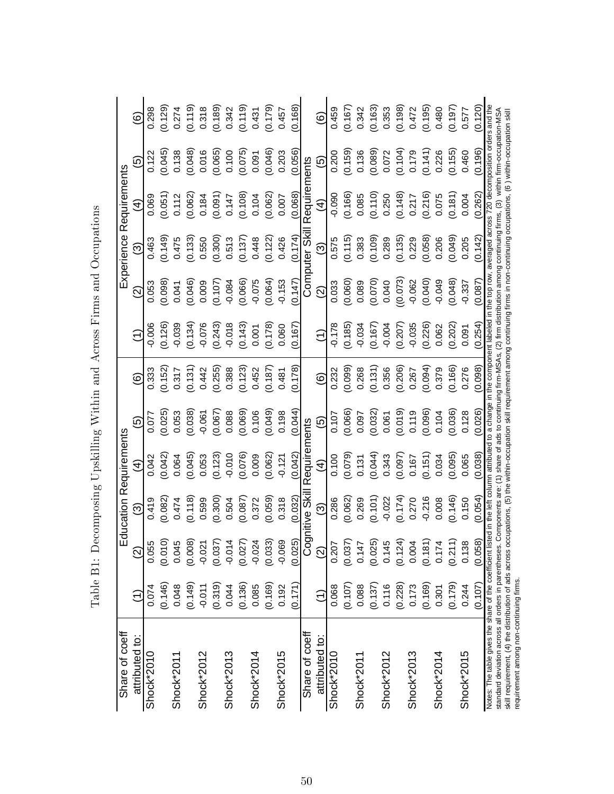| Share of coeff                                                                                                   |                 |                      | <b>Education Requirements</b>                                                                                                                                                                                                                                                      |                    |                    |         |          |                    | Experience              | Requirements  |           |         |
|------------------------------------------------------------------------------------------------------------------|-----------------|----------------------|------------------------------------------------------------------------------------------------------------------------------------------------------------------------------------------------------------------------------------------------------------------------------------|--------------------|--------------------|---------|----------|--------------------|-------------------------|---------------|-----------|---------|
| attributed to:                                                                                                   |                 | $\widehat{\infty}$   | ဨ                                                                                                                                                                                                                                                                                  | $\bm{\mathcal{F}}$ | <u>ົເດ</u>         | ම       | Ξ        | ତ୍ର                | ဨ                       | €             | <u> ල</u> | ම       |
| Shock*2010                                                                                                       | 0.074           | 0.055                | 0.419                                                                                                                                                                                                                                                                              | 0.042              | 0.077              | 0.333   | $-0.006$ | 0.053              | 0.463                   | 0.069         | 0.122     | 0.298   |
|                                                                                                                  | (0.146)         | $(0.010)$<br>0.045   | (0.082)                                                                                                                                                                                                                                                                            | (0.042)            | (0.025)            | (0.152) | (0.126)  | (0.098)            | (0.149)                 | (0.051)       | (0.045)   | (0.129) |
| Shock*2011                                                                                                       | 0.048           |                      | 0.474                                                                                                                                                                                                                                                                              | 0.064              | 0.053              | 0.317   | $-0.039$ | 0.041              | 0.475                   | 0.112         | 0.138     | 0.274   |
|                                                                                                                  | (0.149)         | (0.008)              | (0.118)                                                                                                                                                                                                                                                                            | (0.045)            | (0.038)            | (0.131) | (0.134)  | (0.046)            | (0.133)                 | (0.062)       | (0.048)   | (0.119) |
| Shock*2012                                                                                                       | $-0.011$        | $-0.02$              | 0.599                                                                                                                                                                                                                                                                              | 0.053              | $-0.061$           | 0.442   | $-0.076$ | 0.009              | 0.550                   | 0.184         | 0.016     | 0.318   |
|                                                                                                                  | (0.319)         | (0.037)              | (0.300)                                                                                                                                                                                                                                                                            | (0.123)            | (0.067)            | (0.255) | (0.243)  | (0.107)            | (0.300)                 | (0.091)       | (0.065)   | (0.189) |
| Shock*2013                                                                                                       | 0.044           | $-0.01$              | 0.504                                                                                                                                                                                                                                                                              | $-0.010$           | 0.088              | 0.388   | $-0.018$ | $-0.084$           | 0.513                   | 0.147         | 0.100     | 0.342   |
|                                                                                                                  | (0.136)         | (0.027)              | (0.087)                                                                                                                                                                                                                                                                            | (0.076)            | (0.069)            | (0.123) | (0.143)  | (0.066)            | (0.137)                 | (0.108)       | (0.075)   | (0.119) |
| Shock*2014                                                                                                       | 0.085           | $-0.02$              | 0.372                                                                                                                                                                                                                                                                              | 0.009              | 0.106              | 0.452   | 0.001    | $-0.075$           | 0.448                   | 0.104         | 0.091     | 0.431   |
|                                                                                                                  | (0.169)         | (0.033)              | (0.059)                                                                                                                                                                                                                                                                            | (0.062)            | (0.049)            | (0.187) | (0.178)  | (0.064)            | (0.122)                 | (0.062)       | (0.046)   | (0.179) |
| Shock*2015                                                                                                       | 0.192           | $-0.069$             | 0.318                                                                                                                                                                                                                                                                              | $-0.121$           | 0.198              | 0.481   | 0.060    | $-0.153$           | 0.426                   | 0.007         | 0.203     | 0.457   |
|                                                                                                                  | (0.171)         | (0.025)              | 0.032                                                                                                                                                                                                                                                                              | 0.042              | 0.044              | (0.178) | (0.167)  | 70.147             | (0.174)                 | 0.068         | 0.056     | 0.168   |
| Share of coeff                                                                                                   |                 |                      | Cognitive Skill                                                                                                                                                                                                                                                                    | Requirements       |                    |         |          |                    | Computer Ski            | Requirements  |           |         |
| attributed to:                                                                                                   | $\widehat{\Xi}$ | $\widehat{2}$        | $\widehat{\mathfrak{S}}$                                                                                                                                                                                                                                                           | $\widehat{4}$      | $\widehat{\Theta}$ | ම       | €        | $\widehat{\infty}$ | $\widehat{\mathcal{O}}$ | $\widehat{4}$ | <u> ඉ</u> | ම       |
| Shock*2010                                                                                                       | 0.068           | 0.207                | 0.286                                                                                                                                                                                                                                                                              | 0.100              | 0.107              | 0.232   | $-0.178$ | 0.033              | 0.575                   | $-0.090$      | 0.200     | 0.459   |
|                                                                                                                  | (0.107)         | (0.037)              | (0.062)                                                                                                                                                                                                                                                                            | (0.079)            | (0.066)            | (0.099) | (0.185)  | (0.060)            | (0.115)                 | (0.166)       | (0.159)   | (0.167) |
| Shock*2011                                                                                                       | 0.088           | 0.147                | 0.269                                                                                                                                                                                                                                                                              | 0.131              | 0.097              | 0.268   | $-0.034$ | 0.089              | 0.383                   | 0.085         | 0.136     | 0.342   |
|                                                                                                                  | (0.137)         | $(0.025)$<br>$0.145$ | (0.101)                                                                                                                                                                                                                                                                            | (0.044)            | (0.032)            | (0.131) | (0.167)  | (0.070)            | (0.109)                 | (0.110)       | (0.089)   | (0.163) |
| Shock*2012                                                                                                       | 0.116           |                      | $-0.022$                                                                                                                                                                                                                                                                           | 0.343              | 0.061              | 0.356   | $-0.004$ | 0.040              | 0.289                   | 0.250         | 0.072     | 0.353   |
|                                                                                                                  | (0.228)         | (0.124)              | (0.174)                                                                                                                                                                                                                                                                            | (0.097)            | (0.019)            | (0.206) | (0.207)  | (0.073)            | (0.135)                 | (0.148)       | (0.104)   | (0.198) |
| Shock*2013                                                                                                       | 0.173           | 0.004                | 0.270                                                                                                                                                                                                                                                                              | 0.167              | 0.119              | 0.267   | $-0.035$ | $-0.062$           | 0.229                   | 0.217         | 0.179     | 0.472   |
|                                                                                                                  | (0.169)         | (0.181)              | $-0.216$                                                                                                                                                                                                                                                                           | (0.151)            | (0.096)            | (0.094) | (0.226)  | (0.040)            | (0.058)                 | (0.216)       | (0.141)   | (0.195) |
| Shock*2014                                                                                                       | 0.301           | 0.174                | 0.008                                                                                                                                                                                                                                                                              | 0.034              | 0.104              | 0.379   | 0.062    | $-0.049$           | 0.206                   | 0.075         | 0.226     | 0.480   |
|                                                                                                                  | (0.179)         | (0.211)              | (0.146)                                                                                                                                                                                                                                                                            | (0.095)            | (0.036)            | (0.166) | (0.202)  | (0.048)            | (0.049)                 | (0.181)       | (0.155)   | (0.197) |
| Shock*2015                                                                                                       | 0.244           | 0.138                | 0.150                                                                                                                                                                                                                                                                              | 0.065              | 0.128              | 0.276   | 0.091    | $-0.337$           | 0.205                   | 0.004         | 0.460     | 0.577   |
|                                                                                                                  | (0.107)         | (0.058)              | (0.054)                                                                                                                                                                                                                                                                            | (0.038)            | (0.026)            | (0.098) | (0.254)  | (0.087)            | (0.142)                 | (0.262)       | (0.196)   | 0.120   |
| Notes: The table gives the share of the coefficient list<br>standard deviation across all orders in parentheses. |                 |                      | sted in the left column attributed to a change in the component labeled in the top row, averaged across 720 decomposition orders and the<br>Components are: (1) share of ads to continuing firm-MSAs, (2) firm distribution among continuing firms, (3) within firm-occupation-MSA |                    |                    |         |          |                    |                         |               |           |         |
| skill requirement, (4) the distribution of ads across o                                                          |                 |                      | ccupations, (5) the within-occupation skill requirement among continuing firms in non-continuing occupations, (6) within-occupation skill                                                                                                                                          |                    |                    |         |          |                    |                         |               |           |         |
| requirement among non-continuing firms.                                                                          |                 |                      |                                                                                                                                                                                                                                                                                    |                    |                    |         |          |                    |                         |               |           |         |

Table B1: Decomposing Upskilling Within and Across Firms and Occupations Table B1: Decomposing Upskilling Within and Across Firms and Occupations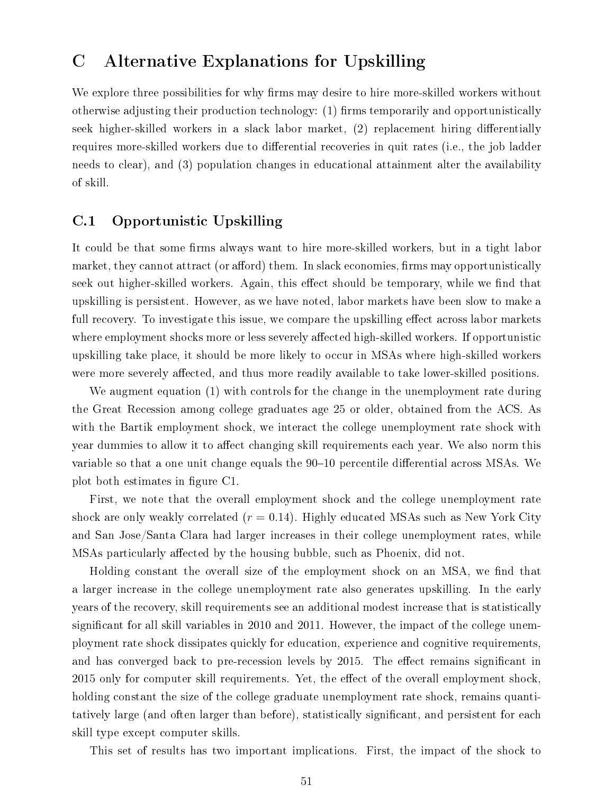# C Alternative Explanations for Upskilling

We explore three possibilities for why firms may desire to hire more-skilled workers without otherwise adjusting their production technology: (1) firms temporarily and opportunistically seek higher-skilled workers in a slack labor market, (2) replacement hiring differentially requires more-skilled workers due to differential recoveries in quit rates (i.e., the job ladder needs to clear), and (3) population changes in educational attainment alter the availability of skill.

### C.1 Opportunistic Upskilling

It could be that some firms always want to hire more-skilled workers, but in a tight labor market, they cannot attract (or afford) them. In slack economies, firms may opportunistically seek out higher-skilled workers. Again, this effect should be temporary, while we find that upskilling is persistent. However, as we have noted, labor markets have been slow to make a full recovery. To investigate this issue, we compare the upskilling effect across labor markets where employment shocks more or less severely affected high-skilled workers. If opportunistic upskilling take place, it should be more likely to occur in MSAs where high-skilled workers were more severely affected, and thus more readily available to take lower-skilled positions.

We augment equation (1) with controls for the change in the unemployment rate during the Great Recession among college graduates age 25 or older, obtained from the ACS. As with the Bartik employment shock, we interact the college unemployment rate shock with year dummies to allow it to affect changing skill requirements each year. We also norm this variable so that a one unit change equals the  $90-10$  percentile differential across MSAs. We plot both estimates in figure C1.

First, we note that the overall employment shock and the college unemployment rate shock are only weakly correlated  $(r = 0.14)$ . Highly educated MSAs such as New York City and San Jose/Santa Clara had larger increases in their college unemployment rates, while MSAs particularly affected by the housing bubble, such as Phoenix, did not.

Holding constant the overall size of the employment shock on an MSA, we find that a larger increase in the college unemployment rate also generates upskilling. In the early years of the recovery, skill requirements see an additional modest increase that is statistically significant for all skill variables in 2010 and 2011. However, the impact of the college unemployment rate shock dissipates quickly for education, experience and cognitive requirements, and has converged back to pre-recession levels by 2015. The effect remains significant in 2015 only for computer skill requirements. Yet, the effect of the overall employment shock, holding constant the size of the college graduate unemployment rate shock, remains quantitatively large (and often larger than before), statistically significant, and persistent for each skill type except computer skills.

This set of results has two important implications. First, the impact of the shock to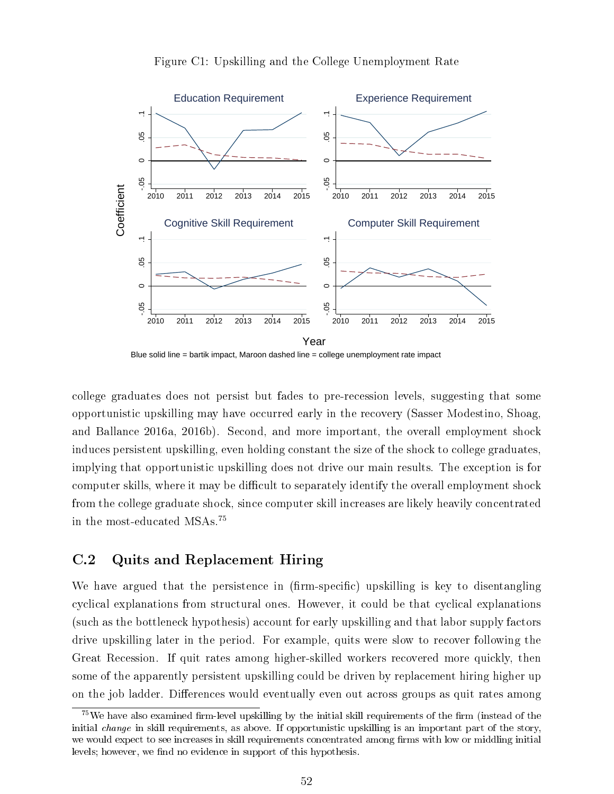

#### Figure C1: Upskilling and the College Unemployment Rate

Blue solid line  $=$  bartik impact, Maroon dashed line  $=$  college unemployment rate impact

college graduates does not persist but fades to pre-recession levels, suggesting that some opportunistic upskilling may have occurred early in the recovery (Sasser Modestino, Shoag, and Ballance 2016a, 2016b). Second, and more important, the overall employment shock induces persistent upskilling, even holding constant the size of the shock to college graduates, implying that opportunistic upskilling does not drive our main results. The exception is for computer skills, where it may be difficult to separately identify the overall employment shock from the college graduate shock, since computer skill increases are likely heavily concentrated in the most-educated MSAs.<sup>75</sup>

### C.2 Quits and Replacement Hiring

We have argued that the persistence in  $(firm-specific)$  upskilling is key to disentangling cyclical explanations from structural ones. However, it could be that cyclical explanations (such as the bottleneck hypothesis) account for early upskilling and that labor supply factors drive upskilling later in the period. For example, quits were slow to recover following the Great Recession. If quit rates among higher-skilled workers recovered more quickly, then some of the apparently persistent upskilling could be driven by replacement hiring higher up on the job ladder. Differences would eventually even out across groups as quit rates among

 $^{75}$ We have also examined firm-level upskilling by the initial skill requirements of the firm (instead of the initial *change* in skill requirements, as above. If opportunistic upskilling is an important part of the story, we would expect to see increases in skill requirements concentrated among firms with low or middling initial levels; however, we find no evidence in support of this hypothesis.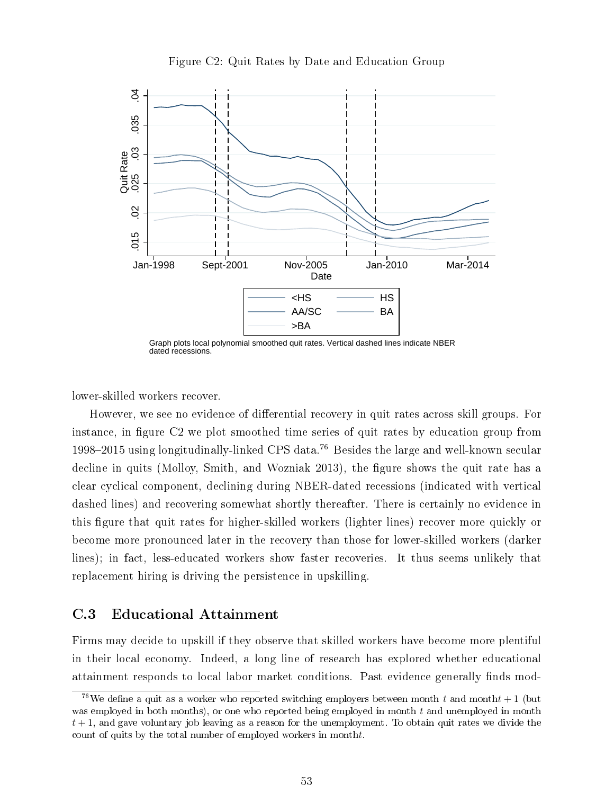



Graph plots local polynomial smoothed quit rates. Vertical dashed lines indicate NBER dated recessions.

lower-skilled workers recover.

However, we see no evidence of differential recovery in quit rates across skill groups. For instance, in figure C2 we plot smoothed time series of quit rates by education group from 1998–2015 using longitudinally-linked CPS data.<sup>76</sup> Besides the large and well-known secular decline in quits (Molloy, Smith, and Wozniak 2013), the figure shows the quit rate has a clear cyclical component, declining during NBER-dated recessions (indicated with vertical dashed lines) and recovering somewhat shortly thereafter. There is certainly no evidence in this figure that quit rates for higher-skilled workers (lighter lines) recover more quickly or become more pronounced later in the recovery than those for lower-skilled workers (darker lines); in fact, less-educated workers show faster recoveries. It thus seems unlikely that replacement hiring is driving the persistence in upskilling.

### C.3 Educational Attainment

Firms may decide to upskill if they observe that skilled workers have become more plentiful in their local economy. Indeed, a long line of research has explored whether educational attainment responds to local labor market conditions. Past evidence generally finds mod-

<sup>&</sup>lt;sup>76</sup>We define a quit as a worker who reported switching employers between month t and month  $t + 1$  (but was employed in both months), or one who reported being employed in month  $t$  and unemployed in month  $t + 1$ , and gave voluntary job leaving as a reason for the unemployment. To obtain quit rates we divide the count of quits by the total number of employed workers in montht.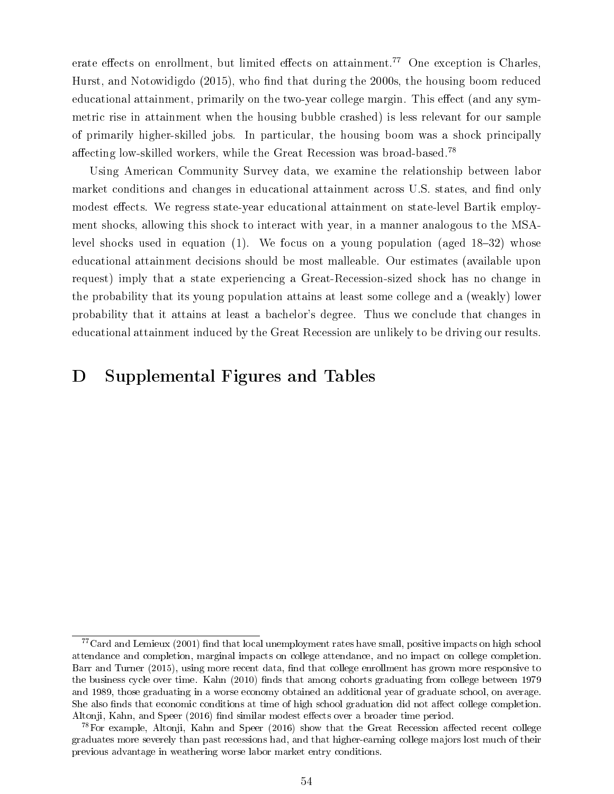erate effects on enrollment, but limited effects on attainment.<sup>77</sup> One exception is Charles, Hurst, and Notowidigdo  $(2015)$ , who find that during the 2000s, the housing boom reduced educational attainment, primarily on the two-year college margin. This effect (and any symmetric rise in attainment when the housing bubble crashed) is less relevant for our sample of primarily higher-skilled jobs. In particular, the housing boom was a shock principally affecting low-skilled workers, while the Great Recession was broad-based.<sup>78</sup>

Using American Community Survey data, we examine the relationship between labor market conditions and changes in educational attainment across U.S. states, and find only modest effects. We regress state-year educational attainment on state-level Bartik employment shocks, allowing this shock to interact with year, in a manner analogous to the MSAlevel shocks used in equation  $(1)$ . We focus on a young population (aged 18–32) whose educational attainment decisions should be most malleable. Our estimates (available upon request) imply that a state experiencing a Great-Recession-sized shock has no change in the probability that its young population attains at least some college and a (weakly) lower probability that it attains at least a bachelor's degree. Thus we conclude that changes in educational attainment induced by the Great Recession are unlikely to be driving our results.

# D Supplemental Figures and Tables

 $77$ Card and Lemieux (2001) find that local unemployment rates have small, positive impacts on high school attendance and completion, marginal impacts on college attendance, and no impact on college completion. Barr and Turner (2015), using more recent data, find that college enrollment has grown more responsive to the business cycle over time. Kahn (2010) finds that among cohorts graduating from college between 1979 and 1989, those graduating in a worse economy obtained an additional year of graduate school, on average. She also finds that economic conditions at time of high school graduation did not affect college completion. Altonji, Kahn, and Speer (2016) find similar modest effects over a broader time period.

 $^{78}$ For example, Altonji, Kahn and Speer (2016) show that the Great Recession affected recent college graduates more severely than past recessions had, and that higher-earning college majors lost much of their previous advantage in weathering worse labor market entry conditions.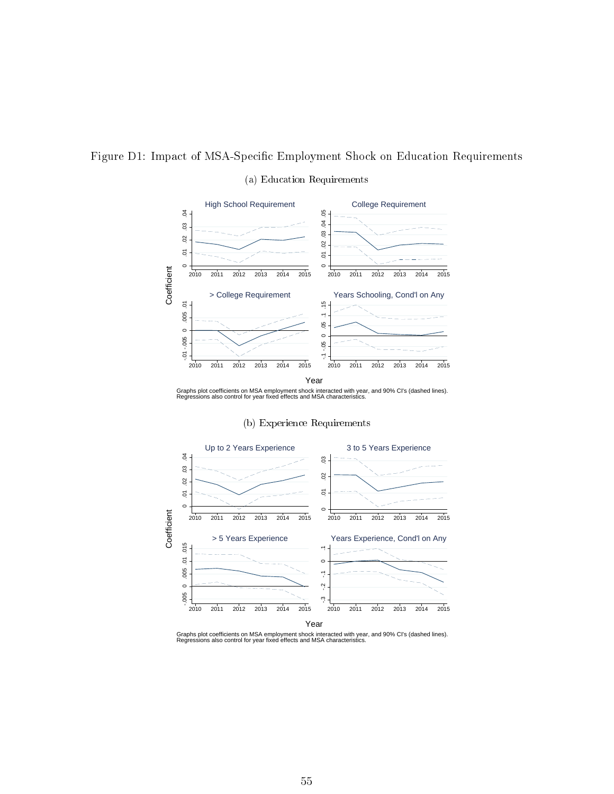

#### (a) Education Requirements



Graphs plot coefficients on MSA employment shock interacted with year, and 90% CI's (dashed lines). Regressions also control for year fixed effects and MSA characteristics.



#### (b) Experience Requirements

Graphs plot coefficients on MSA employment shock interacted with year, and 90% CI's (dashed lines). Regressions also control for year fixed effects and MSA characteristics.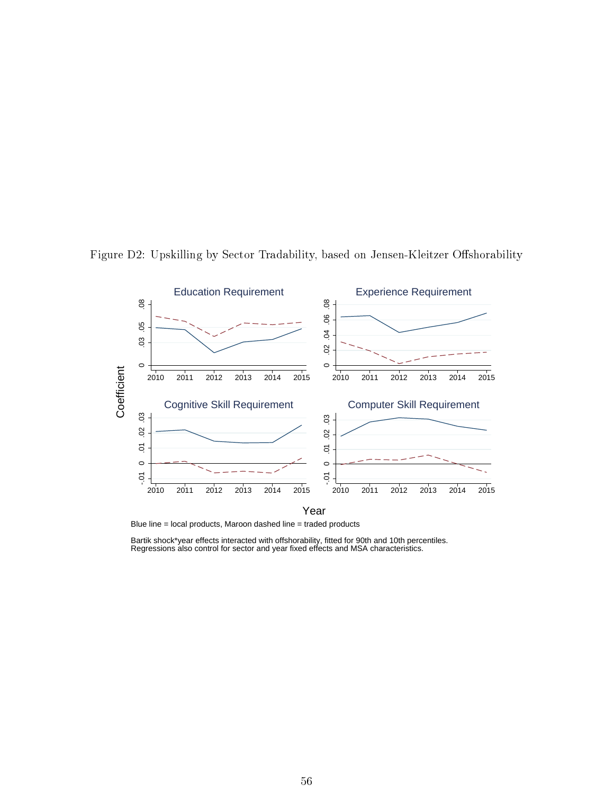

Figure D2: Upskilling by Sector Tradability, based on Jensen-Kleitzer Offshorability

Blue line = local products, Maroon dashed line = traded products

Bartik shock\*year effects interacted with offshorability, fitted for 90th and 10th percentiles. Regressions also control for sector and year fixed effects and MSA characteristics.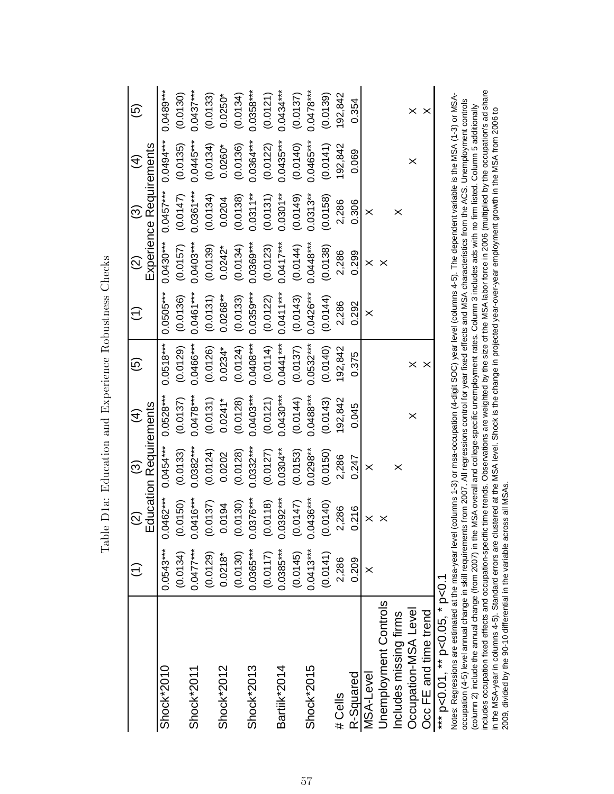|                                | $\widehat{\Xi}$ | $\widehat{\Omega}$ | ල                             | $\widehat{\mathcal{A}}$ | $\widehat{\mathfrak{G}}$ |             | $\widehat{2}$ | ල                       | $\hat{A}$   | <u>ව</u>    |
|--------------------------------|-----------------|--------------------|-------------------------------|-------------------------|--------------------------|-------------|---------------|-------------------------|-------------|-------------|
|                                |                 |                    | <b>Education Requirements</b> |                         |                          |             |               | Experience Requirements |             |             |
| Shock*2010                     | $0.0543***$     | .0462***<br>d      | $0.0454***$                   | $0.0528***$             | $0.0518***$              | $0.0505***$ | $0.0430***$   | $0.0457***$             | $0.0494***$ | $0.0489***$ |
|                                | (0.0134)        | 0.0150             | (0.0133)                      | (0.0137)                | (0.0129)                 | (0.0136)    | (0.0157)      | (0.0147)                | (0.0135)    | (0.0130)    |
| Shock*2011                     | $0.0477***$     | $.0416***$         | $0.0382***$                   | $0.0478***$             | 0.0466***                | $0.0461***$ | $0.0403***$   | $0.0361***$             | $0.0445***$ | $0.0437***$ |
|                                | (0.0129)        | 0.0137             | (0.0124)                      | (0.0131)                | (0.0126)                 | (0.0131)    | (0.0139)      | (0.0134)                | (0.0134)    | (0.0133)    |
| Shock*2012                     | $0.0218*$       | 0.0194             | 0.0202                        | $0.0241*$               | $0.0234*$                | $0.0268***$ | $0.0242$ *    | 0.0204                  | $0.0260*$   | $0.0250*$   |
|                                | (0.0130)        | 0.0130)            | (0.0128)                      | (0.0128)                | (0.0124)                 | (0.0133)    | (0.0134)      | (0.0138)                | (0.0136)    | (0.0134)    |
| Shock*2013                     | $0.0365***$     | $.0376***$         | $0.0332***$                   | $0.0403***$             | $0.0408***$              | $0.0359***$ | 0.0369***     | $0.0311***$             | $0.0364***$ | $0.0358***$ |
|                                | (0.0117)        | 0.0118             | (0.0127)                      | (0.0121)                | (0.0114)                 | (0.0122)    | (0.0123)      | (0.0131)                | (0.0122)    | (0.0121)    |
| Bartiik*2014                   | $0.0385***$     | $.0392***$         | $0.0304***$                   | $0.0430***$             | $0.0441***$              | $0.0411***$ | $0.0417***$   | $0.0301***$             | $0.0435***$ | $0.0434***$ |
|                                | (0.0145)        | 0.0147             | (0.0153)                      | (0.0144)                | (0.0137)                 | (0.0143)    | (0.0144)      | (0.0149)                | (0.0140)    | (0.0137)    |
| Shock*2015                     | $0.0413***$     | $0436***$          | $0.0298***$                   | 0.0488***               | $0.0532***$              | $0.0426***$ | $0.0448***$   | $0.0313***$             | $0.0465***$ | $0.0478***$ |
|                                | (0.0141)        | (0.0140)           | (0.0150)                      | (0.0143)                | (0.0140)                 | (0.0144)    | (0.0138)      | (0.0158)                | (0.0141)    | (0.0139)    |
| # Cells                        | 2,286           | 2,286              | 2,286                         | 192,842                 | 192,842                  | 2,286       | 2,286         | 2,286                   | 192,842     | 92,842      |
| R-Squared                      | 0.209           | 0.216              | 0.247                         | 0.045                   | 0.375                    | 0.292       | 0.299         | 0.306                   | 0.069       | 0.354       |
| MSA-Level                      | $\times$        | ×                  | $\times$                      |                         |                          | $\times$    | $\times$      | $\times$                |             |             |
| Jnemployment Controls          |                 |                    |                               |                         |                          |             | ×             |                         |             |             |
| Includes missing firms         |                 |                    | ×                             |                         |                          |             |               | ×                       |             |             |
| Occupation-MSA Level           |                 |                    |                               | ×                       | ×                        |             |               |                         | ×           |             |
| Occ FE and time trend          |                 |                    |                               |                         | $\times$                 |             |               |                         |             |             |
| *** p<0.01, ** p<0.05, * p<0.1 |                 |                    |                               |                         |                          |             |               |                         |             |             |

Table D1a: Education and Experience Robustness Checks Table D1a: Education and Experience Robustness Checks Notes: Regressions are estimated at the msa-year level (columns 1-3) or msa-occupation (4-digit SOC) year level (columns 4-5). The dependent variable is the MSA (1-3) or MSA-<br>occupation (4-5) level annual change in skill r includes occupation fixed effects and occupation-specific time trends. Observations are weighted by the size of the MSA labor force in 2006 (multiplied by the occupation's ad share Notes: Regressions are estimated at the msa-year level (columns 1-3) or msa-occupation (4-digit SOC) year level (columns 4-5). The dependent variable is the MSA (1-3) or MSAoccupation (4-5) level annual change in skill requirements from 2007. All regressions control for year fixed effects and MSA characteristics from the ACS. Unemployment controls (column 2) include the annual change (from 2007) in the MSA overall and college-specific unemployment rates. Column 3 includes ads with no firm listed. Column 5 additionally in the MSA-year in columns 4-5). Standard errors are clustered at the MSA level. Shock is the change in projected year-over-year employment growth in the MSA from 2006 to 2009, divided by the 90-10 differential in the variable across all MSAs. 2009, divided by the 90-10 differential in the variable across all MSAs.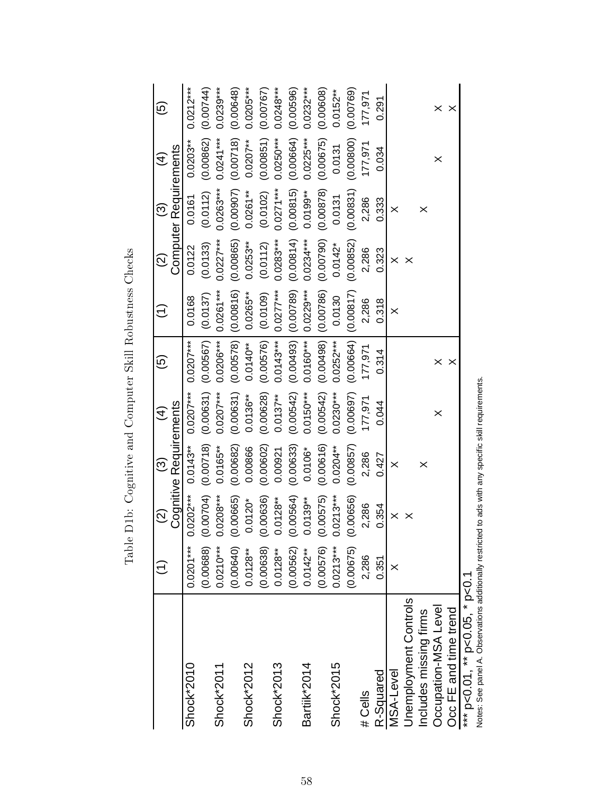|                                                                                                       | $\hat{\tau}$ | $\widetilde{\varrho}$ | ල                      | $\widehat{\mathcal{A}}$ | $\widehat{\mathfrak{G}}$ |             | $\widehat{\Omega}$ | $\widehat{\odot}$     | $\widehat{\mathcal{A}}$ | $\widehat{\mathbf{e}}$ |
|-------------------------------------------------------------------------------------------------------|--------------|-----------------------|------------------------|-------------------------|--------------------------|-------------|--------------------|-----------------------|-------------------------|------------------------|
|                                                                                                       |              |                       | Cognitive Requirements |                         |                          |             |                    | Computer Requirements |                         |                        |
| Shock*2010                                                                                            | $0.0201***$  | $.0202***$<br>Ö       | $0.0143***$            | $0.0207***$             | $0.0207***$              | 0.0168      | 0.0122             | 0.0161                | $0.0203***$             | $0.0212***$            |
|                                                                                                       | (0.00688)    | (0.00704)             | (0.00718)              | (0.00631)               | (0.00567)                | (0.0137)    | (0.0133)           | (0.0112)              | (0.00862)               | (0.00744)              |
| Shock*2011                                                                                            | $0.0210***$  | $.0208***$            | $0.0165***$            | $0.0207***$             | $0.0206***$              | $0.0261***$ | $0.0227***$        | $0.0263***$           | $0.0241***$             | $0.0239***$            |
|                                                                                                       | (0.00640)    | (0.00665)             | (0.00682)              | (0.00631)               | (0.00578)                | (0.00816)   | (0.00865)          | (0.00907)             | (0.00718)               | (0.00648)              |
| Shock*2012                                                                                            | $0.0128***$  | $0.0120*$             | 0.00866                | $0.0136***$             | $0.0140**$               | $0.0265***$ | $0.0253***$        | $0.0261***$           | $0.0207***$             | $0.0205***$            |
|                                                                                                       | (0.00638)    | 0.00636               | (0.00602)              | (0.00628)               | (0.00576)                | (0.0109)    | (0.0112)           | (0.0102)              | (0.00851)               | (0.00767)              |
| Shock*2013                                                                                            | $0.0128***$  | $0.0128***$           | 0.00921                | $0.0137***$             | $0.0143***$              | $0.0277***$ | $0.0283***$        | $0.0271***$           | $0.0250***$             | $0.0248***$            |
|                                                                                                       | (0.00562)    | (0.00564)             | (0.00633)              | (0.00542)               | (0.00493)                | (0.00789)   | (0.00814)          | (0.00815)             | (0.00664)               | (0.00596)              |
| Bartiik*2014                                                                                          | $0.0142***$  | $0.0139***$           | $0.0106*$              | $0.0150***$             | $0.0160***$              | $0.0229***$ | $0.0234***$        | $0.0199***$           | $0.0225***$             | $0.0232***$            |
|                                                                                                       | (0.00576)    | 0.00575               | (0.00616)              | (0.00542)               | (0.00498)                | (0.00786)   | (0.00790)          | (0.00878)             | (0.00675)               | (0.00608)              |
| Shock*2015                                                                                            | $0.0213***$  | $0213***$             | $0.0204***$            | $0.0230***$             | $0.0252***$              | 0.0130      | $0.0142*$          | 0.0131                | 0.0131                  | $0.0152***$            |
|                                                                                                       | (0.00675)    | 0.0656)               | (0.00857)              | (0.00697)               | (0.00664)                | (0.00817)   | (0.00852)          | (0.00831)             | (0.0800)                | (0.00769)              |
| # Cells                                                                                               | 2,286        | 2,286                 | 2,286                  | 177,971                 | 177,971                  | 2,286       | 2,286              | 2,286                 | 177,971                 | 177,971                |
| R-Squared                                                                                             | 0.351        | 0.354                 | 0.427                  | 0.044                   | 0.314                    | 0.318       | 0.323              | 0.333                 | 0.034                   | 0.291                  |
| MSA-Level                                                                                             | $\times$     | $\times$              | $\times$               |                         |                          | $\times$    | $\times$           | $\times$              |                         |                        |
| <b>Jnemployment Controls</b>                                                                          |              |                       |                        |                         |                          |             | ×                  |                       |                         |                        |
| Includes missing firms                                                                                |              |                       | ×                      |                         |                          |             |                    | ×                     |                         |                        |
| Occupation-MSA Level                                                                                  |              |                       |                        | ×                       | ×                        |             |                    |                       | ×                       |                        |
| Occ FE and time trend                                                                                 |              |                       |                        |                         | $\times$                 |             |                    |                       |                         |                        |
| *** $p<0.01$ , ** $p<0.05$ , * $p<0.1$                                                                |              |                       |                        |                         |                          |             |                    |                       |                         |                        |
| Notes: See panel A. Observations additionally restricted to ads with any specific skill requirements. |              |                       |                        |                         |                          |             |                    |                       |                         |                        |

Table D1b: Cognitive and Computer Skill Robustness Checks Table D1b: Cognitive and Computer Skill Robustness Checks